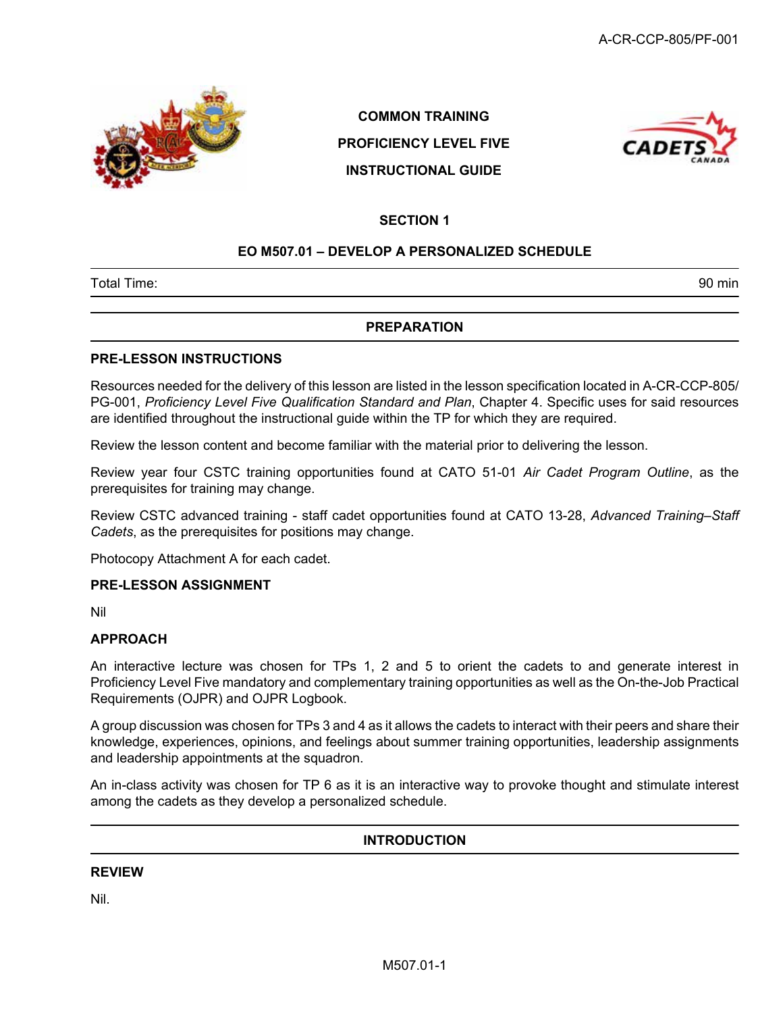

**COMMON TRAINING PROFICIENCY LEVEL FIVE INSTRUCTIONAL GUIDE**



# **SECTION 1**

#### **EO M507.01 – DEVELOP A PERSONALIZED SCHEDULE**

Total Time: 90 min

## **PREPARATION**

#### **PRE-LESSON INSTRUCTIONS**

Resources needed for the delivery of this lesson are listed in the lesson specification located in A-CR-CCP-805/ PG-001, *Proficiency Level Five Qualification Standard and Plan*, Chapter 4. Specific uses for said resources are identified throughout the instructional guide within the TP for which they are required.

Review the lesson content and become familiar with the material prior to delivering the lesson.

Review year four CSTC training opportunities found at CATO 51-01 *Air Cadet Program Outline*, as the prerequisites for training may change.

Review CSTC advanced training - staff cadet opportunities found at CATO 13-28, *Advanced Training–Staff Cadets*, as the prerequisites for positions may change.

Photocopy Attachment A for each cadet.

#### **PRE-LESSON ASSIGNMENT**

Nil

## **APPROACH**

An interactive lecture was chosen for TPs 1, 2 and 5 to orient the cadets to and generate interest in Proficiency Level Five mandatory and complementary training opportunities as well as the On-the-Job Practical Requirements (OJPR) and OJPR Logbook.

A group discussion was chosen for TPs 3 and 4 as it allows the cadets to interact with their peers and share their knowledge, experiences, opinions, and feelings about summer training opportunities, leadership assignments and leadership appointments at the squadron.

An in-class activity was chosen for TP 6 as it is an interactive way to provoke thought and stimulate interest among the cadets as they develop a personalized schedule.

# **INTRODUCTION**

#### **REVIEW**

Nil.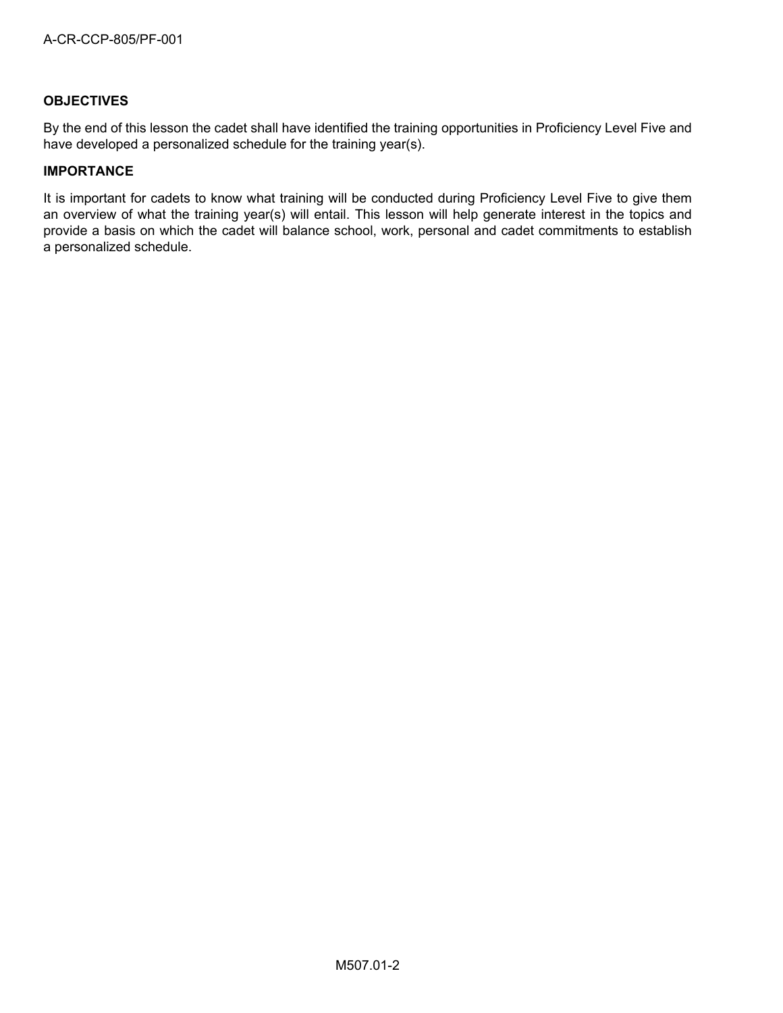# **OBJECTIVES**

By the end of this lesson the cadet shall have identified the training opportunities in Proficiency Level Five and have developed a personalized schedule for the training year(s).

# **IMPORTANCE**

It is important for cadets to know what training will be conducted during Proficiency Level Five to give them an overview of what the training year(s) will entail. This lesson will help generate interest in the topics and provide a basis on which the cadet will balance school, work, personal and cadet commitments to establish a personalized schedule.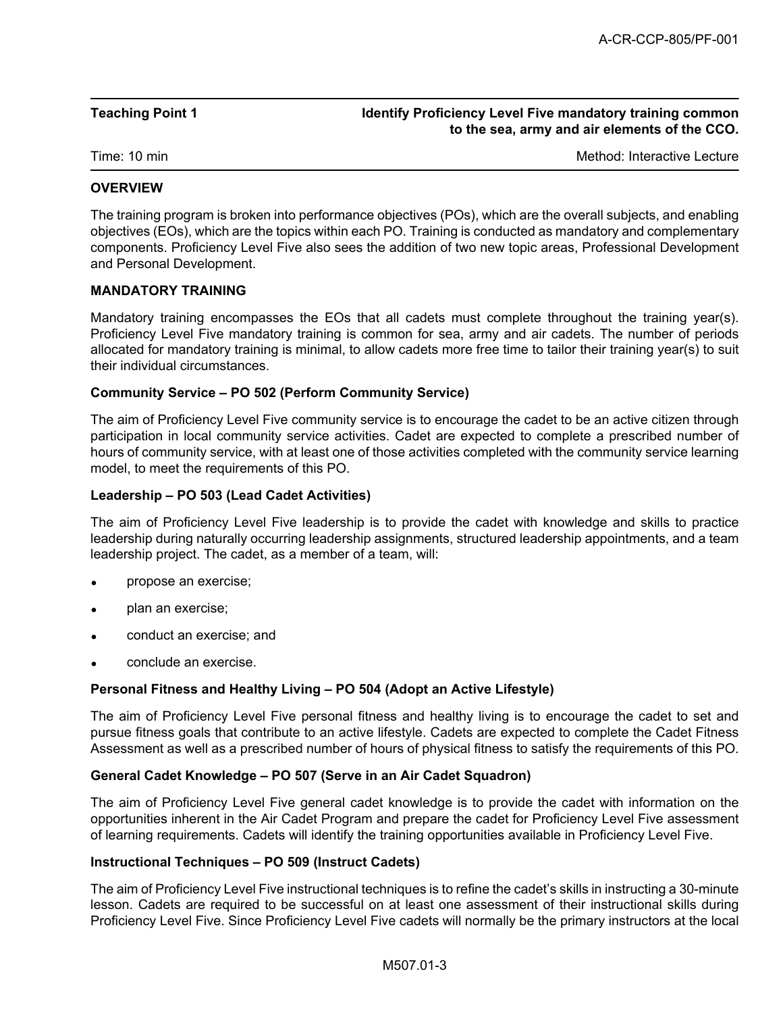# **Teaching Point 1 Identify Proficiency Level Five mandatory training common to the sea, army and air elements of the CCO.**

Time: 10 min Method: Interactive Lecture Communication of the Method: Interactive Lecture

#### **OVERVIEW**

The training program is broken into performance objectives (POs), which are the overall subjects, and enabling objectives (EOs), which are the topics within each PO. Training is conducted as mandatory and complementary components. Proficiency Level Five also sees the addition of two new topic areas, Professional Development and Personal Development.

#### **MANDATORY TRAINING**

Mandatory training encompasses the EOs that all cadets must complete throughout the training year(s). Proficiency Level Five mandatory training is common for sea, army and air cadets. The number of periods allocated for mandatory training is minimal, to allow cadets more free time to tailor their training year(s) to suit their individual circumstances.

#### **Community Service – PO 502 (Perform Community Service)**

The aim of Proficiency Level Five community service is to encourage the cadet to be an active citizen through participation in local community service activities. Cadet are expected to complete a prescribed number of hours of community service, with at least one of those activities completed with the community service learning model, to meet the requirements of this PO.

#### **Leadership – PO 503 (Lead Cadet Activities)**

The aim of Proficiency Level Five leadership is to provide the cadet with knowledge and skills to practice leadership during naturally occurring leadership assignments, structured leadership appointments, and a team leadership project. The cadet, as a member of a team, will:

- propose an exercise;
- plan an exercise;
- conduct an exercise; and
- conclude an exercise.

## **Personal Fitness and Healthy Living – PO 504 (Adopt an Active Lifestyle)**

The aim of Proficiency Level Five personal fitness and healthy living is to encourage the cadet to set and pursue fitness goals that contribute to an active lifestyle. Cadets are expected to complete the Cadet Fitness Assessment as well as a prescribed number of hours of physical fitness to satisfy the requirements of this PO.

#### **General Cadet Knowledge – PO 507 (Serve in an Air Cadet Squadron)**

The aim of Proficiency Level Five general cadet knowledge is to provide the cadet with information on the opportunities inherent in the Air Cadet Program and prepare the cadet for Proficiency Level Five assessment of learning requirements. Cadets will identify the training opportunities available in Proficiency Level Five.

#### **Instructional Techniques – PO 509 (Instruct Cadets)**

The aim of Proficiency Level Five instructional techniques is to refine the cadet's skills in instructing a 30-minute lesson. Cadets are required to be successful on at least one assessment of their instructional skills during Proficiency Level Five. Since Proficiency Level Five cadets will normally be the primary instructors at the local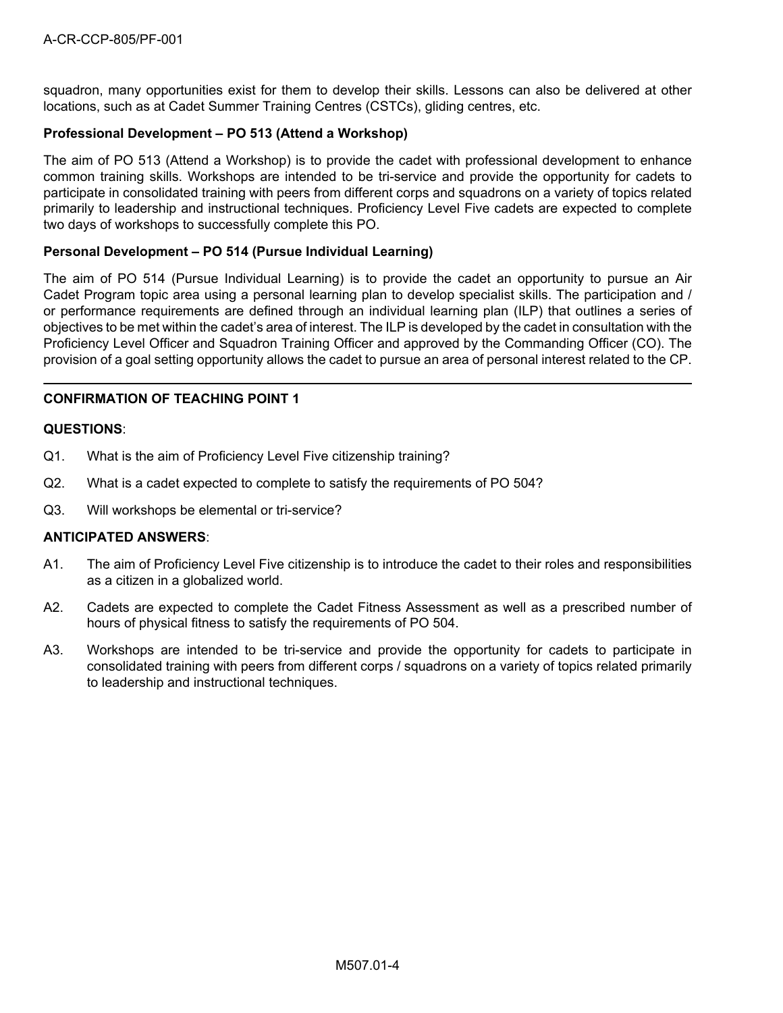squadron, many opportunities exist for them to develop their skills. Lessons can also be delivered at other locations, such as at Cadet Summer Training Centres (CSTCs), gliding centres, etc.

# **Professional Development – PO 513 (Attend a Workshop)**

The aim of PO 513 (Attend a Workshop) is to provide the cadet with professional development to enhance common training skills. Workshops are intended to be tri-service and provide the opportunity for cadets to participate in consolidated training with peers from different corps and squadrons on a variety of topics related primarily to leadership and instructional techniques. Proficiency Level Five cadets are expected to complete two days of workshops to successfully complete this PO.

#### **Personal Development – PO 514 (Pursue Individual Learning)**

The aim of PO 514 (Pursue Individual Learning) is to provide the cadet an opportunity to pursue an Air Cadet Program topic area using a personal learning plan to develop specialist skills. The participation and / or performance requirements are defined through an individual learning plan (ILP) that outlines a series of objectives to be met within the cadet's area of interest. The ILP is developed by the cadet in consultation with the Proficiency Level Officer and Squadron Training Officer and approved by the Commanding Officer (CO). The provision of a goal setting opportunity allows the cadet to pursue an area of personal interest related to the CP.

# **CONFIRMATION OF TEACHING POINT 1**

#### **QUESTIONS**:

- Q1. What is the aim of Proficiency Level Five citizenship training?
- Q2. What is a cadet expected to complete to satisfy the requirements of PO 504?
- Q3. Will workshops be elemental or tri-service?

## **ANTICIPATED ANSWERS**:

- A1. The aim of Proficiency Level Five citizenship is to introduce the cadet to their roles and responsibilities as a citizen in a globalized world.
- A2. Cadets are expected to complete the Cadet Fitness Assessment as well as a prescribed number of hours of physical fitness to satisfy the requirements of PO 504.
- A3. Workshops are intended to be tri-service and provide the opportunity for cadets to participate in consolidated training with peers from different corps / squadrons on a variety of topics related primarily to leadership and instructional techniques.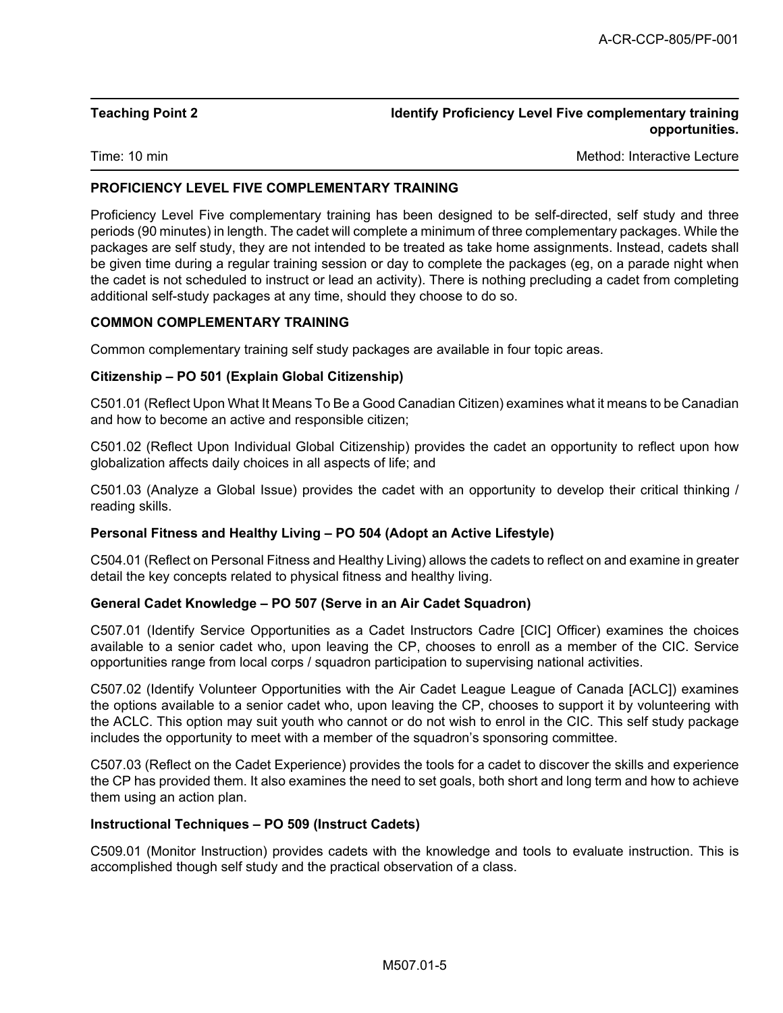# **Teaching Point 2 Identify Proficiency Level Five complementary training opportunities.**

Time: 10 min Method: Interactive Lecture Communication of the Method: Interactive Lecture

#### **PROFICIENCY LEVEL FIVE COMPLEMENTARY TRAINING**

Proficiency Level Five complementary training has been designed to be self-directed, self study and three periods (90 minutes) in length. The cadet will complete a minimum of three complementary packages. While the packages are self study, they are not intended to be treated as take home assignments. Instead, cadets shall be given time during a regular training session or day to complete the packages (eg, on a parade night when the cadet is not scheduled to instruct or lead an activity). There is nothing precluding a cadet from completing additional self-study packages at any time, should they choose to do so.

#### **COMMON COMPLEMENTARY TRAINING**

Common complementary training self study packages are available in four topic areas.

#### **Citizenship – PO 501 (Explain Global Citizenship)**

C501.01 (Reflect Upon What It Means To Be a Good Canadian Citizen) examines what it means to be Canadian and how to become an active and responsible citizen;

C501.02 (Reflect Upon Individual Global Citizenship) provides the cadet an opportunity to reflect upon how globalization affects daily choices in all aspects of life; and

C501.03 (Analyze a Global Issue) provides the cadet with an opportunity to develop their critical thinking / reading skills.

## **Personal Fitness and Healthy Living – PO 504 (Adopt an Active Lifestyle)**

C504.01 (Reflect on Personal Fitness and Healthy Living) allows the cadets to reflect on and examine in greater detail the key concepts related to physical fitness and healthy living.

#### **General Cadet Knowledge – PO 507 (Serve in an Air Cadet Squadron)**

C507.01 (Identify Service Opportunities as a Cadet Instructors Cadre [CIC] Officer) examines the choices available to a senior cadet who, upon leaving the CP, chooses to enroll as a member of the CIC. Service opportunities range from local corps / squadron participation to supervising national activities.

C507.02 (Identify Volunteer Opportunities with the Air Cadet League League of Canada [ACLC]) examines the options available to a senior cadet who, upon leaving the CP, chooses to support it by volunteering with the ACLC. This option may suit youth who cannot or do not wish to enrol in the CIC. This self study package includes the opportunity to meet with a member of the squadron's sponsoring committee.

C507.03 (Reflect on the Cadet Experience) provides the tools for a cadet to discover the skills and experience the CP has provided them. It also examines the need to set goals, both short and long term and how to achieve them using an action plan.

#### **Instructional Techniques – PO 509 (Instruct Cadets)**

C509.01 (Monitor Instruction) provides cadets with the knowledge and tools to evaluate instruction. This is accomplished though self study and the practical observation of a class.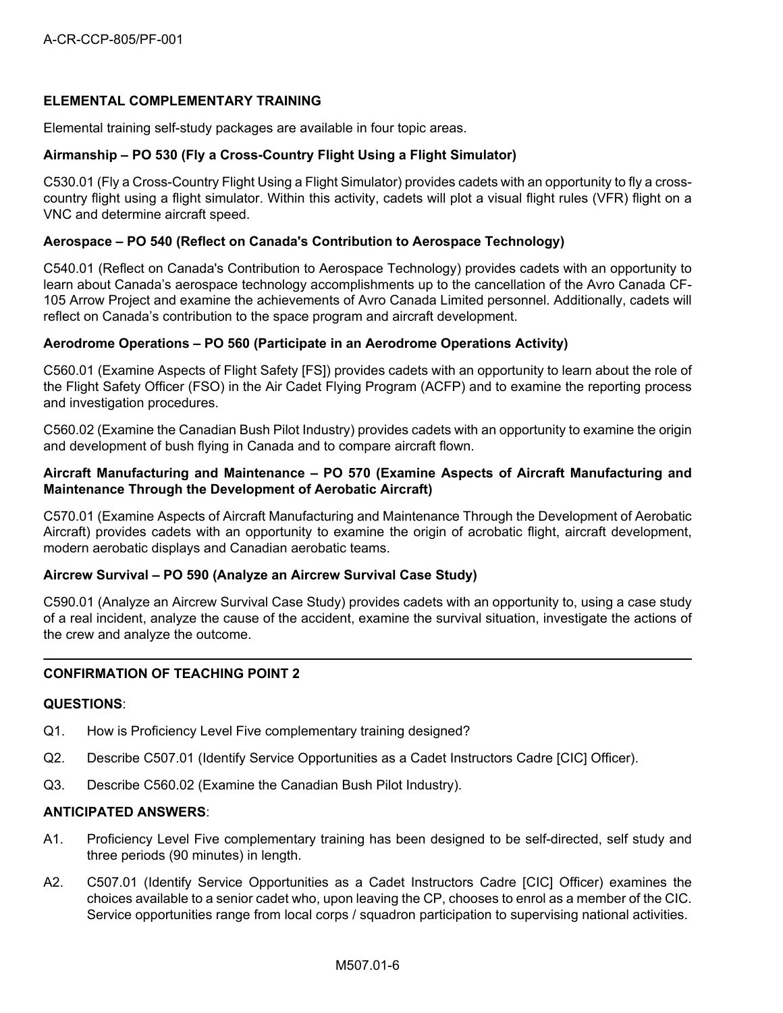# **ELEMENTAL COMPLEMENTARY TRAINING**

Elemental training self-study packages are available in four topic areas.

## **Airmanship – PO 530 (Fly a Cross-Country Flight Using a Flight Simulator)**

C530.01 (Fly a Cross-Country Flight Using a Flight Simulator) provides cadets with an opportunity to fly a crosscountry flight using a flight simulator. Within this activity, cadets will plot a visual flight rules (VFR) flight on a VNC and determine aircraft speed.

## **Aerospace – PO 540 (Reflect on Canada's Contribution to Aerospace Technology)**

C540.01 (Reflect on Canada's Contribution to Aerospace Technology) provides cadets with an opportunity to learn about Canada's aerospace technology accomplishments up to the cancellation of the Avro Canada CF-105 Arrow Project and examine the achievements of Avro Canada Limited personnel. Additionally, cadets will reflect on Canada's contribution to the space program and aircraft development.

#### **Aerodrome Operations – PO 560 (Participate in an Aerodrome Operations Activity)**

C560.01 (Examine Aspects of Flight Safety [FS]) provides cadets with an opportunity to learn about the role of the Flight Safety Officer (FSO) in the Air Cadet Flying Program (ACFP) and to examine the reporting process and investigation procedures.

C560.02 (Examine the Canadian Bush Pilot Industry) provides cadets with an opportunity to examine the origin and development of bush flying in Canada and to compare aircraft flown.

# **Aircraft Manufacturing and Maintenance – PO 570 (Examine Aspects of Aircraft Manufacturing and Maintenance Through the Development of Aerobatic Aircraft)**

C570.01 (Examine Aspects of Aircraft Manufacturing and Maintenance Through the Development of Aerobatic Aircraft) provides cadets with an opportunity to examine the origin of acrobatic flight, aircraft development, modern aerobatic displays and Canadian aerobatic teams.

## **Aircrew Survival – PO 590 (Analyze an Aircrew Survival Case Study)**

C590.01 (Analyze an Aircrew Survival Case Study) provides cadets with an opportunity to, using a case study of a real incident, analyze the cause of the accident, examine the survival situation, investigate the actions of the crew and analyze the outcome.

## **CONFIRMATION OF TEACHING POINT 2**

## **QUESTIONS**:

- Q1. How is Proficiency Level Five complementary training designed?
- Q2. Describe C507.01 (Identify Service Opportunities as a Cadet Instructors Cadre [CIC] Officer).
- Q3. Describe C560.02 (Examine the Canadian Bush Pilot Industry).

## **ANTICIPATED ANSWERS**:

- A1. Proficiency Level Five complementary training has been designed to be self-directed, self study and three periods (90 minutes) in length.
- A2. C507.01 (Identify Service Opportunities as a Cadet Instructors Cadre [CIC] Officer) examines the choices available to a senior cadet who, upon leaving the CP, chooses to enrol as a member of the CIC. Service opportunities range from local corps / squadron participation to supervising national activities.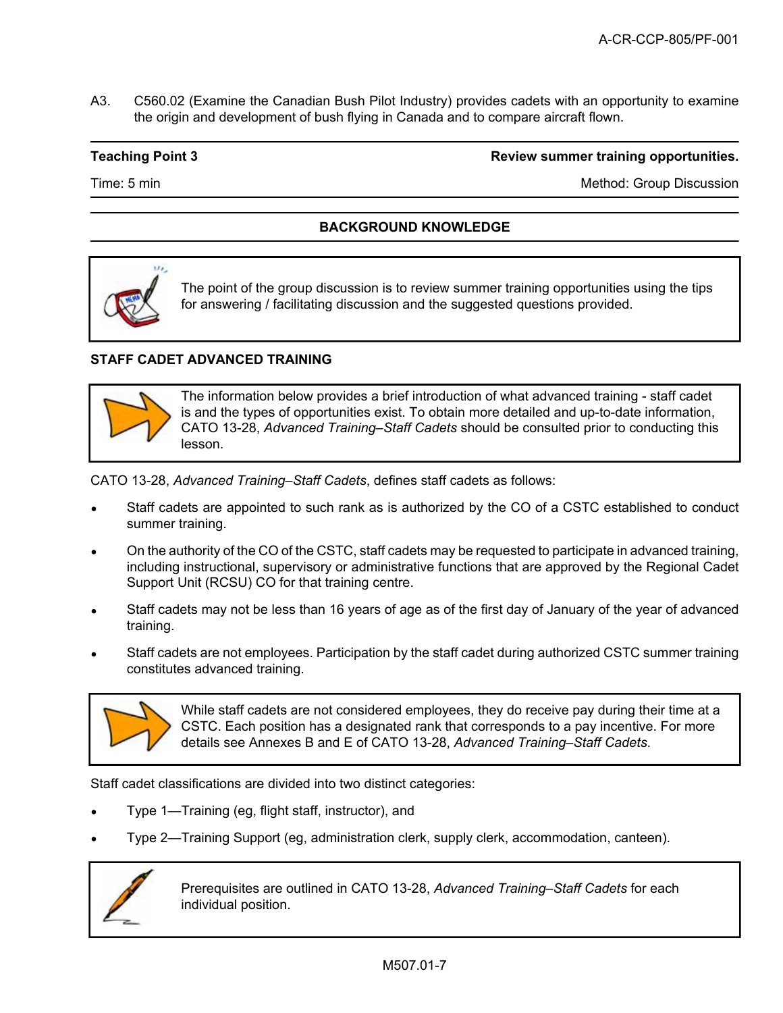A3. C560.02 (Examine the Canadian Bush Pilot Industry) provides cadets with an opportunity to examine the origin and development of bush flying in Canada and to compare aircraft flown.

**Teaching Point 3 Review summer training opportunities.**

Time: 5 min Method: Group Discussion and Method: Group Discussion

# **BACKGROUND KNOWLEDGE**



The point of the group discussion is to review summer training opportunities using the tips for answering / facilitating discussion and the suggested questions provided.

## **STAFF CADET ADVANCED TRAINING**



The information below provides a brief introduction of what advanced training - staff cadet is and the types of opportunities exist. To obtain more detailed and up-to-date information, CATO 13-28, *Advanced Training–Staff Cadets* should be consulted prior to conducting this lesson.

CATO 13-28, *Advanced Training–Staff Cadets*, defines staff cadets as follows:

- Staff cadets are appointed to such rank as is authorized by the CO of a CSTC established to conduct summer training.
- On the authority of the CO of the CSTC, staff cadets may be requested to participate in advanced training, including instructional, supervisory or administrative functions that are approved by the Regional Cadet Support Unit (RCSU) CO for that training centre.
- Staff cadets may not be less than 16 years of age as of the first day of January of the year of advanced training.
- Staff cadets are not employees. Participation by the staff cadet during authorized CSTC summer training constitutes advanced training.



While staff cadets are not considered employees, they do receive pay during their time at a CSTC. Each position has a designated rank that corresponds to a pay incentive. For more details see Annexes B and E of CATO 13-28, *Advanced Training–Staff Cadets*.

Staff cadet classifications are divided into two distinct categories:

- Type 1—Training (eg, flight staff, instructor), and
- Type 2—Training Support (eg, administration clerk, supply clerk, accommodation, canteen).



Prerequisites are outlined in CATO 13-28, *Advanced Training–Staff Cadets* for each individual position.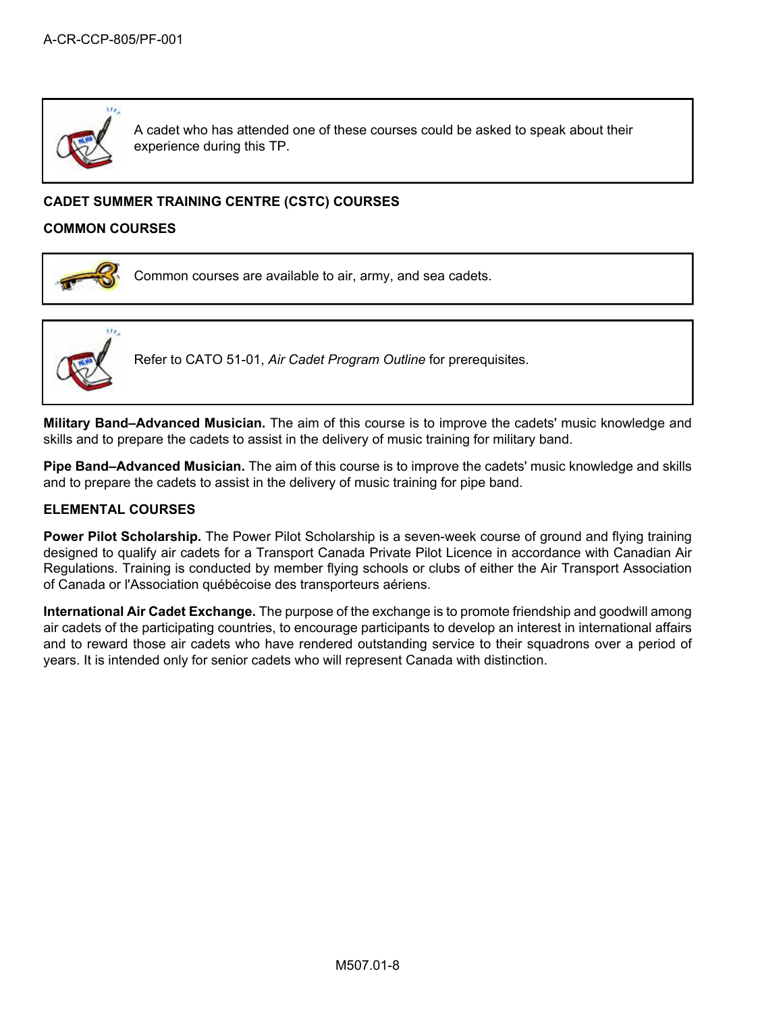

A cadet who has attended one of these courses could be asked to speak about their experience during this TP.

# **CADET SUMMER TRAINING CENTRE (CSTC) COURSES**

#### **COMMON COURSES**

Common courses are available to air, army, and sea cadets.



Refer to CATO 51-01, *Air Cadet Program Outline* for prerequisites.

**Military Band–Advanced Musician.** The aim of this course is to improve the cadets' music knowledge and skills and to prepare the cadets to assist in the delivery of music training for military band.

**Pipe Band–Advanced Musician.** The aim of this course is to improve the cadets' music knowledge and skills and to prepare the cadets to assist in the delivery of music training for pipe band.

## **ELEMENTAL COURSES**

**Power Pilot Scholarship.** The Power Pilot Scholarship is a seven-week course of ground and flying training designed to qualify air cadets for a Transport Canada Private Pilot Licence in accordance with Canadian Air Regulations. Training is conducted by member flying schools or clubs of either the Air Transport Association of Canada or l'Association québécoise des transporteurs aériens.

**International Air Cadet Exchange.** The purpose of the exchange is to promote friendship and goodwill among air cadets of the participating countries, to encourage participants to develop an interest in international affairs and to reward those air cadets who have rendered outstanding service to their squadrons over a period of years. It is intended only for senior cadets who will represent Canada with distinction.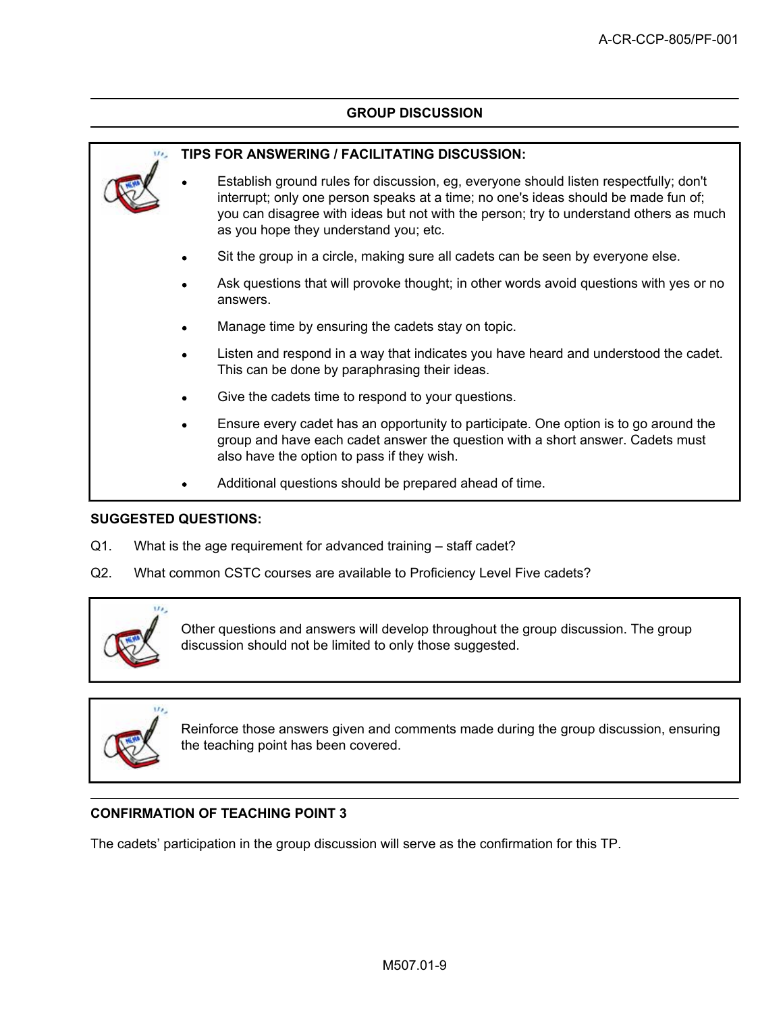# **GROUP DISCUSSION**



## **SUGGESTED QUESTIONS:**

- Q1. What is the age requirement for advanced training staff cadet?
- Q2. What common CSTC courses are available to Proficiency Level Five cadets?



Other questions and answers will develop throughout the group discussion. The group discussion should not be limited to only those suggested.



Reinforce those answers given and comments made during the group discussion, ensuring the teaching point has been covered.

## **CONFIRMATION OF TEACHING POINT 3**

The cadets' participation in the group discussion will serve as the confirmation for this TP.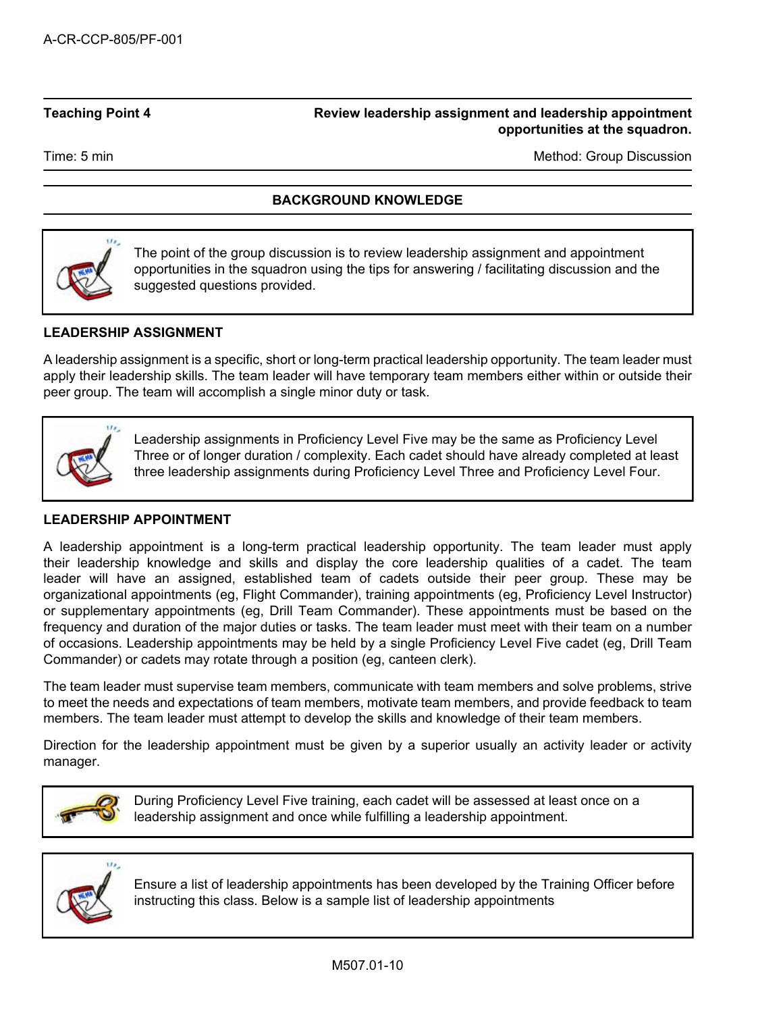# **Teaching Point 4 Review leadership assignment and leadership appointment opportunities at the squadron.**

Time: 5 min Method: Group Discussion and Method: Group Discussion

## **BACKGROUND KNOWLEDGE**



The point of the group discussion is to review leadership assignment and appointment opportunities in the squadron using the tips for answering / facilitating discussion and the suggested questions provided.

# **LEADERSHIP ASSIGNMENT**

A leadership assignment is a specific, short or long-term practical leadership opportunity. The team leader must apply their leadership skills. The team leader will have temporary team members either within or outside their peer group. The team will accomplish a single minor duty or task.



Leadership assignments in Proficiency Level Five may be the same as Proficiency Level Three or of longer duration / complexity. Each cadet should have already completed at least three leadership assignments during Proficiency Level Three and Proficiency Level Four.

#### **LEADERSHIP APPOINTMENT**

A leadership appointment is a long-term practical leadership opportunity. The team leader must apply their leadership knowledge and skills and display the core leadership qualities of a cadet. The team leader will have an assigned, established team of cadets outside their peer group. These may be organizational appointments (eg, Flight Commander), training appointments (eg, Proficiency Level Instructor) or supplementary appointments (eg, Drill Team Commander). These appointments must be based on the frequency and duration of the major duties or tasks. The team leader must meet with their team on a number of occasions. Leadership appointments may be held by a single Proficiency Level Five cadet (eg, Drill Team Commander) or cadets may rotate through a position (eg, canteen clerk).

The team leader must supervise team members, communicate with team members and solve problems, strive to meet the needs and expectations of team members, motivate team members, and provide feedback to team members. The team leader must attempt to develop the skills and knowledge of their team members.

Direction for the leadership appointment must be given by a superior usually an activity leader or activity manager.



During Proficiency Level Five training, each cadet will be assessed at least once on a leadership assignment and once while fulfilling a leadership appointment.



Ensure a list of leadership appointments has been developed by the Training Officer before instructing this class. Below is a sample list of leadership appointments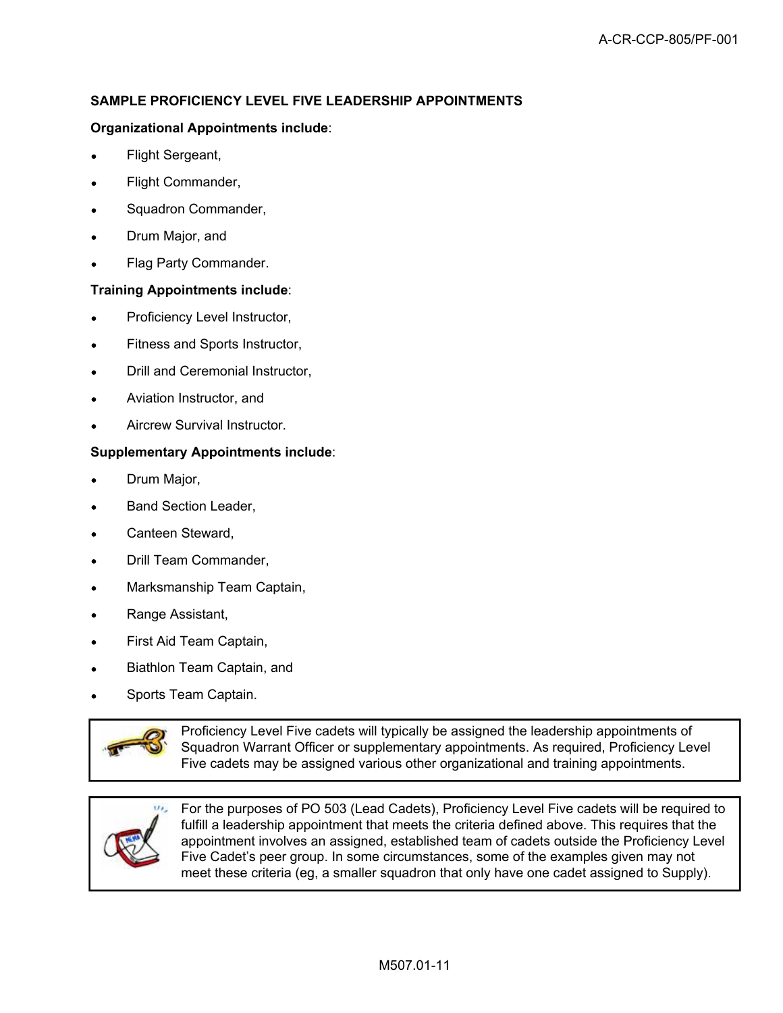# **SAMPLE PROFICIENCY LEVEL FIVE LEADERSHIP APPOINTMENTS**

## **Organizational Appointments include**:

- Flight Sergeant,
- Flight Commander,
- Squadron Commander,
- Drum Major, and
- Flag Party Commander.

## **Training Appointments include**:

- Proficiency Level Instructor,
- Fitness and Sports Instructor,
- Drill and Ceremonial Instructor,
- Aviation Instructor, and
- Aircrew Survival Instructor.

## **Supplementary Appointments include**:

- Drum Major,
- Band Section Leader,
- Canteen Steward,
- Drill Team Commander,
- Marksmanship Team Captain,
- Range Assistant,
- First Aid Team Captain,
- Biathlon Team Captain, and
- Sports Team Captain.



Proficiency Level Five cadets will typically be assigned the leadership appointments of Squadron Warrant Officer or supplementary appointments. As required, Proficiency Level Five cadets may be assigned various other organizational and training appointments.



For the purposes of PO 503 (Lead Cadets), Proficiency Level Five cadets will be required to fulfill a leadership appointment that meets the criteria defined above. This requires that the appointment involves an assigned, established team of cadets outside the Proficiency Level Five Cadet's peer group. In some circumstances, some of the examples given may not meet these criteria (eg, a smaller squadron that only have one cadet assigned to Supply).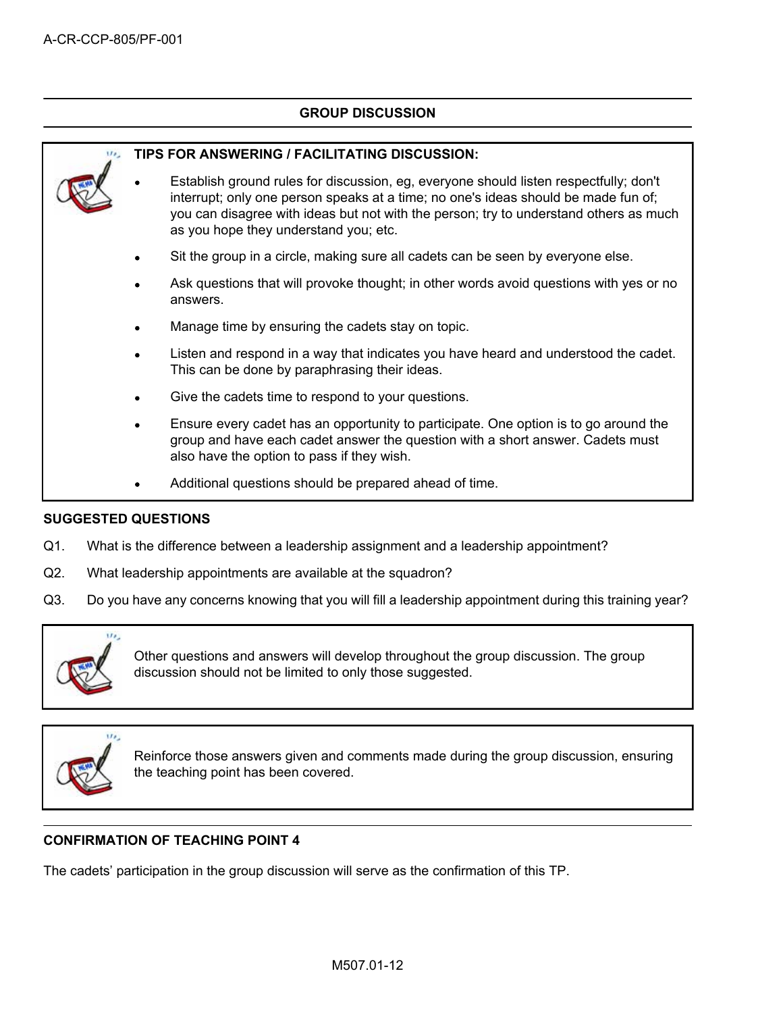# **GROUP DISCUSSION**



#### **SUGGESTED QUESTIONS**

- Q1. What is the difference between a leadership assignment and a leadership appointment?
- Q2. What leadership appointments are available at the squadron?
- Q3. Do you have any concerns knowing that you will fill a leadership appointment during this training year?



Other questions and answers will develop throughout the group discussion. The group discussion should not be limited to only those suggested.



Reinforce those answers given and comments made during the group discussion, ensuring the teaching point has been covered.

## **CONFIRMATION OF TEACHING POINT 4**

The cadets' participation in the group discussion will serve as the confirmation of this TP.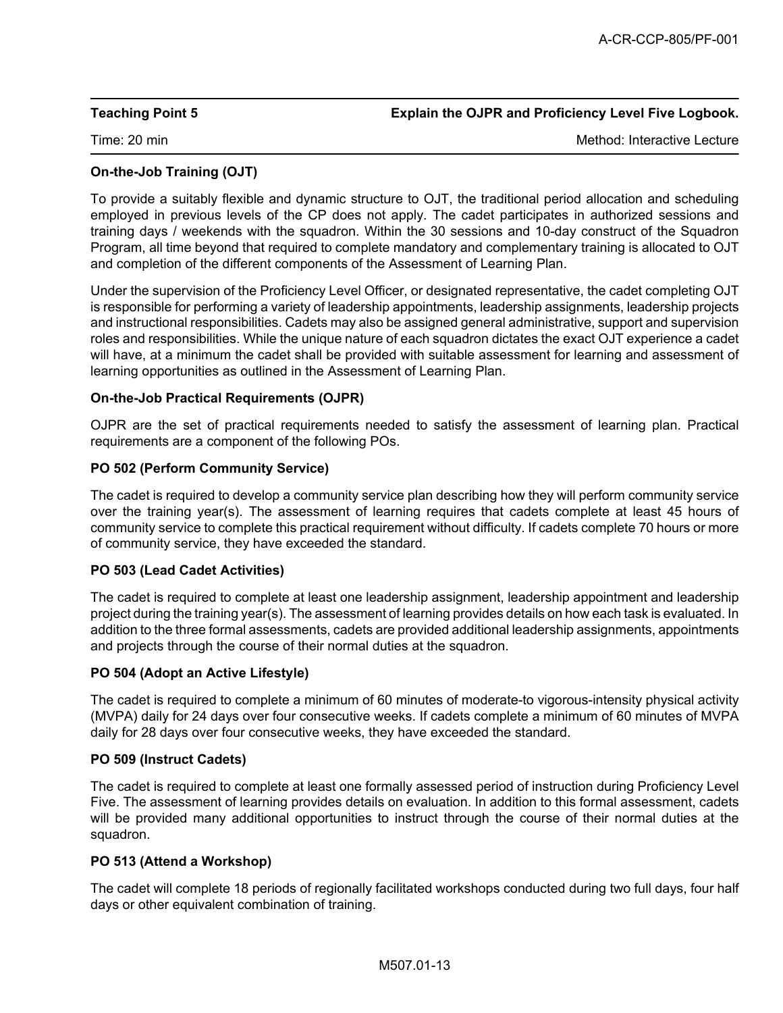## **Teaching Point 5 Explain the OJPR and Proficiency Level Five Logbook.**

Time: 20 min Method: Interactive Lecture Communication of the Method: Interactive Lecture

# **On-the-Job Training (OJT)**

To provide a suitably flexible and dynamic structure to OJT, the traditional period allocation and scheduling employed in previous levels of the CP does not apply. The cadet participates in authorized sessions and training days / weekends with the squadron. Within the 30 sessions and 10-day construct of the Squadron Program, all time beyond that required to complete mandatory and complementary training is allocated to OJT and completion of the different components of the Assessment of Learning Plan.

Under the supervision of the Proficiency Level Officer, or designated representative, the cadet completing OJT is responsible for performing a variety of leadership appointments, leadership assignments, leadership projects and instructional responsibilities. Cadets may also be assigned general administrative, support and supervision roles and responsibilities. While the unique nature of each squadron dictates the exact OJT experience a cadet will have, at a minimum the cadet shall be provided with suitable assessment for learning and assessment of learning opportunities as outlined in the Assessment of Learning Plan.

## **On-the-Job Practical Requirements (OJPR)**

OJPR are the set of practical requirements needed to satisfy the assessment of learning plan. Practical requirements are a component of the following POs.

## **PO 502 (Perform Community Service)**

The cadet is required to develop a community service plan describing how they will perform community service over the training year(s). The assessment of learning requires that cadets complete at least 45 hours of community service to complete this practical requirement without difficulty. If cadets complete 70 hours or more of community service, they have exceeded the standard.

## **PO 503 (Lead Cadet Activities)**

The cadet is required to complete at least one leadership assignment, leadership appointment and leadership project during the training year(s). The assessment of learning provides details on how each task is evaluated. In addition to the three formal assessments, cadets are provided additional leadership assignments, appointments and projects through the course of their normal duties at the squadron.

## **PO 504 (Adopt an Active Lifestyle)**

The cadet is required to complete a minimum of 60 minutes of moderate-to vigorous-intensity physical activity (MVPA) daily for 24 days over four consecutive weeks. If cadets complete a minimum of 60 minutes of MVPA daily for 28 days over four consecutive weeks, they have exceeded the standard.

## **PO 509 (Instruct Cadets)**

The cadet is required to complete at least one formally assessed period of instruction during Proficiency Level Five. The assessment of learning provides details on evaluation. In addition to this formal assessment, cadets will be provided many additional opportunities to instruct through the course of their normal duties at the squadron.

## **PO 513 (Attend a Workshop)**

The cadet will complete 18 periods of regionally facilitated workshops conducted during two full days, four half days or other equivalent combination of training.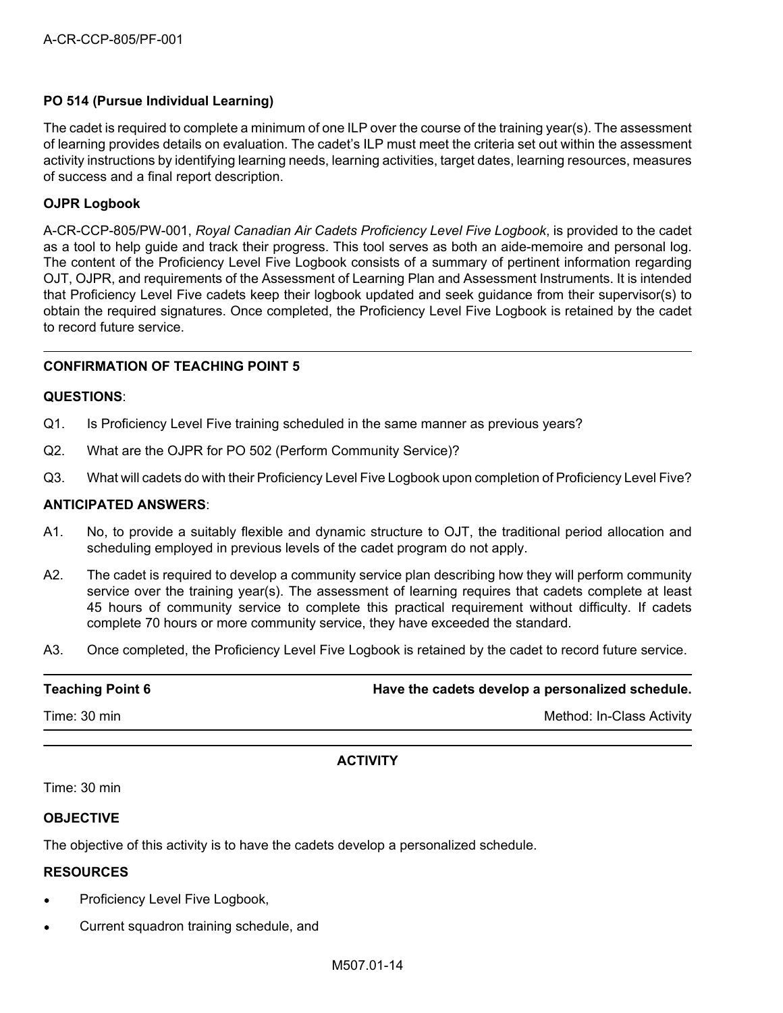# **PO 514 (Pursue Individual Learning)**

The cadet is required to complete a minimum of one ILP over the course of the training year(s). The assessment of learning provides details on evaluation. The cadet's ILP must meet the criteria set out within the assessment activity instructions by identifying learning needs, learning activities, target dates, learning resources, measures of success and a final report description.

# **OJPR Logbook**

A-CR-CCP-805/PW-001, *Royal Canadian Air Cadets Proficiency Level Five Logbook*, is provided to the cadet as a tool to help guide and track their progress. This tool serves as both an aide-memoire and personal log. The content of the Proficiency Level Five Logbook consists of a summary of pertinent information regarding OJT, OJPR, and requirements of the Assessment of Learning Plan and Assessment Instruments. It is intended that Proficiency Level Five cadets keep their logbook updated and seek guidance from their supervisor(s) to obtain the required signatures. Once completed, the Proficiency Level Five Logbook is retained by the cadet to record future service.

## **CONFIRMATION OF TEACHING POINT 5**

#### **QUESTIONS**:

- Q1. Is Proficiency Level Five training scheduled in the same manner as previous years?
- Q2. What are the OJPR for PO 502 (Perform Community Service)?
- Q3. What will cadets do with their Proficiency Level Five Logbook upon completion of Proficiency Level Five?

#### **ANTICIPATED ANSWERS**:

- A1. No, to provide a suitably flexible and dynamic structure to OJT, the traditional period allocation and scheduling employed in previous levels of the cadet program do not apply.
- A2. The cadet is required to develop a community service plan describing how they will perform community service over the training year(s). The assessment of learning requires that cadets complete at least 45 hours of community service to complete this practical requirement without difficulty. If cadets complete 70 hours or more community service, they have exceeded the standard.
- A3. Once completed, the Proficiency Level Five Logbook is retained by the cadet to record future service.

| <b>Teaching Point 6</b><br>Have the cadets develop a personalized schedule. |                           |  |
|-----------------------------------------------------------------------------|---------------------------|--|
| Time: 30 min                                                                | Method: In-Class Activity |  |
|                                                                             | <b>ACTIVITY</b>           |  |

Time: 30 min

#### **OBJECTIVE**

The objective of this activity is to have the cadets develop a personalized schedule.

# **RESOURCES**

- Proficiency Level Five Logbook,  $\bullet$
- Current squadron training schedule, and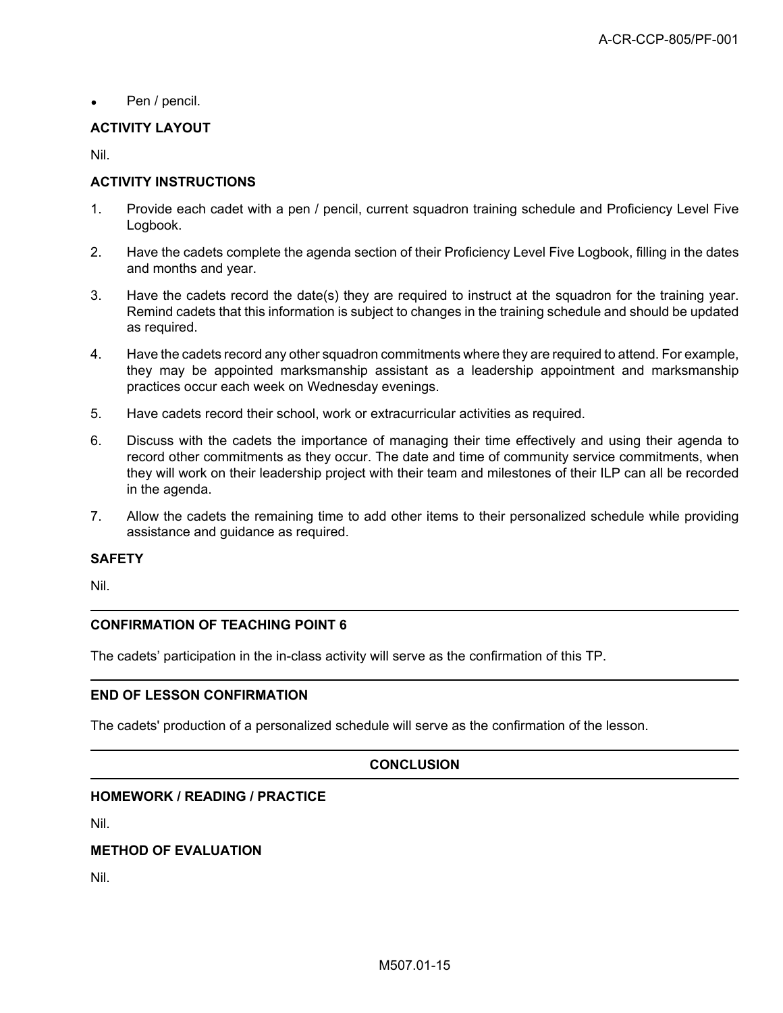Pen / pencil.

# **ACTIVITY LAYOUT**

Nil.

# **ACTIVITY INSTRUCTIONS**

- 1. Provide each cadet with a pen / pencil, current squadron training schedule and Proficiency Level Five Logbook.
- 2. Have the cadets complete the agenda section of their Proficiency Level Five Logbook, filling in the dates and months and year.
- 3. Have the cadets record the date(s) they are required to instruct at the squadron for the training year. Remind cadets that this information is subject to changes in the training schedule and should be updated as required.
- 4. Have the cadets record any other squadron commitments where they are required to attend. For example, they may be appointed marksmanship assistant as a leadership appointment and marksmanship practices occur each week on Wednesday evenings.
- 5. Have cadets record their school, work or extracurricular activities as required.
- 6. Discuss with the cadets the importance of managing their time effectively and using their agenda to record other commitments as they occur. The date and time of community service commitments, when they will work on their leadership project with their team and milestones of their ILP can all be recorded in the agenda.
- 7. Allow the cadets the remaining time to add other items to their personalized schedule while providing assistance and guidance as required.

## **SAFETY**

Nil.

## **CONFIRMATION OF TEACHING POINT 6**

The cadets' participation in the in-class activity will serve as the confirmation of this TP.

## **END OF LESSON CONFIRMATION**

The cadets' production of a personalized schedule will serve as the confirmation of the lesson.

## **CONCLUSION**

## **HOMEWORK / READING / PRACTICE**

Nil.

## **METHOD OF EVALUATION**

Nil.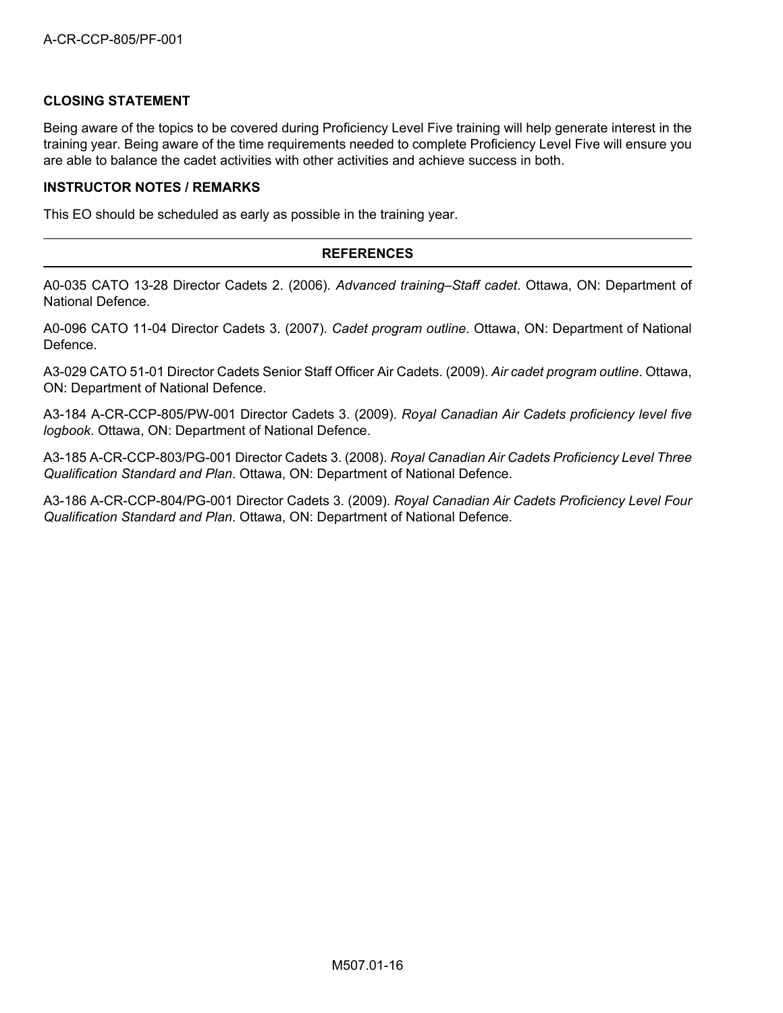# **CLOSING STATEMENT**

Being aware of the topics to be covered during Proficiency Level Five training will help generate interest in the training year. Being aware of the time requirements needed to complete Proficiency Level Five will ensure you are able to balance the cadet activities with other activities and achieve success in both.

#### **INSTRUCTOR NOTES / REMARKS**

This EO should be scheduled as early as possible in the training year.

# **REFERENCES**

A0-035 CATO 13-28 Director Cadets 2. (2006). *Advanced training–Staff cadet*. Ottawa, ON: Department of National Defence.

A0-096 CATO 11-04 Director Cadets 3. (2007). *Cadet program outline*. Ottawa, ON: Department of National Defence.

A3-029 CATO 51-01 Director Cadets Senior Staff Officer Air Cadets. (2009). *Air cadet program outline*. Ottawa, ON: Department of National Defence.

A3-184 A-CR-CCP-805/PW-001 Director Cadets 3. (2009). *Royal Canadian Air Cadets proficiency level five logbook*. Ottawa, ON: Department of National Defence.

A3-185 A-CR-CCP-803/PG-001 Director Cadets 3. (2008). *Royal Canadian Air Cadets Proficiency Level Three Qualification Standard and Plan*. Ottawa, ON: Department of National Defence.

A3-186 A-CR-CCP-804/PG-001 Director Cadets 3. (2009). *Royal Canadian Air Cadets Proficiency Level Four Qualification Standard and Plan*. Ottawa, ON: Department of National Defence.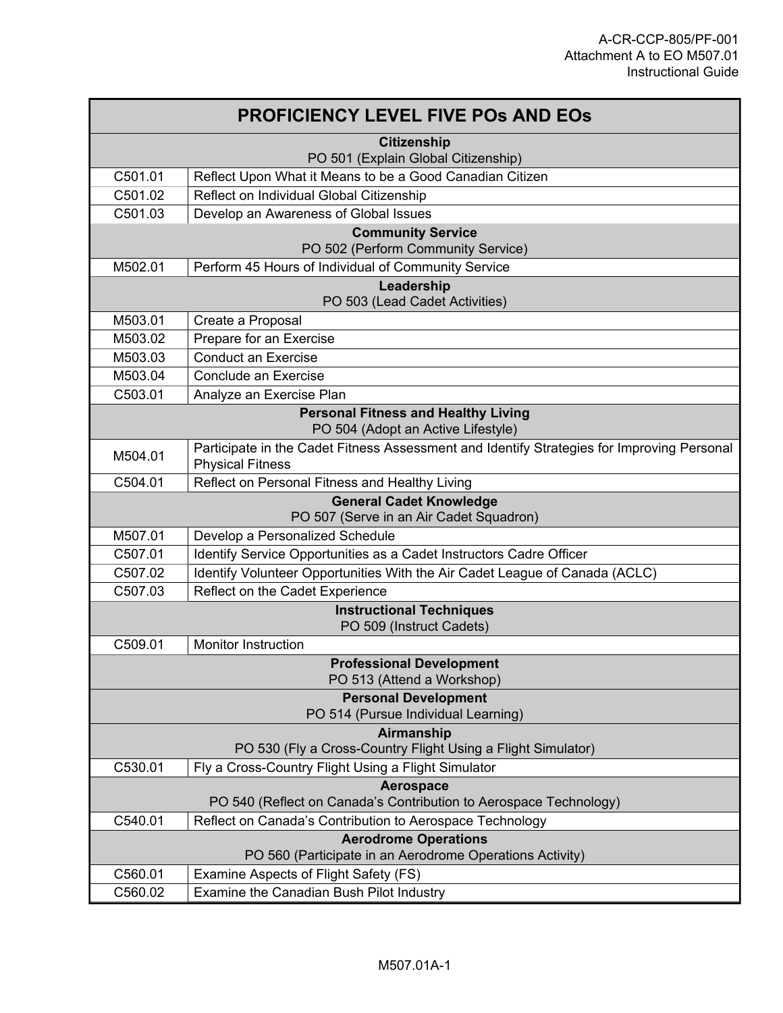|                                                                                  | <b>PROFICIENCY LEVEL FIVE POS AND EOS</b>                                                                             |  |  |  |
|----------------------------------------------------------------------------------|-----------------------------------------------------------------------------------------------------------------------|--|--|--|
| <b>Citizenship</b><br>PO 501 (Explain Global Citizenship)                        |                                                                                                                       |  |  |  |
| C501.01                                                                          | Reflect Upon What it Means to be a Good Canadian Citizen                                                              |  |  |  |
| C501.02                                                                          | Reflect on Individual Global Citizenship                                                                              |  |  |  |
| C501.03                                                                          | Develop an Awareness of Global Issues                                                                                 |  |  |  |
|                                                                                  | <b>Community Service</b>                                                                                              |  |  |  |
|                                                                                  | PO 502 (Perform Community Service)                                                                                    |  |  |  |
| M502.01                                                                          | Perform 45 Hours of Individual of Community Service                                                                   |  |  |  |
|                                                                                  | Leadership<br>PO 503 (Lead Cadet Activities)                                                                          |  |  |  |
| M503.01                                                                          | Create a Proposal                                                                                                     |  |  |  |
| M503.02                                                                          | Prepare for an Exercise                                                                                               |  |  |  |
| M503.03                                                                          | <b>Conduct an Exercise</b>                                                                                            |  |  |  |
| M503.04                                                                          | Conclude an Exercise                                                                                                  |  |  |  |
| C503.01                                                                          | Analyze an Exercise Plan                                                                                              |  |  |  |
| <b>Personal Fitness and Healthy Living</b><br>PO 504 (Adopt an Active Lifestyle) |                                                                                                                       |  |  |  |
| M504.01                                                                          | Participate in the Cadet Fitness Assessment and Identify Strategies for Improving Personal<br><b>Physical Fitness</b> |  |  |  |
| C504.01                                                                          | Reflect on Personal Fitness and Healthy Living                                                                        |  |  |  |
|                                                                                  | <b>General Cadet Knowledge</b><br>PO 507 (Serve in an Air Cadet Squadron)                                             |  |  |  |
| M507.01                                                                          | Develop a Personalized Schedule                                                                                       |  |  |  |
| C507.01                                                                          | Identify Service Opportunities as a Cadet Instructors Cadre Officer                                                   |  |  |  |
| C507.02                                                                          | Identify Volunteer Opportunities With the Air Cadet League of Canada (ACLC)                                           |  |  |  |
| C507.03                                                                          | Reflect on the Cadet Experience                                                                                       |  |  |  |
|                                                                                  | <b>Instructional Techniques</b><br>PO 509 (Instruct Cadets)                                                           |  |  |  |
| C509.01                                                                          | <b>Monitor Instruction</b>                                                                                            |  |  |  |
|                                                                                  | <b>Professional Development</b><br>PO 513 (Attend a Workshop)                                                         |  |  |  |
|                                                                                  | <b>Personal Development</b>                                                                                           |  |  |  |
|                                                                                  | PO 514 (Pursue Individual Learning)                                                                                   |  |  |  |
|                                                                                  | <b>Airmanship</b><br>PO 530 (Fly a Cross-Country Flight Using a Flight Simulator)                                     |  |  |  |
| C530.01                                                                          | Fly a Cross-Country Flight Using a Flight Simulator                                                                   |  |  |  |
|                                                                                  | Aerospace<br>PO 540 (Reflect on Canada's Contribution to Aerospace Technology)                                        |  |  |  |
| C540.01                                                                          | Reflect on Canada's Contribution to Aerospace Technology                                                              |  |  |  |
|                                                                                  | <b>Aerodrome Operations</b>                                                                                           |  |  |  |
| PO 560 (Participate in an Aerodrome Operations Activity)                         |                                                                                                                       |  |  |  |
| C560.01                                                                          | Examine Aspects of Flight Safety (FS)                                                                                 |  |  |  |
| C560.02                                                                          | Examine the Canadian Bush Pilot Industry                                                                              |  |  |  |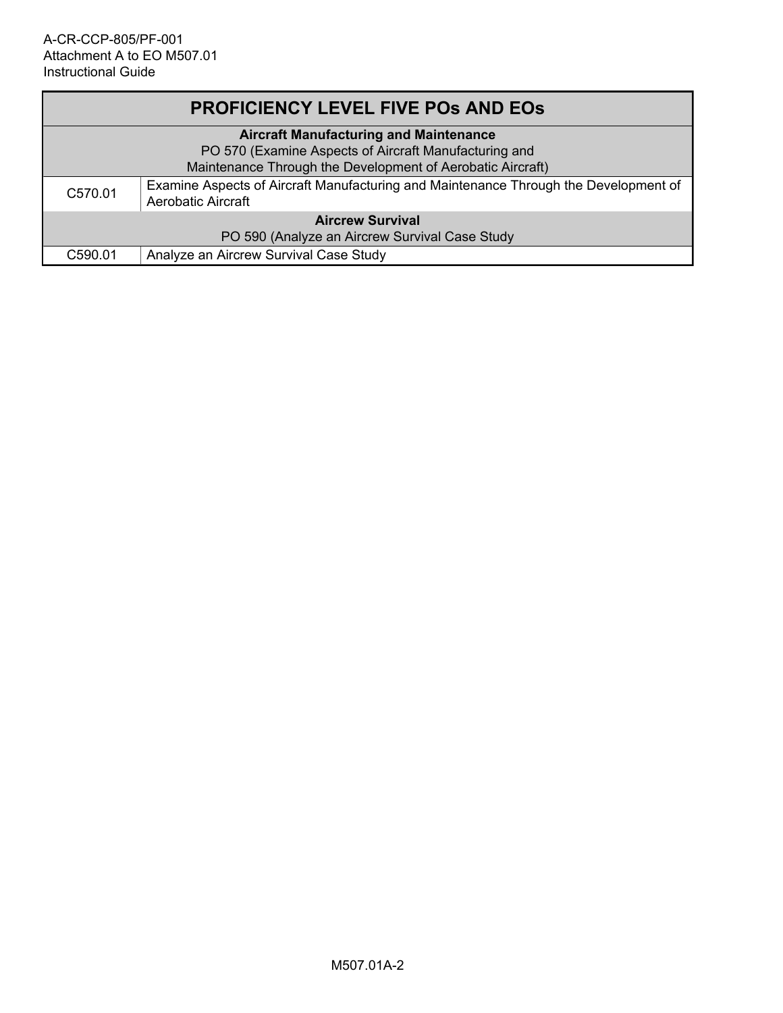| <b>PROFICIENCY LEVEL FIVE POS AND EOS</b>                                                                                                                            |                                                                                                                   |  |
|----------------------------------------------------------------------------------------------------------------------------------------------------------------------|-------------------------------------------------------------------------------------------------------------------|--|
| <b>Aircraft Manufacturing and Maintenance</b><br>PO 570 (Examine Aspects of Aircraft Manufacturing and<br>Maintenance Through the Development of Aerobatic Aircraft) |                                                                                                                   |  |
| C570.01                                                                                                                                                              | Examine Aspects of Aircraft Manufacturing and Maintenance Through the Development of<br><b>Aerobatic Aircraft</b> |  |
| <b>Aircrew Survival</b>                                                                                                                                              |                                                                                                                   |  |
| PO 590 (Analyze an Aircrew Survival Case Study                                                                                                                       |                                                                                                                   |  |
| C590.01                                                                                                                                                              | Analyze an Aircrew Survival Case Study                                                                            |  |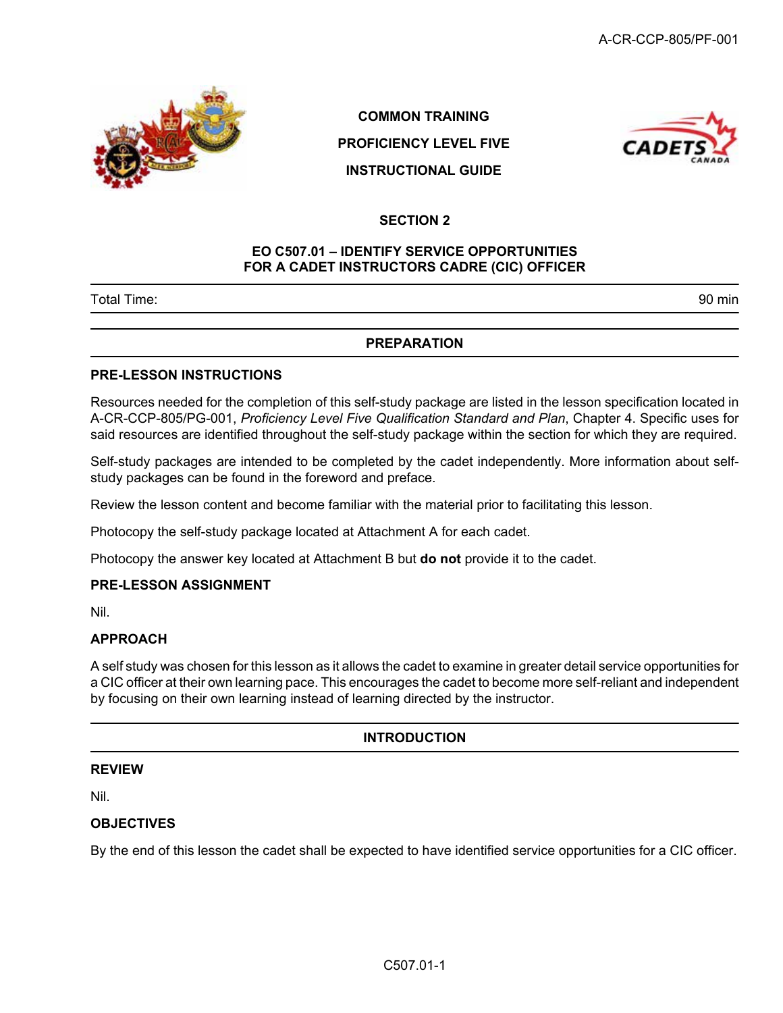

**COMMON TRAINING PROFICIENCY LEVEL FIVE INSTRUCTIONAL GUIDE**



# **SECTION 2**

#### **EO C507.01 – IDENTIFY SERVICE OPPORTUNITIES FOR A CADET INSTRUCTORS CADRE (CIC) OFFICER**

Total Time: 90 min

#### **PREPARATION**

## **PRE-LESSON INSTRUCTIONS**

Resources needed for the completion of this self-study package are listed in the lesson specification located in A-CR-CCP-805/PG-001, *Proficiency Level Five Qualification Standard and Plan*, Chapter 4. Specific uses for said resources are identified throughout the self-study package within the section for which they are required.

Self-study packages are intended to be completed by the cadet independently. More information about selfstudy packages can be found in the foreword and preface.

Review the lesson content and become familiar with the material prior to facilitating this lesson.

Photocopy the self-study package located at Attachment A for each cadet.

Photocopy the answer key located at Attachment B but **do not** provide it to the cadet.

#### **PRE-LESSON ASSIGNMENT**

Nil.

## **APPROACH**

A self study was chosen for this lesson as it allows the cadet to examine in greater detail service opportunities for a CIC officer at their own learning pace. This encourages the cadet to become more self-reliant and independent by focusing on their own learning instead of learning directed by the instructor.

# **INTRODUCTION**

## **REVIEW**

Nil.

## **OBJECTIVES**

By the end of this lesson the cadet shall be expected to have identified service opportunities for a CIC officer.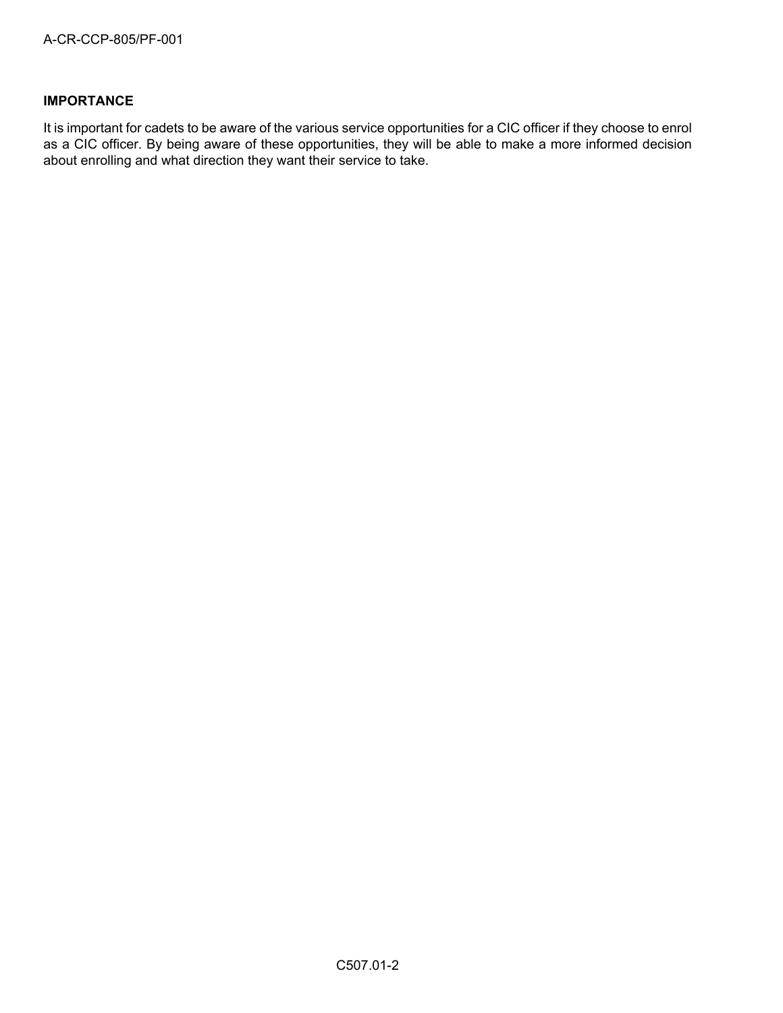# **IMPORTANCE**

It is important for cadets to be aware of the various service opportunities for a CIC officer if they choose to enrol as a CIC officer. By being aware of these opportunities, they will be able to make a more informed decision about enrolling and what direction they want their service to take.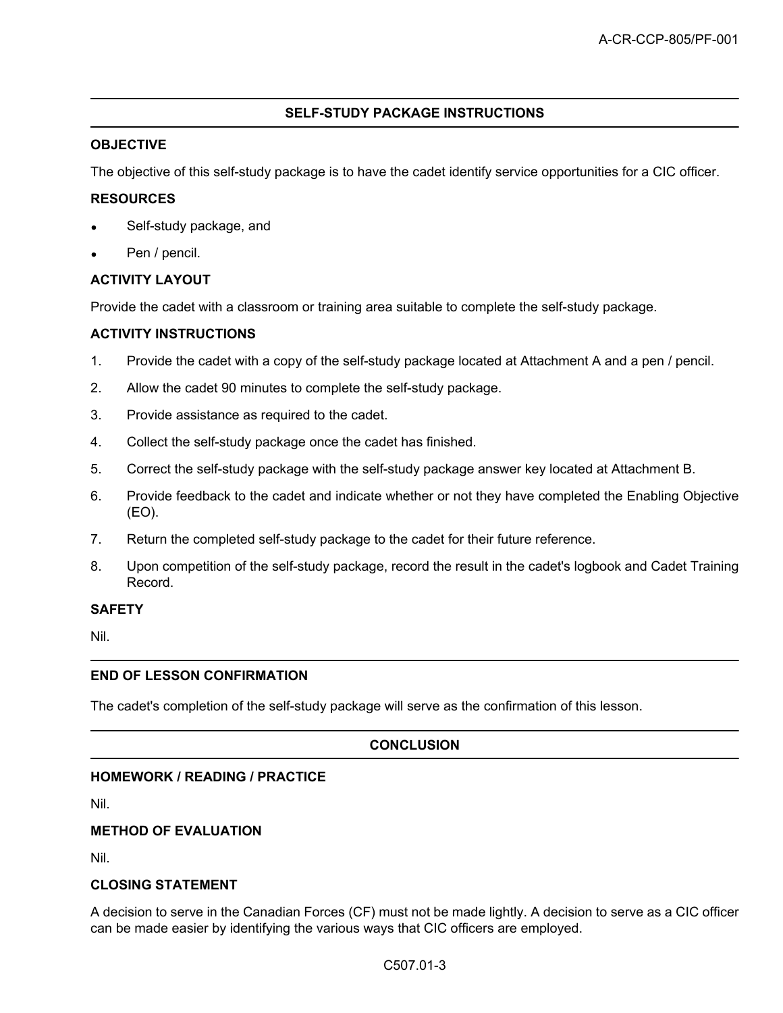# **SELF-STUDY PACKAGE INSTRUCTIONS**

## **OBJECTIVE**

The objective of this self-study package is to have the cadet identify service opportunities for a CIC officer.

#### **RESOURCES**

- Self-study package, and
- Pen / pencil.

# **ACTIVITY LAYOUT**

Provide the cadet with a classroom or training area suitable to complete the self-study package.

## **ACTIVITY INSTRUCTIONS**

- 1. Provide the cadet with a copy of the self-study package located at Attachment A and a pen / pencil.
- 2. Allow the cadet 90 minutes to complete the self-study package.
- 3. Provide assistance as required to the cadet.
- 4. Collect the self-study package once the cadet has finished.
- 5. Correct the self-study package with the self-study package answer key located at Attachment B.
- 6. Provide feedback to the cadet and indicate whether or not they have completed the Enabling Objective (EO).
- 7. Return the completed self-study package to the cadet for their future reference.
- 8. Upon competition of the self-study package, record the result in the cadet's logbook and Cadet Training Record.

## **SAFETY**

Nil.

## **END OF LESSON CONFIRMATION**

The cadet's completion of the self-study package will serve as the confirmation of this lesson.

# **CONCLUSION**

## **HOMEWORK / READING / PRACTICE**

Nil.

## **METHOD OF EVALUATION**

Nil.

#### **CLOSING STATEMENT**

A decision to serve in the Canadian Forces (CF) must not be made lightly. A decision to serve as a CIC officer can be made easier by identifying the various ways that CIC officers are employed.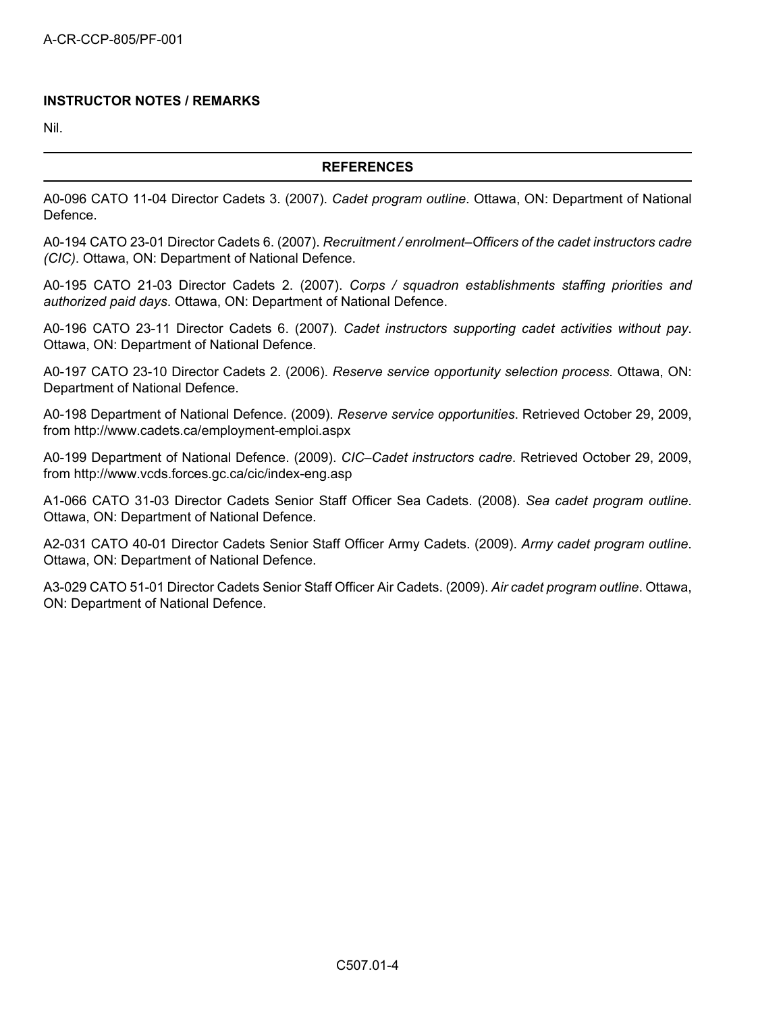# **INSTRUCTOR NOTES / REMARKS**

Nil.

#### **REFERENCES**

A0-096 CATO 11-04 Director Cadets 3. (2007). *Cadet program outline*. Ottawa, ON: Department of National Defence.

A0-194 CATO 23-01 Director Cadets 6. (2007). *Recruitment / enrolment–Officers of the cadet instructors cadre (CIC)*. Ottawa, ON: Department of National Defence.

A0-195 CATO 21-03 Director Cadets 2. (2007). *Corps / squadron establishments staffing priorities and authorized paid days*. Ottawa, ON: Department of National Defence.

A0-196 CATO 23-11 Director Cadets 6. (2007). *Cadet instructors supporting cadet activities without pay*. Ottawa, ON: Department of National Defence.

A0-197 CATO 23-10 Director Cadets 2. (2006). *Reserve service opportunity selection process*. Ottawa, ON: Department of National Defence.

A0-198 Department of National Defence. (2009). *Reserve service opportunities*. Retrieved October 29, 2009, from http://www.cadets.ca/employment-emploi.aspx

A0-199 Department of National Defence. (2009). *CIC–Cadet instructors cadre*. Retrieved October 29, 2009, from http://www.vcds.forces.gc.ca/cic/index-eng.asp

A1-066 CATO 31-03 Director Cadets Senior Staff Officer Sea Cadets. (2008). *Sea cadet program outline*. Ottawa, ON: Department of National Defence.

A2-031 CATO 40-01 Director Cadets Senior Staff Officer Army Cadets. (2009). *Army cadet program outline*. Ottawa, ON: Department of National Defence.

A3-029 CATO 51-01 Director Cadets Senior Staff Officer Air Cadets. (2009). *Air cadet program outline*. Ottawa, ON: Department of National Defence.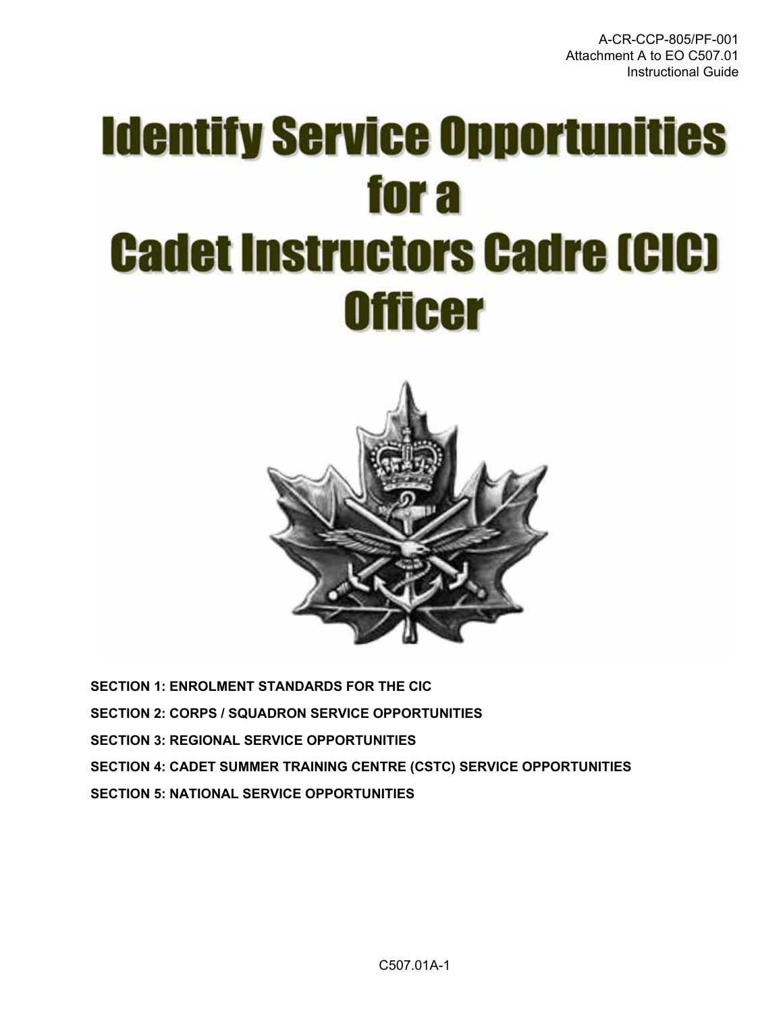A-CR-CCP-805/PF-001 Attachment A to EO C507.01 Instructional Guide

# **Identify Service Opportunities** for a **Cadet Instructors Cadre (CIC) Officer**



**SECTION 1: ENROLMENT STANDARDS FOR THE CIC SECTION 2: CORPS / SQUADRON SERVICE OPPORTUNITIES SECTION 3: REGIONAL SERVICE OPPORTUNITIES SECTION 4: CADET SUMMER TRAINING CENTRE (CSTC) SERVICE OPPORTUNITIES SECTION 5: NATIONAL SERVICE OPPORTUNITIES**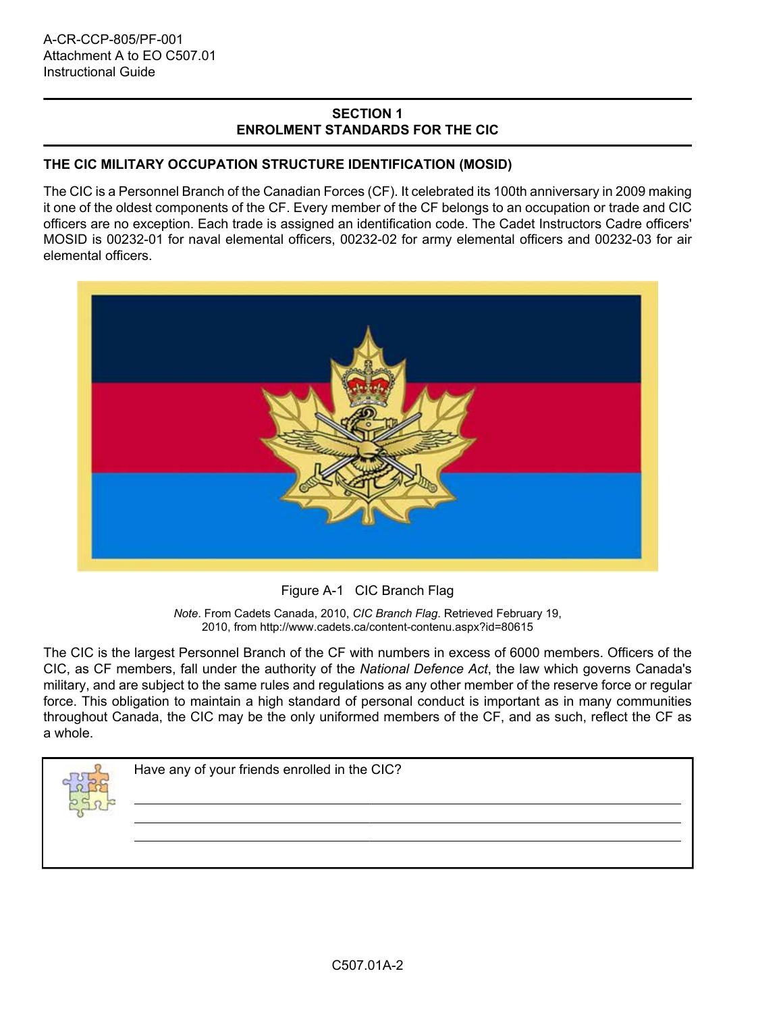# **SECTION 1 ENROLMENT STANDARDS FOR THE CIC**

# **THE CIC MILITARY OCCUPATION STRUCTURE IDENTIFICATION (MOSID)**

The CIC is a Personnel Branch of the Canadian Forces (CF). It celebrated its 100th anniversary in 2009 making it one of the oldest components of the CF. Every member of the CF belongs to an occupation or trade and CIC officers are no exception. Each trade is assigned an identification code. The Cadet Instructors Cadre officers' MOSID is 00232-01 for naval elemental officers, 00232-02 for army elemental officers and 00232-03 for air elemental officers.



Figure A-1 CIC Branch Flag

The CIC is the largest Personnel Branch of the CF with numbers in excess of 6000 members. Officers of the CIC, as CF members, fall under the authority of the *National Defence Act*, the law which governs Canada's military, and are subject to the same rules and regulations as any other member of the reserve force or regular force. This obligation to maintain a high standard of personal conduct is important as in many communities throughout Canada, the CIC may be the only uniformed members of the CF, and as such, reflect the CF as a whole.



*Note*. From Cadets Canada, 2010, *CIC Branch Flag*. Retrieved February 19, 2010, from http://www.cadets.ca/content-contenu.aspx?id=80615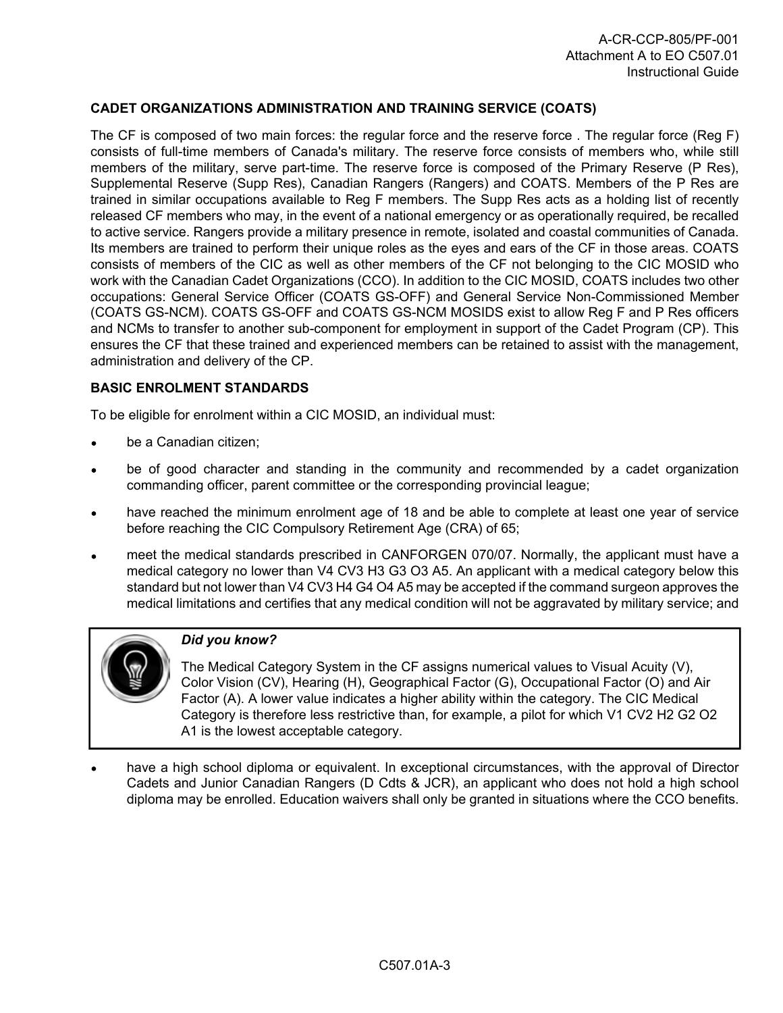# **CADET ORGANIZATIONS ADMINISTRATION AND TRAINING SERVICE (COATS)**

The CF is composed of two main forces: the regular force and the reserve force . The regular force (Reg F) consists of full-time members of Canada's military. The reserve force consists of members who, while still members of the military, serve part-time. The reserve force is composed of the Primary Reserve (P Res), Supplemental Reserve (Supp Res), Canadian Rangers (Rangers) and COATS. Members of the P Res are trained in similar occupations available to Reg F members. The Supp Res acts as a holding list of recently released CF members who may, in the event of a national emergency or as operationally required, be recalled to active service. Rangers provide a military presence in remote, isolated and coastal communities of Canada. Its members are trained to perform their unique roles as the eyes and ears of the CF in those areas. COATS consists of members of the CIC as well as other members of the CF not belonging to the CIC MOSID who work with the Canadian Cadet Organizations (CCO). In addition to the CIC MOSID, COATS includes two other occupations: General Service Officer (COATS GS-OFF) and General Service Non-Commissioned Member (COATS GS-NCM). COATS GS-OFF and COATS GS-NCM MOSIDS exist to allow Reg F and P Res officers and NCMs to transfer to another sub-component for employment in support of the Cadet Program (CP). This ensures the CF that these trained and experienced members can be retained to assist with the management, administration and delivery of the CP.

## **BASIC ENROLMENT STANDARDS**

To be eligible for enrolment within a CIC MOSID, an individual must:

- be a Canadian citizen;
- be of good character and standing in the community and recommended by a cadet organization commanding officer, parent committee or the corresponding provincial league;
- have reached the minimum enrolment age of 18 and be able to complete at least one year of service before reaching the CIC Compulsory Retirement Age (CRA) of 65;
- meet the medical standards prescribed in CANFORGEN 070/07. Normally, the applicant must have a medical category no lower than V4 CV3 H3 G3 O3 A5. An applicant with a medical category below this standard but not lower than V4 CV3 H4 G4 O4 A5 may be accepted if the command surgeon approves the medical limitations and certifies that any medical condition will not be aggravated by military service; and



## *Did you know?*

The Medical Category System in the CF assigns numerical values to Visual Acuity (V), Color Vision (CV), Hearing (H), Geographical Factor (G), Occupational Factor (O) and Air Factor (A). A lower value indicates a higher ability within the category. The CIC Medical Category is therefore less restrictive than, for example, a pilot for which V1 CV2 H2 G2 O2 A1 is the lowest acceptable category.

have a high school diploma or equivalent. In exceptional circumstances, with the approval of Director Cadets and Junior Canadian Rangers (D Cdts & JCR), an applicant who does not hold a high school diploma may be enrolled. Education waivers shall only be granted in situations where the CCO benefits.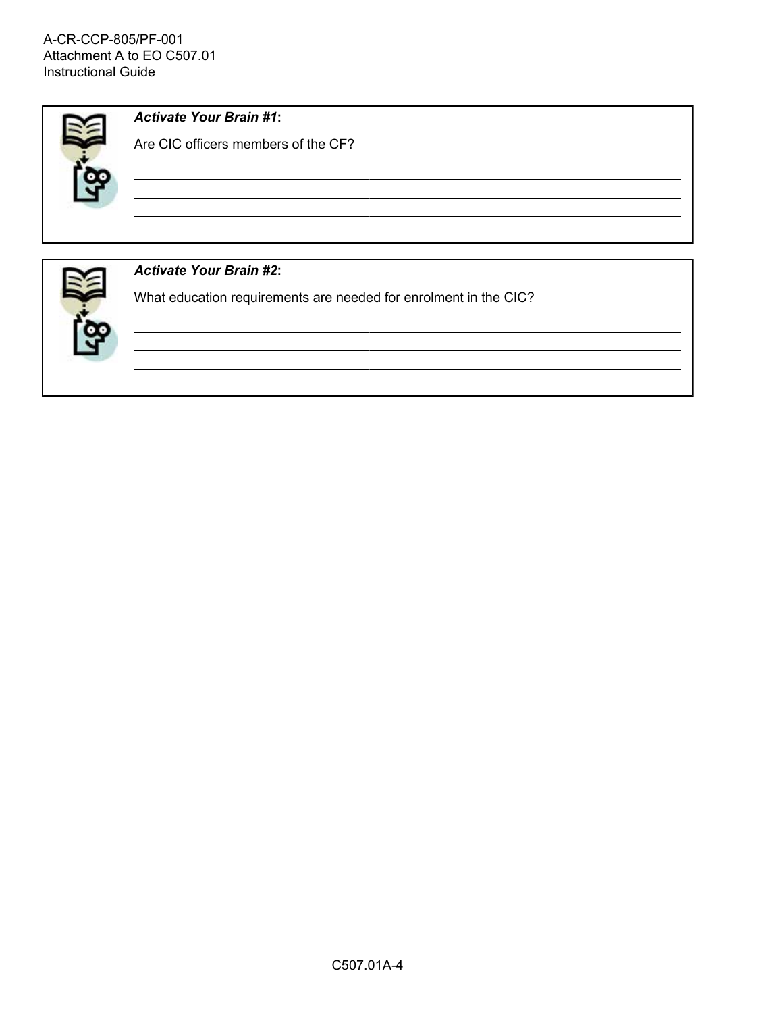

# *Activate Your Brain #1***:**

Are CIC officers members of the CF?

# *Activate Your Brain #2***:**

What education requirements are needed for enrolment in the CIC?

<u> 1989 - Johann Barn, mars ann an t-Amhain Aonaichte ann an t-Aonaichte ann an t-Aonaichte ann an t-Aonaichte a</u>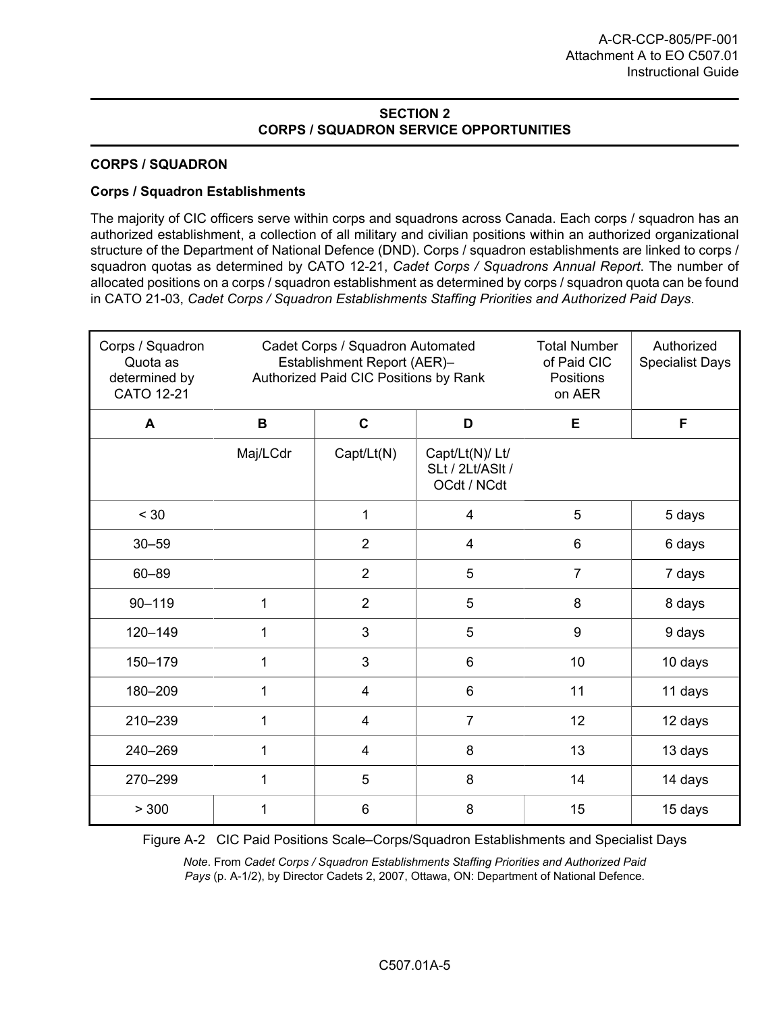# **SECTION 2 CORPS / SQUADRON SERVICE OPPORTUNITIES**

#### **CORPS / SQUADRON**

## **Corps / Squadron Establishments**

The majority of CIC officers serve within corps and squadrons across Canada. Each corps / squadron has an authorized establishment, a collection of all military and civilian positions within an authorized organizational structure of the Department of National Defence (DND). Corps / squadron establishments are linked to corps / squadron quotas as determined by CATO 12-21, *Cadet Corps / Squadrons Annual Report*. The number of allocated positions on a corps / squadron establishment as determined by corps / squadron quota can be found in CATO 21-03, *Cadet Corps / Squadron Establishments Staffing Priorities and Authorized Paid Days*.

| Corps / Squadron<br>Quota as<br>determined by<br><b>CATO 12-21</b> | Cadet Corps / Squadron Automated<br>Establishment Report (AER)-<br>Authorized Paid CIC Positions by Rank |                |                                                    | <b>Total Number</b><br>of Paid CIC<br>Positions<br>on AER | Authorized<br><b>Specialist Days</b> |
|--------------------------------------------------------------------|----------------------------------------------------------------------------------------------------------|----------------|----------------------------------------------------|-----------------------------------------------------------|--------------------------------------|
| A                                                                  | В                                                                                                        | $\mathbf c$    | D                                                  | E                                                         | F                                    |
|                                                                    | Maj/LCdr                                                                                                 | Capt/Lt(N)     | Capt/Lt(N)/ Lt/<br>SLt / 2Lt/ASIt /<br>OCdt / NCdt |                                                           |                                      |
| < 30                                                               |                                                                                                          | 1              | $\overline{4}$                                     | 5                                                         | 5 days                               |
| $30 - 59$                                                          |                                                                                                          | 2              | $\overline{4}$                                     | 6                                                         | 6 days                               |
| $60 - 89$                                                          |                                                                                                          | $\overline{2}$ | 5                                                  | $\overline{7}$                                            | 7 days                               |
| $90 - 119$                                                         | 1                                                                                                        | $\overline{2}$ | 5                                                  | 8                                                         | 8 days                               |
| 120-149                                                            | 1                                                                                                        | 3              | 5                                                  | 9                                                         | 9 days                               |
| 150-179                                                            | 1                                                                                                        | 3              | $6\phantom{1}$                                     | 10                                                        | 10 days                              |
| 180-209                                                            | 1                                                                                                        | 4              | 6                                                  | 11                                                        | 11 days                              |
| 210-239                                                            | 1                                                                                                        | 4              | $\overline{7}$                                     | 12                                                        | 12 days                              |
| 240-269                                                            | 1                                                                                                        | 4              | 8                                                  | 13                                                        | 13 days                              |
| 270-299                                                            | 1                                                                                                        | 5              | 8                                                  | 14                                                        | 14 days                              |
| > 300                                                              | 1                                                                                                        | 6              | 8                                                  | 15                                                        | 15 days                              |

Figure A-2 CIC Paid Positions Scale–Corps/Squadron Establishments and Specialist Days

*Note*. From *Cadet Corps / Squadron Establishments Staffing Priorities and Authorized Paid Pays* (p. A-1/2), by Director Cadets 2, 2007, Ottawa, ON: Department of National Defence.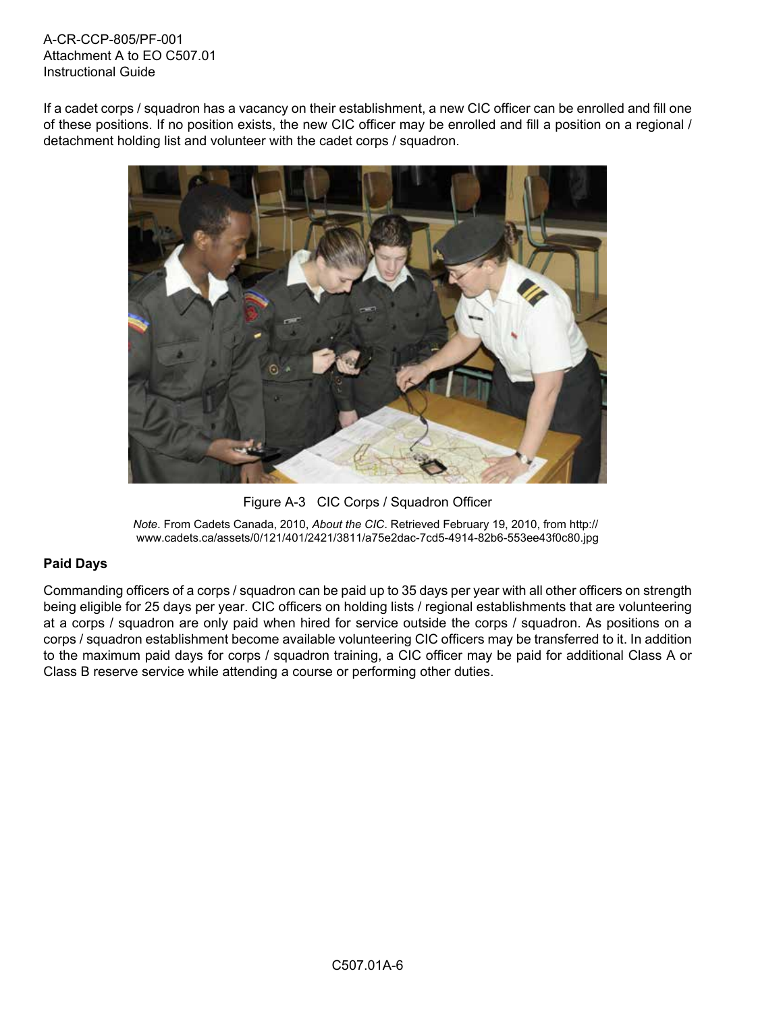# A-CR-CCP-805/PF-001 Attachment A to EO C507.01 Instructional Guide

If a cadet corps / squadron has a vacancy on their establishment, a new CIC officer can be enrolled and fill one of these positions. If no position exists, the new CIC officer may be enrolled and fill a position on a regional / detachment holding list and volunteer with the cadet corps / squadron.



Figure A-3 CIC Corps / Squadron Officer

*Note*. From Cadets Canada, 2010, *About the CIC*. Retrieved February 19, 2010, from http:// www.cadets.ca/assets/0/121/401/2421/3811/a75e2dac-7cd5-4914-82b6-553ee43f0c80.jpg

# **Paid Days**

Commanding officers of a corps / squadron can be paid up to 35 days per year with all other officers on strength being eligible for 25 days per year. CIC officers on holding lists / regional establishments that are volunteering at a corps / squadron are only paid when hired for service outside the corps / squadron. As positions on a corps / squadron establishment become available volunteering CIC officers may be transferred to it. In addition to the maximum paid days for corps / squadron training, a CIC officer may be paid for additional Class A or Class B reserve service while attending a course or performing other duties.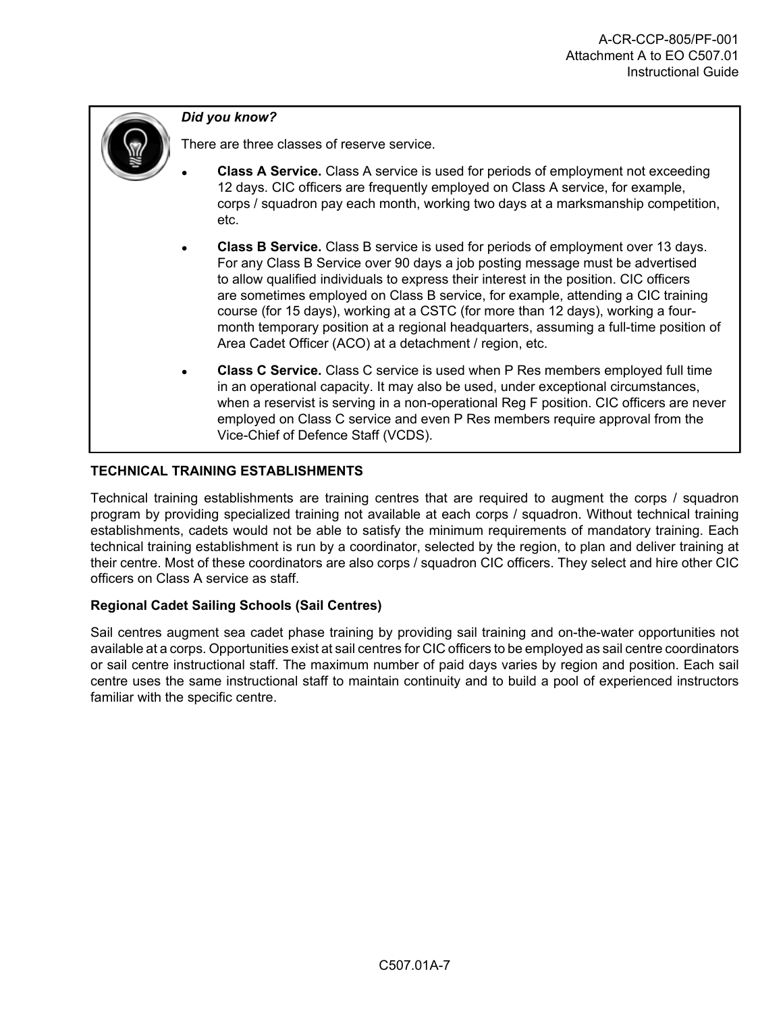

#### *Did you know?*

There are three classes of reserve service.

- **Class A Service.** Class A service is used for periods of employment not exceeding 12 days. CIC officers are frequently employed on Class A service, for example, corps / squadron pay each month, working two days at a marksmanship competition, etc.
- **Class B Service.** Class B service is used for periods of employment over 13 days. For any Class B Service over 90 days a job posting message must be advertised to allow qualified individuals to express their interest in the position. CIC officers are sometimes employed on Class B service, for example, attending a CIC training course (for 15 days), working at a CSTC (for more than 12 days), working a fourmonth temporary position at a regional headquarters, assuming a full-time position of Area Cadet Officer (ACO) at a detachment / region, etc.
- **Class C Service.** Class C service is used when P Res members employed full time  $\bullet$ in an operational capacity. It may also be used, under exceptional circumstances, when a reservist is serving in a non-operational Reg F position. CIC officers are never employed on Class C service and even P Res members require approval from the Vice-Chief of Defence Staff (VCDS).

# **TECHNICAL TRAINING ESTABLISHMENTS**

Technical training establishments are training centres that are required to augment the corps / squadron program by providing specialized training not available at each corps / squadron. Without technical training establishments, cadets would not be able to satisfy the minimum requirements of mandatory training. Each technical training establishment is run by a coordinator, selected by the region, to plan and deliver training at their centre. Most of these coordinators are also corps / squadron CIC officers. They select and hire other CIC officers on Class A service as staff.

## **Regional Cadet Sailing Schools (Sail Centres)**

Sail centres augment sea cadet phase training by providing sail training and on-the-water opportunities not available at a corps. Opportunities exist at sail centres for CIC officers to be employed as sail centre coordinators or sail centre instructional staff. The maximum number of paid days varies by region and position. Each sail centre uses the same instructional staff to maintain continuity and to build a pool of experienced instructors familiar with the specific centre.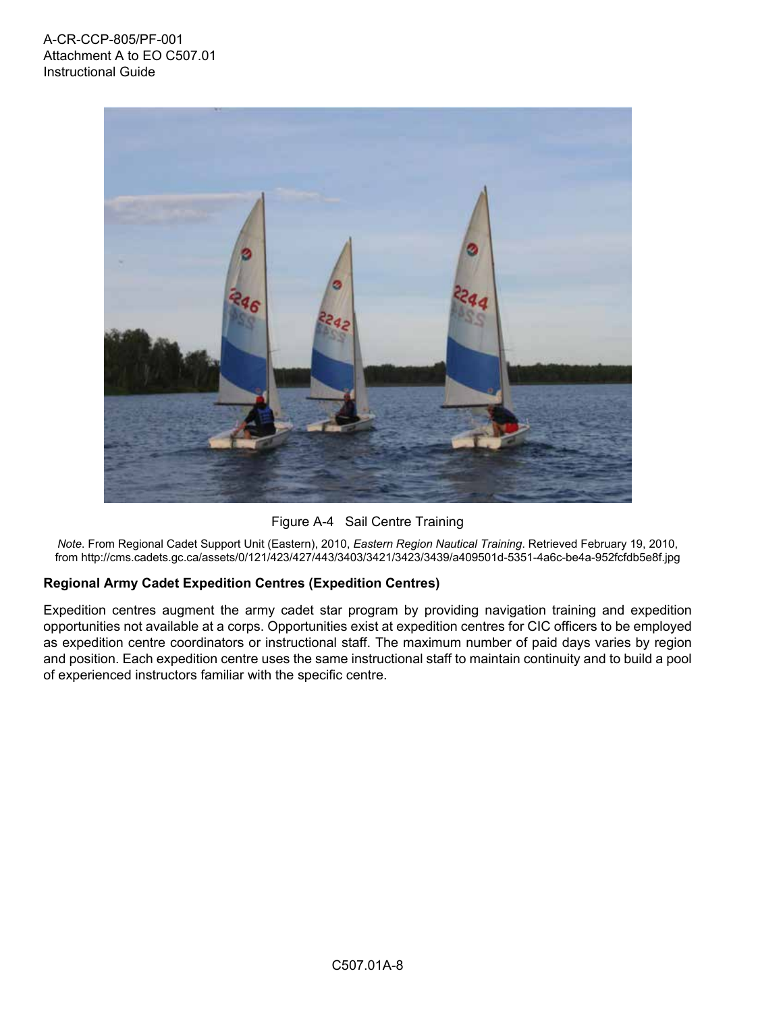

Figure A-4 Sail Centre Training

*Note*. From Regional Cadet Support Unit (Eastern), 2010, *Eastern Region Nautical Training*. Retrieved February 19, 2010, from http://cms.cadets.gc.ca/assets/0/121/423/427/443/3403/3421/3423/3439/a409501d-5351-4a6c-be4a-952fcfdb5e8f.jpg

## **Regional Army Cadet Expedition Centres (Expedition Centres)**

Expedition centres augment the army cadet star program by providing navigation training and expedition opportunities not available at a corps. Opportunities exist at expedition centres for CIC officers to be employed as expedition centre coordinators or instructional staff. The maximum number of paid days varies by region and position. Each expedition centre uses the same instructional staff to maintain continuity and to build a pool of experienced instructors familiar with the specific centre.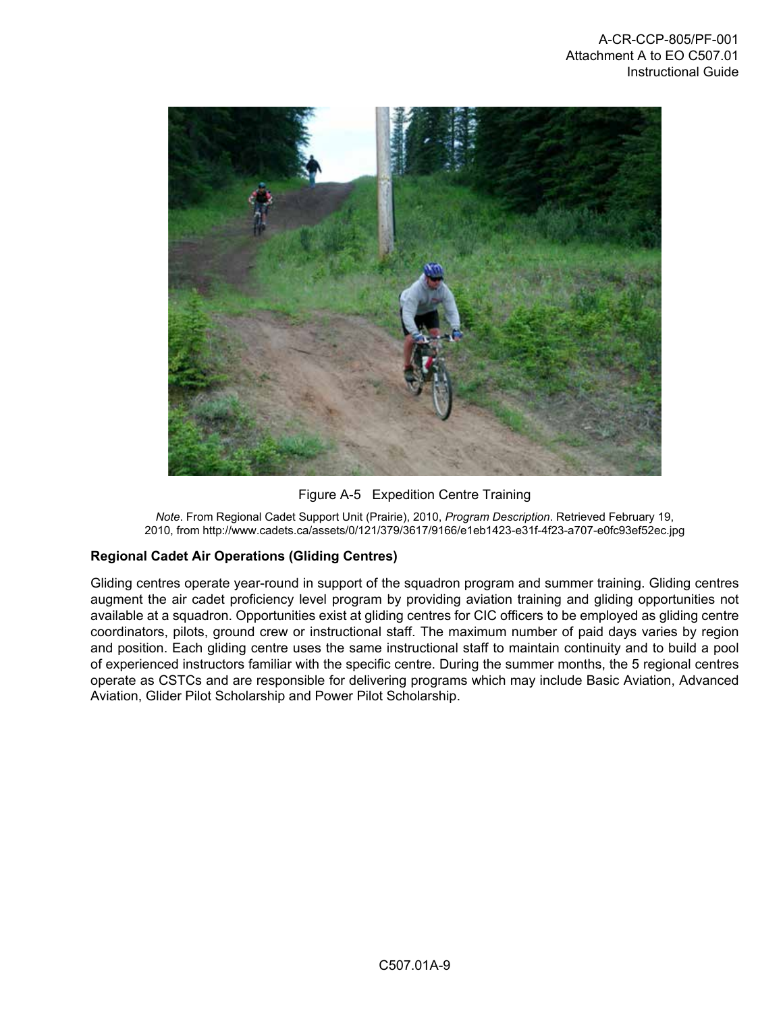

Figure A-5 Expedition Centre Training

*Note*. From Regional Cadet Support Unit (Prairie), 2010, *Program Description*. Retrieved February 19, 2010, from http://www.cadets.ca/assets/0/121/379/3617/9166/e1eb1423-e31f-4f23-a707-e0fc93ef52ec.jpg

## **Regional Cadet Air Operations (Gliding Centres)**

Gliding centres operate year-round in support of the squadron program and summer training. Gliding centres augment the air cadet proficiency level program by providing aviation training and gliding opportunities not available at a squadron. Opportunities exist at gliding centres for CIC officers to be employed as gliding centre coordinators, pilots, ground crew or instructional staff. The maximum number of paid days varies by region and position. Each gliding centre uses the same instructional staff to maintain continuity and to build a pool of experienced instructors familiar with the specific centre. During the summer months, the 5 regional centres operate as CSTCs and are responsible for delivering programs which may include Basic Aviation, Advanced Aviation, Glider Pilot Scholarship and Power Pilot Scholarship.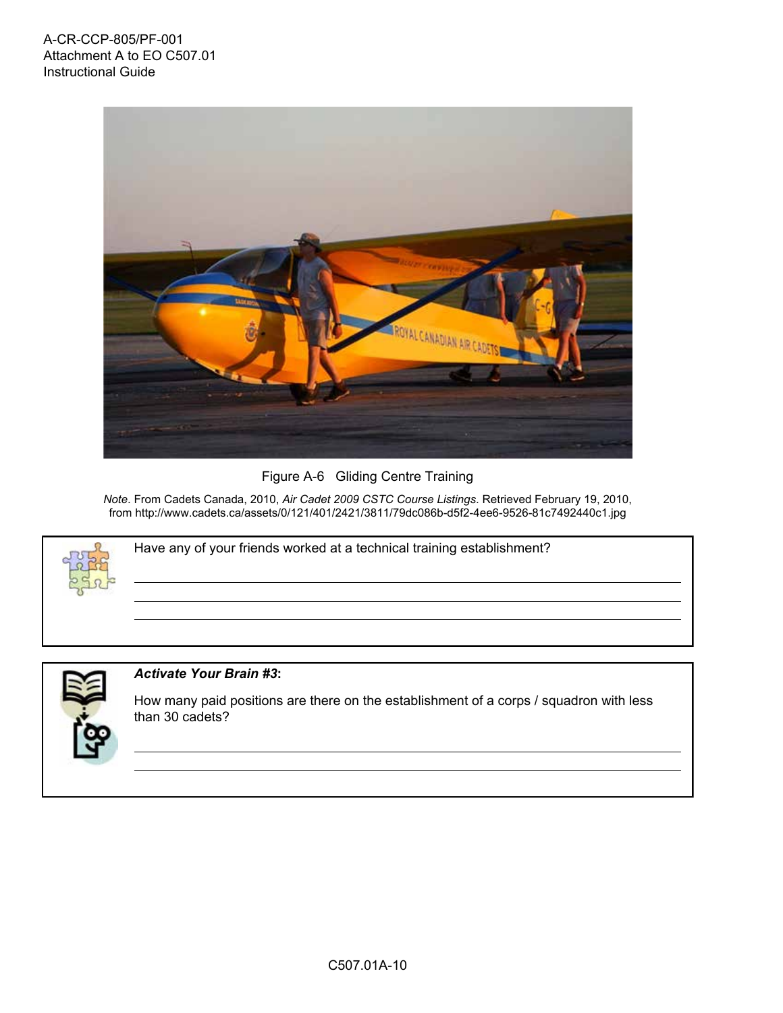# A-CR-CCP-805/PF-001 Attachment A to EO C507.01 Instructional Guide



Figure A-6 Gliding Centre Training

*Note*. From Cadets Canada, 2010, *Air Cadet 2009 CSTC Course Listings*. Retrieved February 19, 2010, from http://www.cadets.ca/assets/0/121/401/2421/3811/79dc086b-d5f2-4ee6-9526-81c7492440c1.jpg



Have any of your friends worked at a technical training establishment?



# *Activate Your Brain #3***:**

How many paid positions are there on the establishment of a corps / squadron with less than 30 cadets?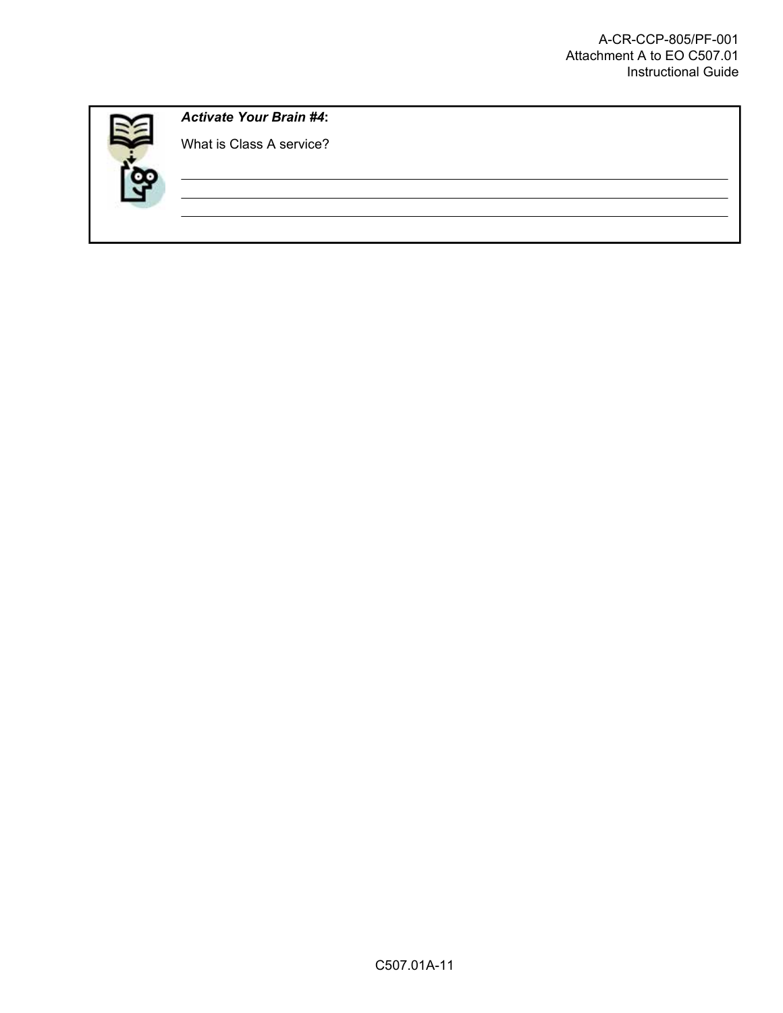

*Activate Your Brain #4***:**

What is Class A service?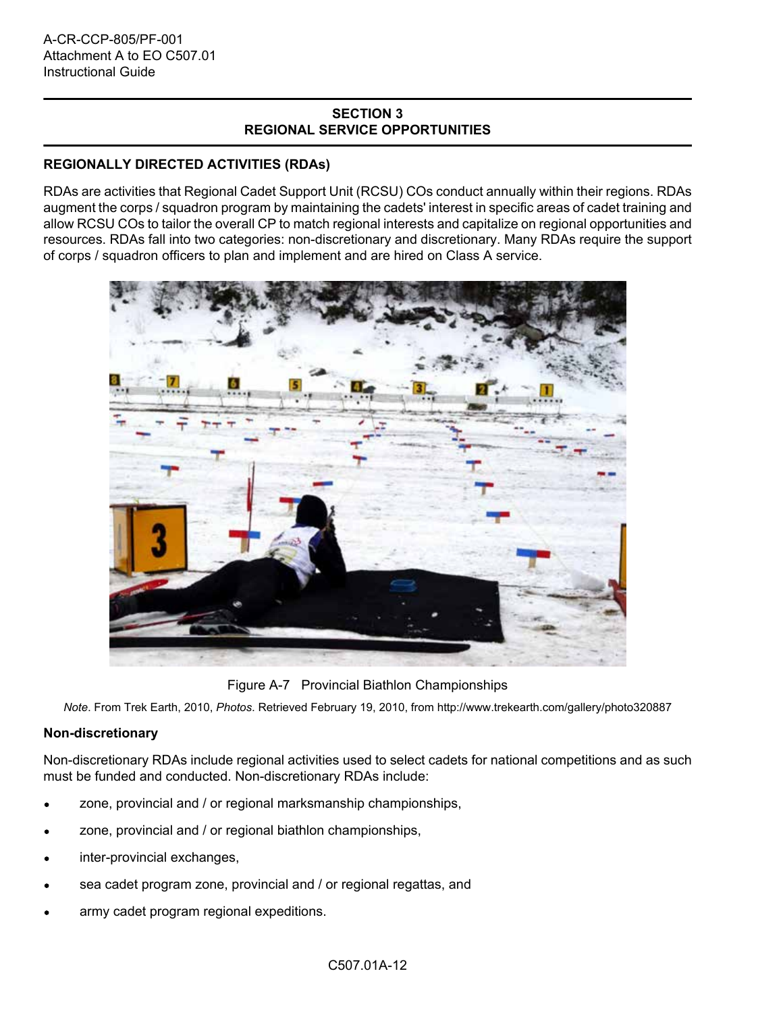# **SECTION 3 REGIONAL SERVICE OPPORTUNITIES**

# **REGIONALLY DIRECTED ACTIVITIES (RDAs)**

RDAs are activities that Regional Cadet Support Unit (RCSU) COs conduct annually within their regions. RDAs augment the corps / squadron program by maintaining the cadets' interest in specific areas of cadet training and allow RCSU COs to tailor the overall CP to match regional interests and capitalize on regional opportunities and resources. RDAs fall into two categories: non-discretionary and discretionary. Many RDAs require the support of corps / squadron officers to plan and implement and are hired on Class A service.



Figure A-7 Provincial Biathlon Championships

*Note*. From Trek Earth, 2010, *Photos*. Retrieved February 19, 2010, from http://www.trekearth.com/gallery/photo320887

## **Non-discretionary**

Non-discretionary RDAs include regional activities used to select cadets for national competitions and as such must be funded and conducted. Non-discretionary RDAs include:

- zone, provincial and / or regional marksmanship championships,
- zone, provincial and / or regional biathlon championships,
- inter-provincial exchanges,
- sea cadet program zone, provincial and / or regional regattas, and
- army cadet program regional expeditions.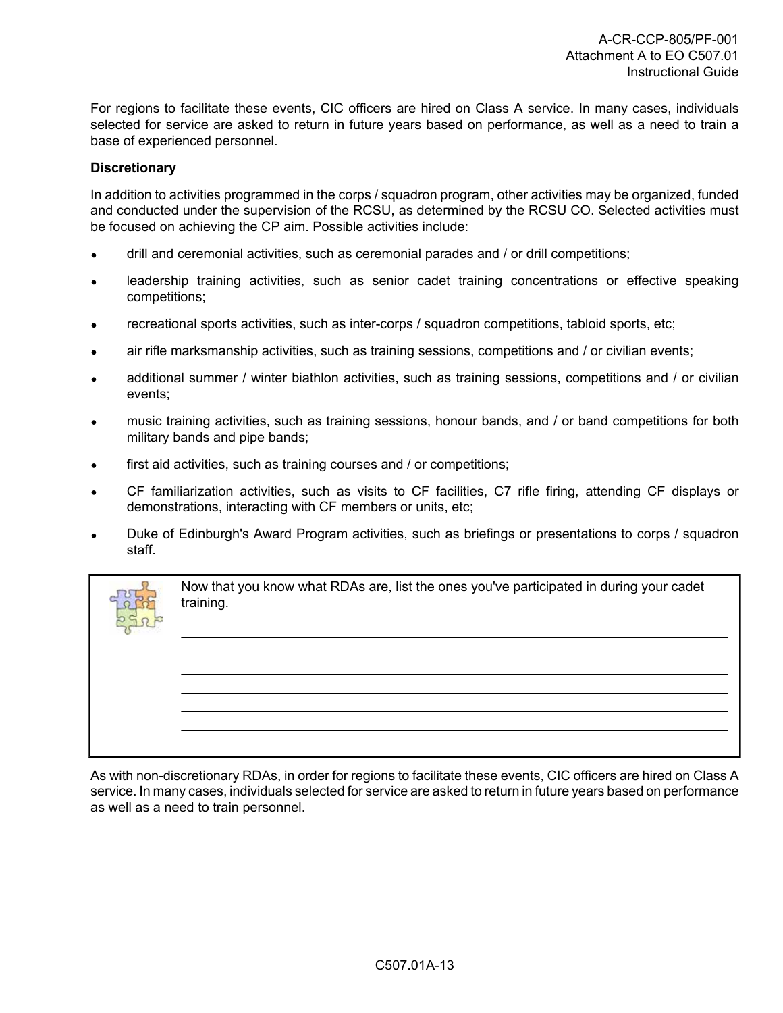For regions to facilitate these events, CIC officers are hired on Class A service. In many cases, individuals selected for service are asked to return in future years based on performance, as well as a need to train a base of experienced personnel.

#### **Discretionary**

In addition to activities programmed in the corps / squadron program, other activities may be organized, funded and conducted under the supervision of the RCSU, as determined by the RCSU CO. Selected activities must be focused on achieving the CP aim. Possible activities include:

- drill and ceremonial activities, such as ceremonial parades and / or drill competitions;
- leadership training activities, such as senior cadet training concentrations or effective speaking competitions;
- recreational sports activities, such as inter-corps / squadron competitions, tabloid sports, etc;
- air rifle marksmanship activities, such as training sessions, competitions and / or civilian events;
- additional summer / winter biathlon activities, such as training sessions, competitions and / or civilian events;
- music training activities, such as training sessions, honour bands, and / or band competitions for both military bands and pipe bands;
- first aid activities, such as training courses and / or competitions;
- CF familiarization activities, such as visits to CF facilities, C7 rifle firing, attending CF displays or demonstrations, interacting with CF members or units, etc;
- Duke of Edinburgh's Award Program activities, such as briefings or presentations to corps / squadron staff.

| Now that you know what RDAs are, list the ones you've participated in during your cadet<br>training. |
|------------------------------------------------------------------------------------------------------|
|                                                                                                      |
|                                                                                                      |
|                                                                                                      |

As with non-discretionary RDAs, in order for regions to facilitate these events, CIC officers are hired on Class A service. In many cases, individuals selected for service are asked to return in future years based on performance as well as a need to train personnel.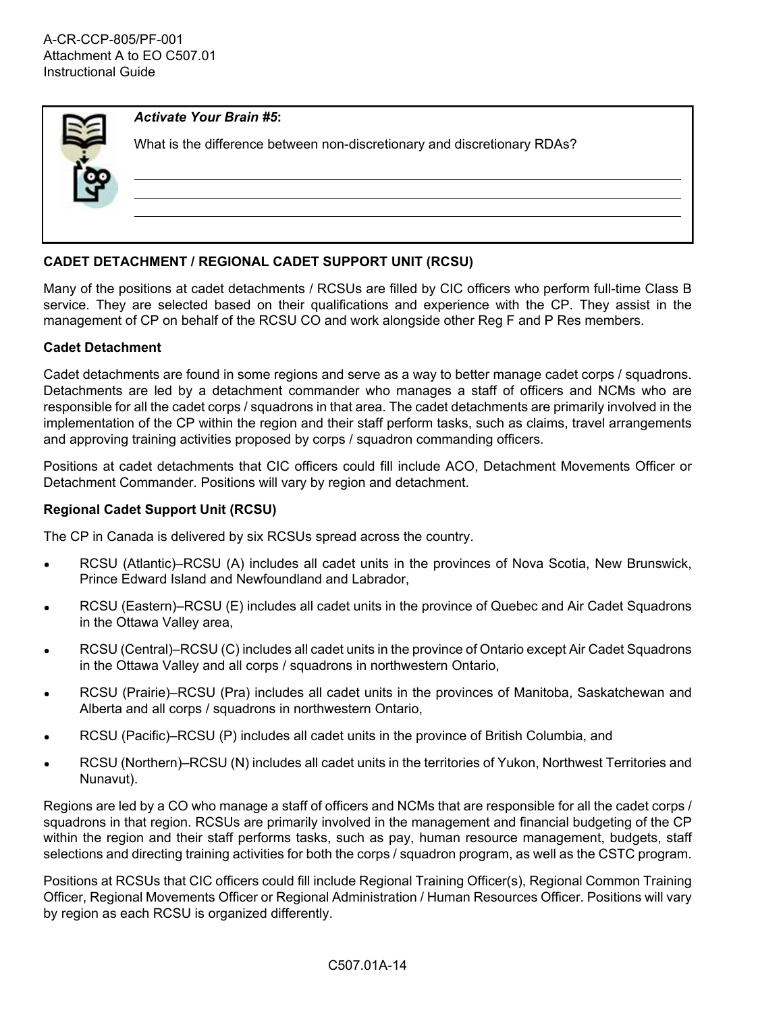

# **CADET DETACHMENT / REGIONAL CADET SUPPORT UNIT (RCSU)**

Many of the positions at cadet detachments / RCSUs are filled by CIC officers who perform full-time Class B service. They are selected based on their qualifications and experience with the CP. They assist in the management of CP on behalf of the RCSU CO and work alongside other Reg F and P Res members.

#### **Cadet Detachment**

Cadet detachments are found in some regions and serve as a way to better manage cadet corps / squadrons. Detachments are led by a detachment commander who manages a staff of officers and NCMs who are responsible for all the cadet corps / squadrons in that area. The cadet detachments are primarily involved in the implementation of the CP within the region and their staff perform tasks, such as claims, travel arrangements and approving training activities proposed by corps / squadron commanding officers.

Positions at cadet detachments that CIC officers could fill include ACO, Detachment Movements Officer or Detachment Commander. Positions will vary by region and detachment.

#### **Regional Cadet Support Unit (RCSU)**

The CP in Canada is delivered by six RCSUs spread across the country.

- RCSU (Atlantic)–RCSU (A) includes all cadet units in the provinces of Nova Scotia, New Brunswick,  $\bullet$ Prince Edward Island and Newfoundland and Labrador,
- RCSU (Eastern)–RCSU (E) includes all cadet units in the province of Quebec and Air Cadet Squadrons in the Ottawa Valley area,
- RCSU (Central)–RCSU (C) includes all cadet units in the province of Ontario except Air Cadet Squadrons in the Ottawa Valley and all corps / squadrons in northwestern Ontario,
- RCSU (Prairie)–RCSU (Pra) includes all cadet units in the provinces of Manitoba, Saskatchewan and Alberta and all corps / squadrons in northwestern Ontario,
- RCSU (Pacific)–RCSU (P) includes all cadet units in the province of British Columbia, and
- RCSU (Northern)–RCSU (N) includes all cadet units in the territories of Yukon, Northwest Territories and  $\bullet$ Nunavut).

Regions are led by a CO who manage a staff of officers and NCMs that are responsible for all the cadet corps / squadrons in that region. RCSUs are primarily involved in the management and financial budgeting of the CP within the region and their staff performs tasks, such as pay, human resource management, budgets, staff selections and directing training activities for both the corps / squadron program, as well as the CSTC program.

Positions at RCSUs that CIC officers could fill include Regional Training Officer(s), Regional Common Training Officer, Regional Movements Officer or Regional Administration / Human Resources Officer. Positions will vary by region as each RCSU is organized differently.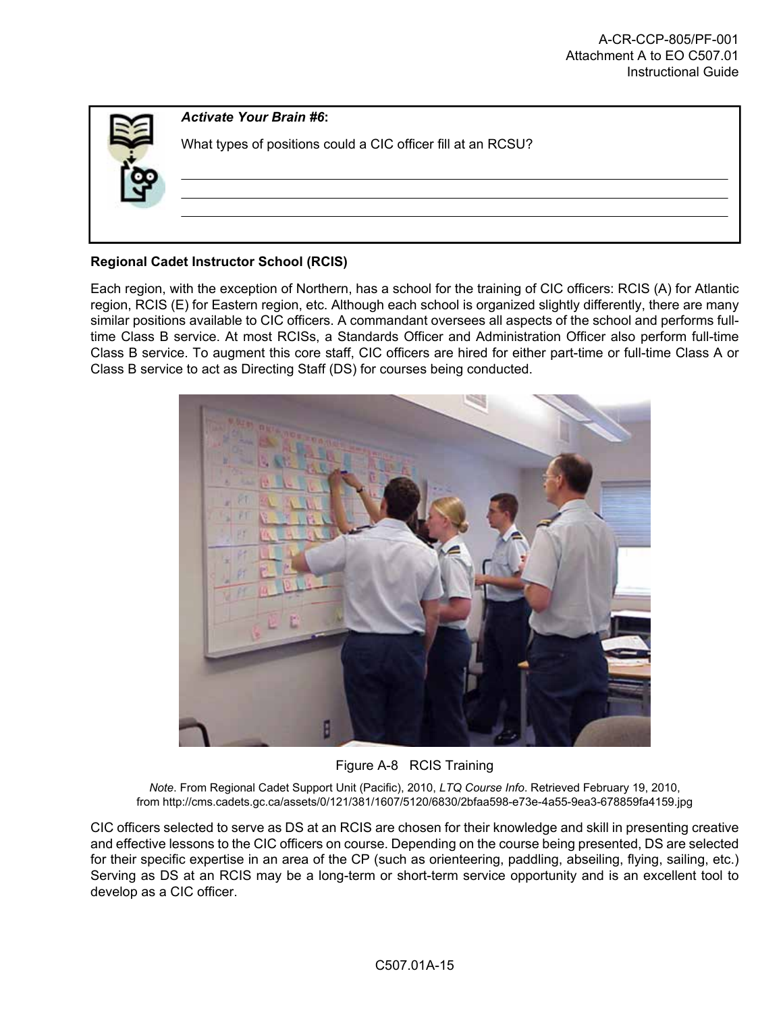

## **Regional Cadet Instructor School (RCIS)**

Each region, with the exception of Northern, has a school for the training of CIC officers: RCIS (A) for Atlantic region, RCIS (E) for Eastern region, etc. Although each school is organized slightly differently, there are many similar positions available to CIC officers. A commandant oversees all aspects of the school and performs fulltime Class B service. At most RCISs, a Standards Officer and Administration Officer also perform full-time Class B service. To augment this core staff, CIC officers are hired for either part-time or full-time Class A or Class B service to act as Directing Staff (DS) for courses being conducted.



Figure A-8 RCIS Training

*Note*. From Regional Cadet Support Unit (Pacific), 2010, *LTQ Course Info*. Retrieved February 19, 2010, from http://cms.cadets.gc.ca/assets/0/121/381/1607/5120/6830/2bfaa598-e73e-4a55-9ea3-678859fa4159.jpg

CIC officers selected to serve as DS at an RCIS are chosen for their knowledge and skill in presenting creative and effective lessons to the CIC officers on course. Depending on the course being presented, DS are selected for their specific expertise in an area of the CP (such as orienteering, paddling, abseiling, flying, sailing, etc.) Serving as DS at an RCIS may be a long-term or short-term service opportunity and is an excellent tool to develop as a CIC officer.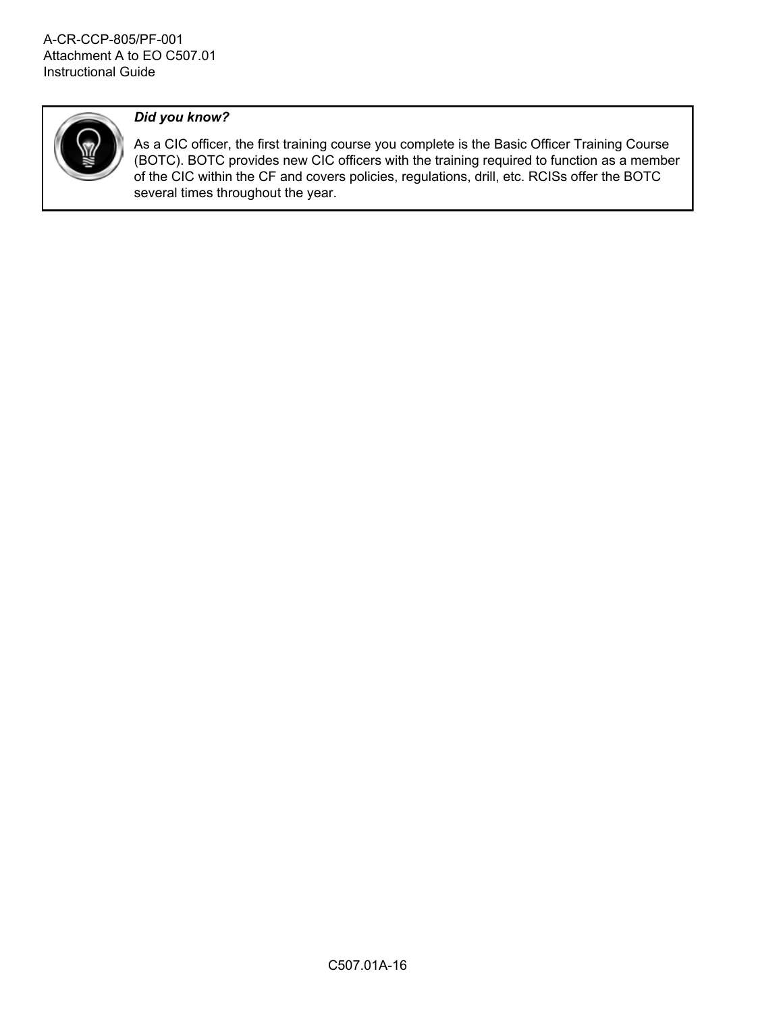

# *Did you know?*

As a CIC officer, the first training course you complete is the Basic Officer Training Course (BOTC). BOTC provides new CIC officers with the training required to function as a member of the CIC within the CF and covers policies, regulations, drill, etc. RCISs offer the BOTC several times throughout the year.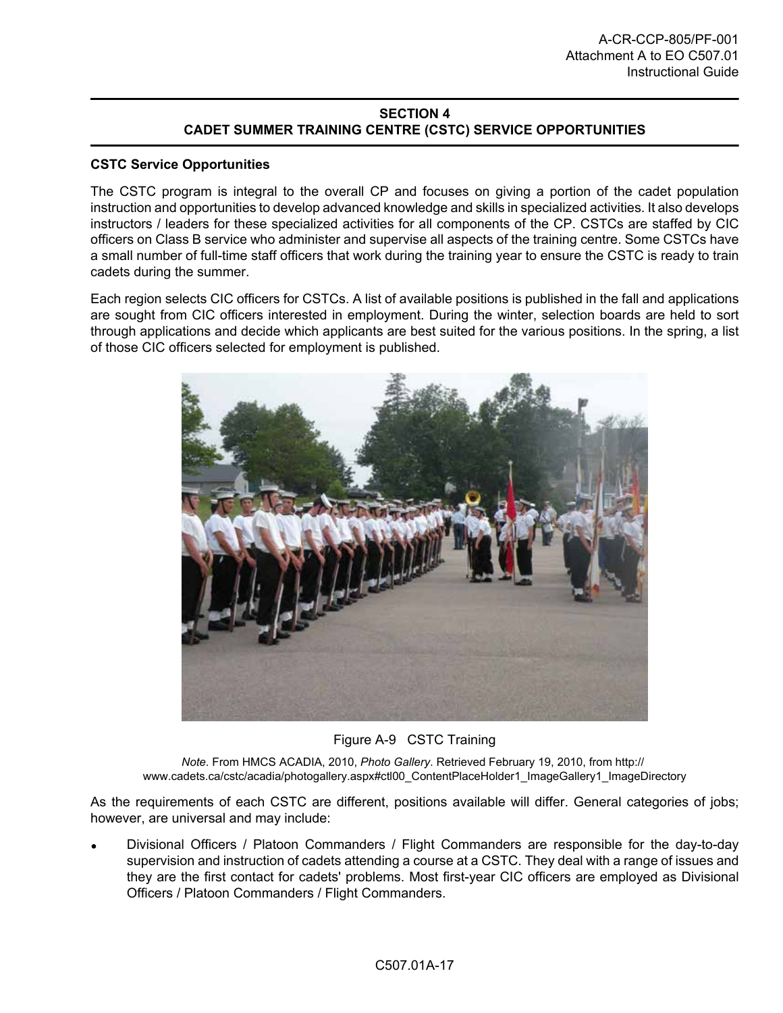## **SECTION 4 CADET SUMMER TRAINING CENTRE (CSTC) SERVICE OPPORTUNITIES**

#### **CSTC Service Opportunities**

The CSTC program is integral to the overall CP and focuses on giving a portion of the cadet population instruction and opportunities to develop advanced knowledge and skills in specialized activities. It also develops instructors / leaders for these specialized activities for all components of the CP. CSTCs are staffed by CIC officers on Class B service who administer and supervise all aspects of the training centre. Some CSTCs have a small number of full-time staff officers that work during the training year to ensure the CSTC is ready to train cadets during the summer.

Each region selects CIC officers for CSTCs. A list of available positions is published in the fall and applications are sought from CIC officers interested in employment. During the winter, selection boards are held to sort through applications and decide which applicants are best suited for the various positions. In the spring, a list of those CIC officers selected for employment is published.



Figure A-9 CSTC Training

*Note*. From HMCS ACADIA, 2010, *Photo Gallery*. Retrieved February 19, 2010, from http:// www.cadets.ca/cstc/acadia/photogallery.aspx#ctl00\_ContentPlaceHolder1\_ImageGallery1\_ImageDirectory

As the requirements of each CSTC are different, positions available will differ. General categories of jobs; however, are universal and may include:

Divisional Officers / Platoon Commanders / Flight Commanders are responsible for the day-to-day supervision and instruction of cadets attending a course at a CSTC. They deal with a range of issues and they are the first contact for cadets' problems. Most first-year CIC officers are employed as Divisional Officers / Platoon Commanders / Flight Commanders.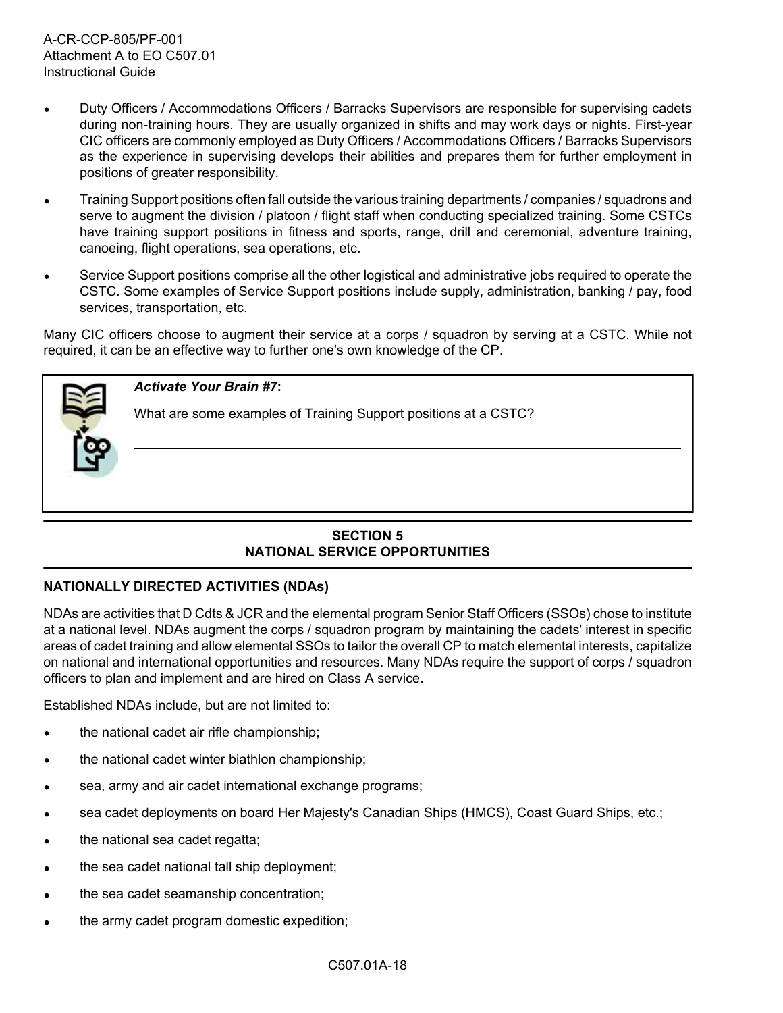A-CR-CCP-805/PF-001 Attachment A to EO C507.01 Instructional Guide

- Duty Officers / Accommodations Officers / Barracks Supervisors are responsible for supervising cadets during non-training hours. They are usually organized in shifts and may work days or nights. First-year CIC officers are commonly employed as Duty Officers / Accommodations Officers / Barracks Supervisors as the experience in supervising develops their abilities and prepares them for further employment in positions of greater responsibility.
- Training Support positions often fall outside the various training departments / companies / squadrons and  $\bullet$ serve to augment the division / platoon / flight staff when conducting specialized training. Some CSTCs have training support positions in fitness and sports, range, drill and ceremonial, adventure training, canoeing, flight operations, sea operations, etc.
- Service Support positions comprise all the other logistical and administrative jobs required to operate the CSTC. Some examples of Service Support positions include supply, administration, banking / pay, food services, transportation, etc.

Many CIC officers choose to augment their service at a corps / squadron by serving at a CSTC. While not required, it can be an effective way to further one's own knowledge of the CP.

| <b>Activate Your Brain #7:</b>                                  |
|-----------------------------------------------------------------|
| What are some examples of Training Support positions at a CSTC? |
|                                                                 |
|                                                                 |
|                                                                 |
|                                                                 |

## **SECTION 5 NATIONAL SERVICE OPPORTUNITIES**

## **NATIONALLY DIRECTED ACTIVITIES (NDAs)**

NDAs are activities that D Cdts & JCR and the elemental program Senior Staff Officers (SSOs) chose to institute at a national level. NDAs augment the corps / squadron program by maintaining the cadets' interest in specific areas of cadet training and allow elemental SSOs to tailor the overall CP to match elemental interests, capitalize on national and international opportunities and resources. Many NDAs require the support of corps / squadron officers to plan and implement and are hired on Class A service.

Established NDAs include, but are not limited to:

- the national cadet air rifle championship;
- the national cadet winter biathlon championship;
- sea, army and air cadet international exchange programs;
- sea cadet deployments on board Her Majesty's Canadian Ships (HMCS), Coast Guard Ships, etc.;
- the national sea cadet regatta;
- the sea cadet national tall ship deployment;
- the sea cadet seamanship concentration;
- the army cadet program domestic expedition;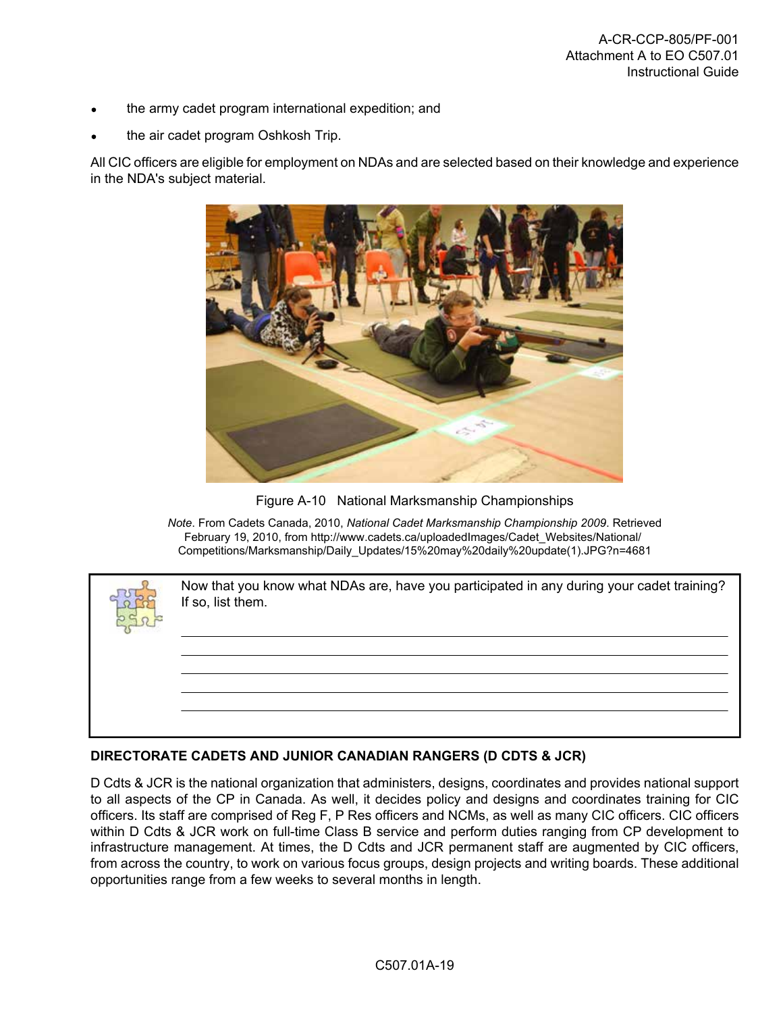- the army cadet program international expedition; and
- the air cadet program Oshkosh Trip.

All CIC officers are eligible for employment on NDAs and are selected based on their knowledge and experience in the NDA's subject material.



Figure A-10 National Marksmanship Championships

*Note*. From Cadets Canada, 2010, *National Cadet Marksmanship Championship 2009*. Retrieved February 19, 2010, from http://www.cadets.ca/uploadedImages/Cadet\_Websites/National/ Competitions/Marksmanship/Daily\_Updates/15%20may%20daily%20update(1).JPG?n=4681



Now that you know what NDAs are, have you participated in any during your cadet training? If so, list them.

## **DIRECTORATE CADETS AND JUNIOR CANADIAN RANGERS (D CDTS & JCR)**

D Cdts & JCR is the national organization that administers, designs, coordinates and provides national support to all aspects of the CP in Canada. As well, it decides policy and designs and coordinates training for CIC officers. Its staff are comprised of Reg F, P Res officers and NCMs, as well as many CIC officers. CIC officers within D Cdts & JCR work on full-time Class B service and perform duties ranging from CP development to infrastructure management. At times, the D Cdts and JCR permanent staff are augmented by CIC officers, from across the country, to work on various focus groups, design projects and writing boards. These additional opportunities range from a few weeks to several months in length.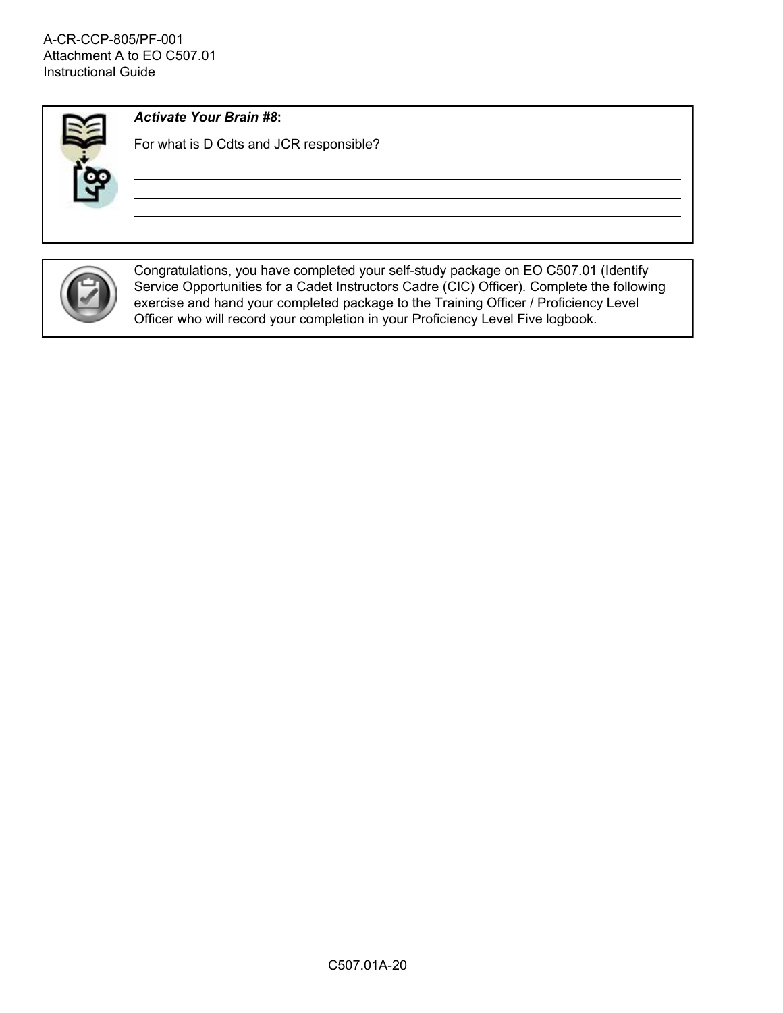

# *Activate Your Brain #8***:**

For what is D Cdts and JCR responsible?



Congratulations, you have completed your self-study package on EO C507.01 (Identify Service Opportunities for a Cadet Instructors Cadre (CIC) Officer). Complete the following exercise and hand your completed package to the Training Officer / Proficiency Level Officer who will record your completion in your Proficiency Level Five logbook.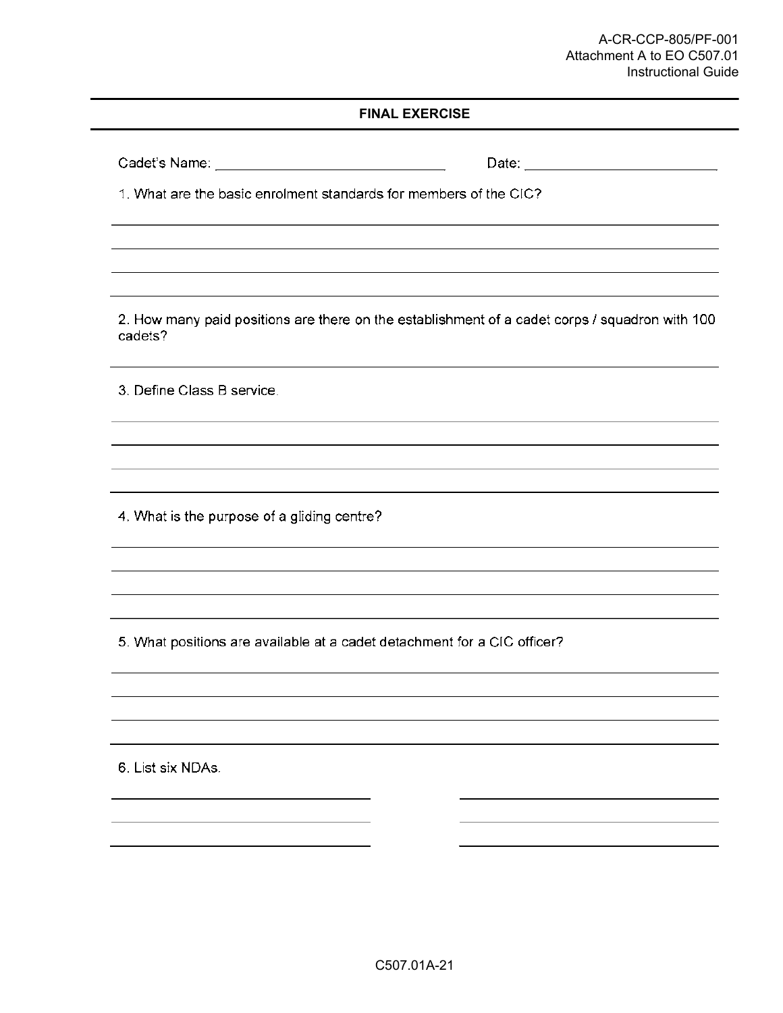| <b>FINAL EXERCISE</b> |  |  |  |  |  |  |  |  |  |  |  |  |
|-----------------------|--|--|--|--|--|--|--|--|--|--|--|--|
|-----------------------|--|--|--|--|--|--|--|--|--|--|--|--|

| 1. What are the basic enrolment standards for members of the CIC?        |                                                                                                |
|--------------------------------------------------------------------------|------------------------------------------------------------------------------------------------|
|                                                                          |                                                                                                |
|                                                                          |                                                                                                |
| cadets?                                                                  | 2. How many paid positions are there on the establishment of a cadet corps / squadron with 100 |
| 3. Define Class B service.                                               |                                                                                                |
|                                                                          |                                                                                                |
|                                                                          |                                                                                                |
| 4. What is the purpose of a gliding centre?                              |                                                                                                |
|                                                                          |                                                                                                |
|                                                                          |                                                                                                |
| 5. What positions are available at a cadet detachment for a CIC officer? |                                                                                                |
|                                                                          |                                                                                                |
|                                                                          |                                                                                                |
| 6. List six NDAs.                                                        |                                                                                                |
|                                                                          |                                                                                                |
|                                                                          |                                                                                                |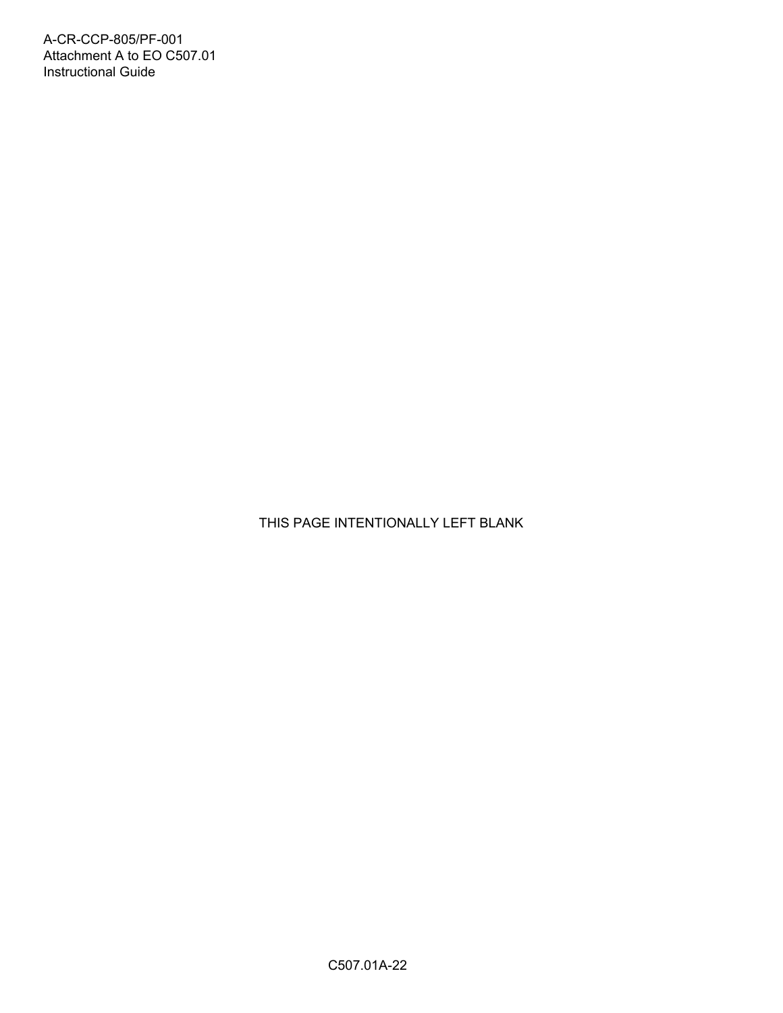A-CR-CCP-805/PF-001 Attachment A to EO C507.01 Instructional Guide

THIS PAGE INTENTIONALLY LEFT BLANK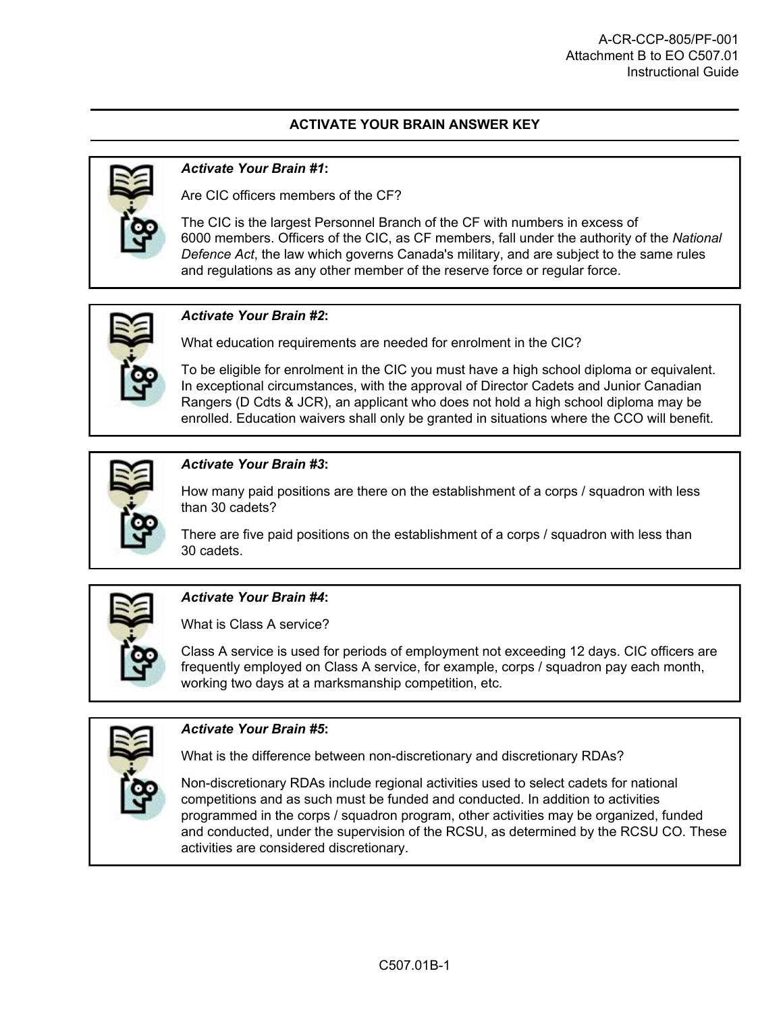## **ACTIVATE YOUR BRAIN ANSWER KEY**



#### *Activate Your Brain #1***:**

Are CIC officers members of the CF?

The CIC is the largest Personnel Branch of the CF with numbers in excess of 6000 members. Officers of the CIC, as CF members, fall under the authority of the *National Defence Act*, the law which governs Canada's military, and are subject to the same rules and regulations as any other member of the reserve force or regular force.



## *Activate Your Brain #2***:**

What education requirements are needed for enrolment in the CIC?

To be eligible for enrolment in the CIC you must have a high school diploma or equivalent. In exceptional circumstances, with the approval of Director Cadets and Junior Canadian Rangers (D Cdts & JCR), an applicant who does not hold a high school diploma may be enrolled. Education waivers shall only be granted in situations where the CCO will benefit.



## *Activate Your Brain #3***:**

How many paid positions are there on the establishment of a corps / squadron with less than 30 cadets?

There are five paid positions on the establishment of a corps / squadron with less than 30 cadets.



## *Activate Your Brain #4***:**

What is Class A service?

Class A service is used for periods of employment not exceeding 12 days. CIC officers are frequently employed on Class A service, for example, corps / squadron pay each month, working two days at a marksmanship competition, etc.



## *Activate Your Brain #5***:**

What is the difference between non-discretionary and discretionary RDAs?

Non-discretionary RDAs include regional activities used to select cadets for national competitions and as such must be funded and conducted. In addition to activities programmed in the corps / squadron program, other activities may be organized, funded and conducted, under the supervision of the RCSU, as determined by the RCSU CO. These activities are considered discretionary.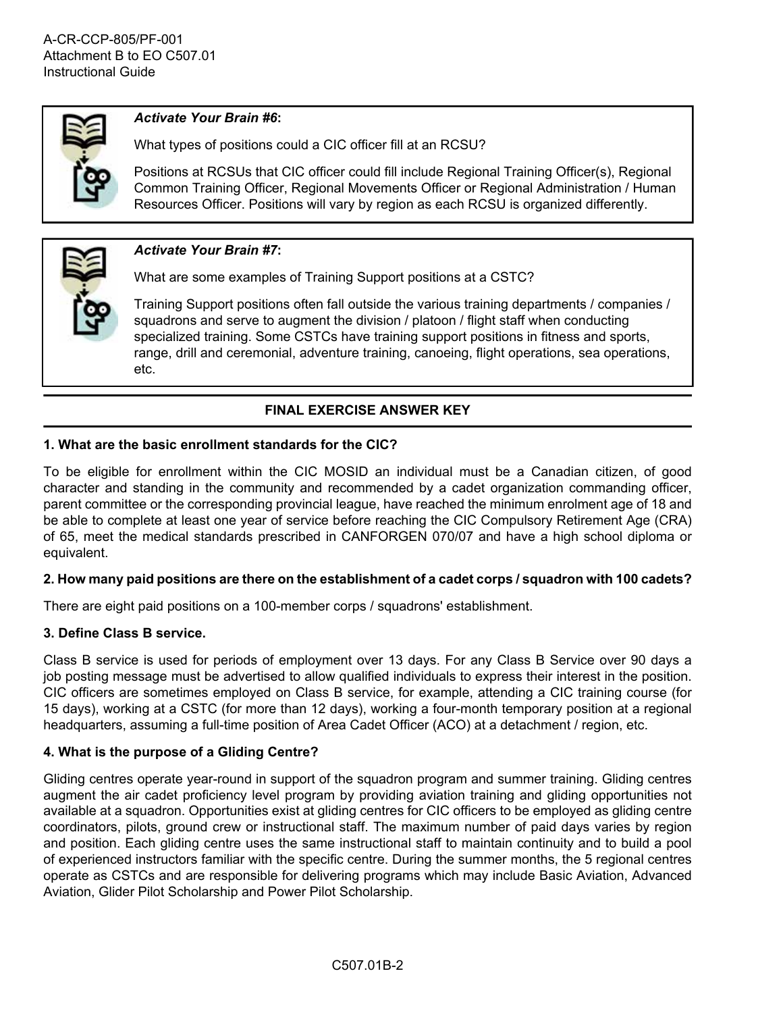

#### *Activate Your Brain #6***:**

What types of positions could a CIC officer fill at an RCSU?

Positions at RCSUs that CIC officer could fill include Regional Training Officer(s), Regional Common Training Officer, Regional Movements Officer or Regional Administration / Human Resources Officer. Positions will vary by region as each RCSU is organized differently.



# *Activate Your Brain #7***:**

What are some examples of Training Support positions at a CSTC?

Training Support positions often fall outside the various training departments / companies / squadrons and serve to augment the division / platoon / flight staff when conducting specialized training. Some CSTCs have training support positions in fitness and sports, range, drill and ceremonial, adventure training, canoeing, flight operations, sea operations, etc.

# **FINAL EXERCISE ANSWER KEY**

#### **1. What are the basic enrollment standards for the CIC?**

To be eligible for enrollment within the CIC MOSID an individual must be a Canadian citizen, of good character and standing in the community and recommended by a cadet organization commanding officer, parent committee or the corresponding provincial league, have reached the minimum enrolment age of 18 and be able to complete at least one year of service before reaching the CIC Compulsory Retirement Age (CRA) of 65, meet the medical standards prescribed in CANFORGEN 070/07 and have a high school diploma or equivalent.

#### **2. How many paid positions are there on the establishment of a cadet corps / squadron with 100 cadets?**

There are eight paid positions on a 100-member corps / squadrons' establishment.

#### **3. Define Class B service.**

Class B service is used for periods of employment over 13 days. For any Class B Service over 90 days a job posting message must be advertised to allow qualified individuals to express their interest in the position. CIC officers are sometimes employed on Class B service, for example, attending a CIC training course (for 15 days), working at a CSTC (for more than 12 days), working a four-month temporary position at a regional headquarters, assuming a full-time position of Area Cadet Officer (ACO) at a detachment / region, etc.

#### **4. What is the purpose of a Gliding Centre?**

Gliding centres operate year-round in support of the squadron program and summer training. Gliding centres augment the air cadet proficiency level program by providing aviation training and gliding opportunities not available at a squadron. Opportunities exist at gliding centres for CIC officers to be employed as gliding centre coordinators, pilots, ground crew or instructional staff. The maximum number of paid days varies by region and position. Each gliding centre uses the same instructional staff to maintain continuity and to build a pool of experienced instructors familiar with the specific centre. During the summer months, the 5 regional centres operate as CSTCs and are responsible for delivering programs which may include Basic Aviation, Advanced Aviation, Glider Pilot Scholarship and Power Pilot Scholarship.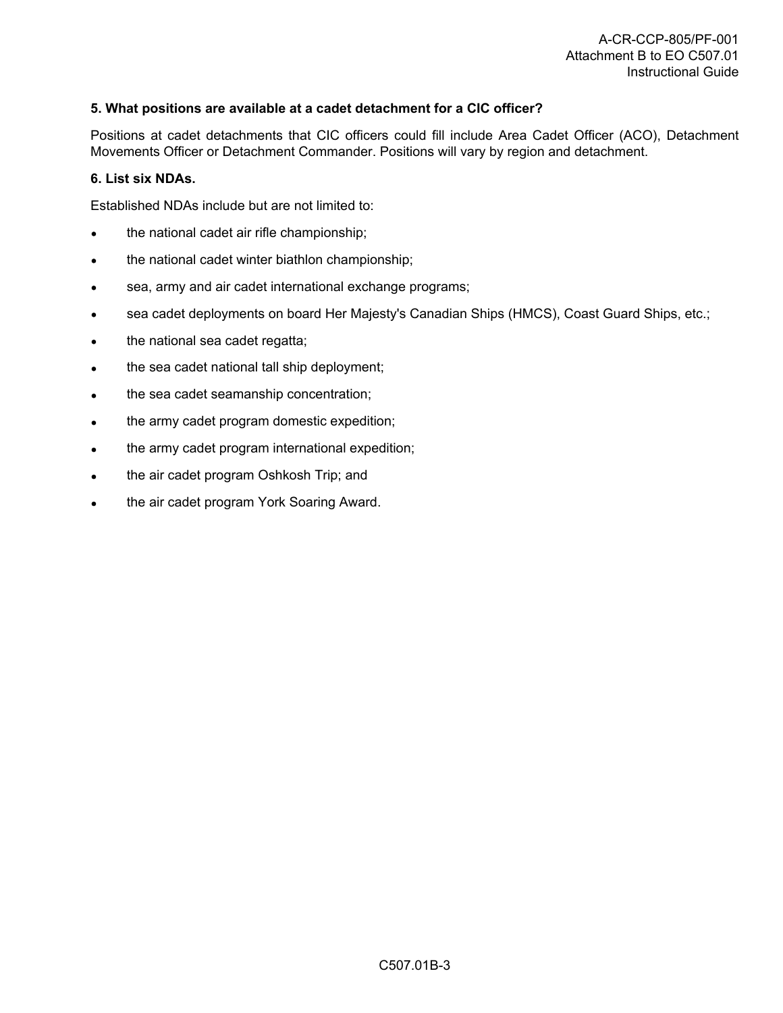## **5. What positions are available at a cadet detachment for a CIC officer?**

Positions at cadet detachments that CIC officers could fill include Area Cadet Officer (ACO), Detachment Movements Officer or Detachment Commander. Positions will vary by region and detachment.

#### **6. List six NDAs.**

Established NDAs include but are not limited to:

- the national cadet air rifle championship;
- the national cadet winter biathlon championship;
- sea, army and air cadet international exchange programs;
- sea cadet deployments on board Her Majesty's Canadian Ships (HMCS), Coast Guard Ships, etc.;
- the national sea cadet regatta;
- the sea cadet national tall ship deployment;  $\bullet$
- the sea cadet seamanship concentration;
- the army cadet program domestic expedition;
- the army cadet program international expedition;
- the air cadet program Oshkosh Trip; and
- the air cadet program York Soaring Award.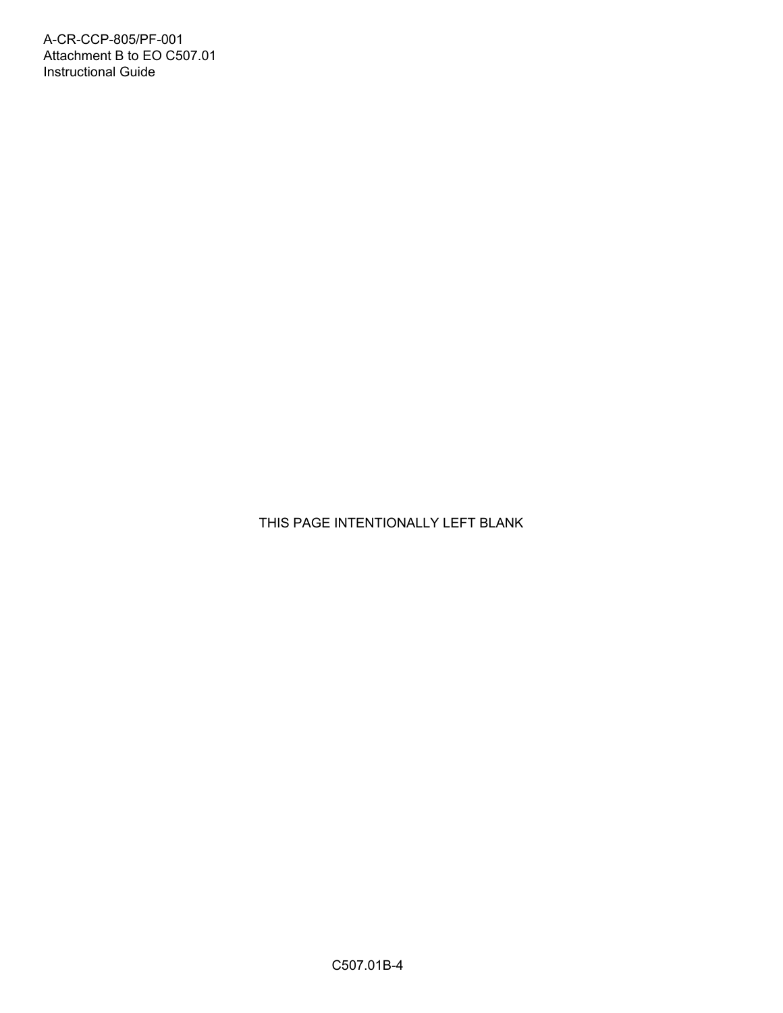A-CR-CCP-805/PF-001 Attachment B to EO C507.01 Instructional Guide

THIS PAGE INTENTIONALLY LEFT BLANK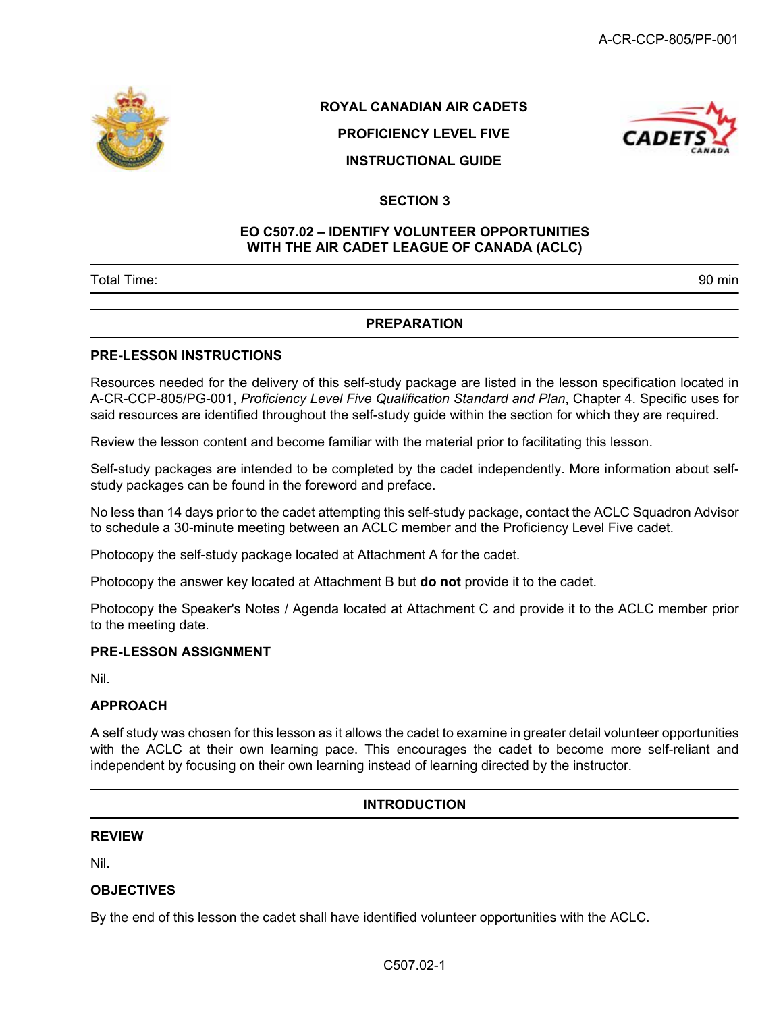

## **ROYAL CANADIAN AIR CADETS**

**PROFICIENCY LEVEL FIVE**



**INSTRUCTIONAL GUIDE**

## **SECTION 3**

#### **EO C507.02 – IDENTIFY VOLUNTEER OPPORTUNITIES WITH THE AIR CADET LEAGUE OF CANADA (ACLC)**

Total Time: 90 min

#### **PREPARATION**

#### **PRE-LESSON INSTRUCTIONS**

Resources needed for the delivery of this self-study package are listed in the lesson specification located in A-CR-CCP-805/PG-001, *Proficiency Level Five Qualification Standard and Plan*, Chapter 4. Specific uses for said resources are identified throughout the self-study guide within the section for which they are required.

Review the lesson content and become familiar with the material prior to facilitating this lesson.

Self-study packages are intended to be completed by the cadet independently. More information about selfstudy packages can be found in the foreword and preface.

No less than 14 days prior to the cadet attempting this self-study package, contact the ACLC Squadron Advisor to schedule a 30-minute meeting between an ACLC member and the Proficiency Level Five cadet.

Photocopy the self-study package located at Attachment A for the cadet.

Photocopy the answer key located at Attachment B but **do not** provide it to the cadet.

Photocopy the Speaker's Notes / Agenda located at Attachment C and provide it to the ACLC member prior to the meeting date.

#### **PRE-LESSON ASSIGNMENT**

Nil.

#### **APPROACH**

A self study was chosen for this lesson as it allows the cadet to examine in greater detail volunteer opportunities with the ACLC at their own learning pace. This encourages the cadet to become more self-reliant and independent by focusing on their own learning instead of learning directed by the instructor.

## **INTRODUCTION**

#### **REVIEW**

Nil.

#### **OBJECTIVES**

By the end of this lesson the cadet shall have identified volunteer opportunities with the ACLC.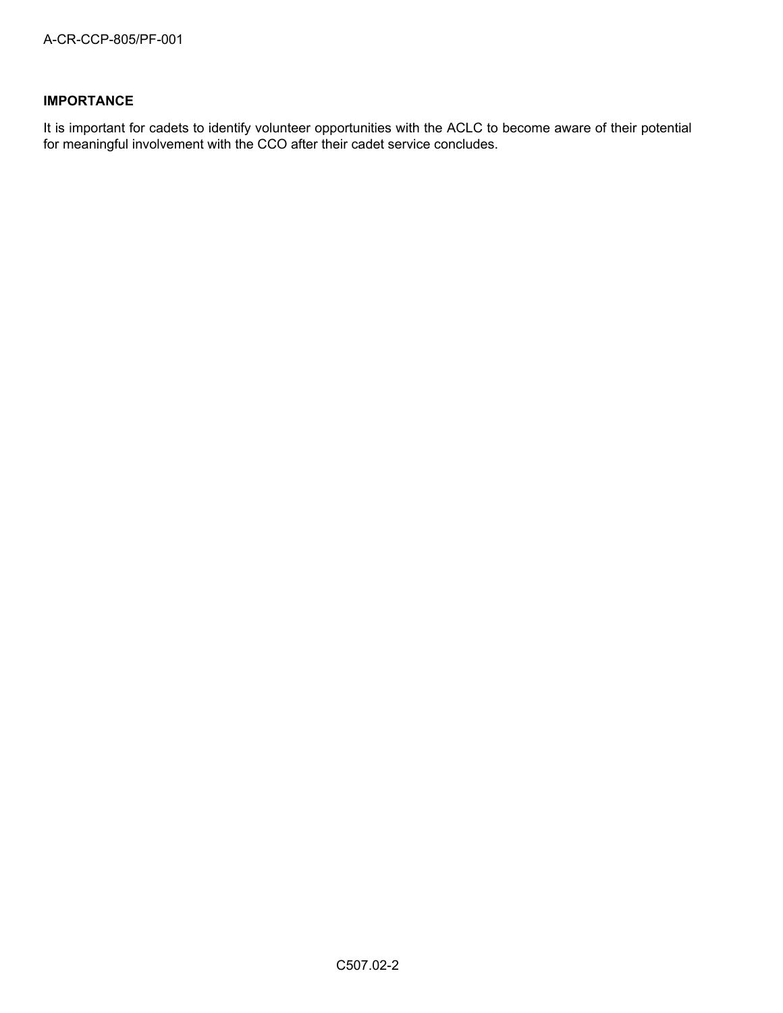## **IMPORTANCE**

It is important for cadets to identify volunteer opportunities with the ACLC to become aware of their potential for meaningful involvement with the CCO after their cadet service concludes.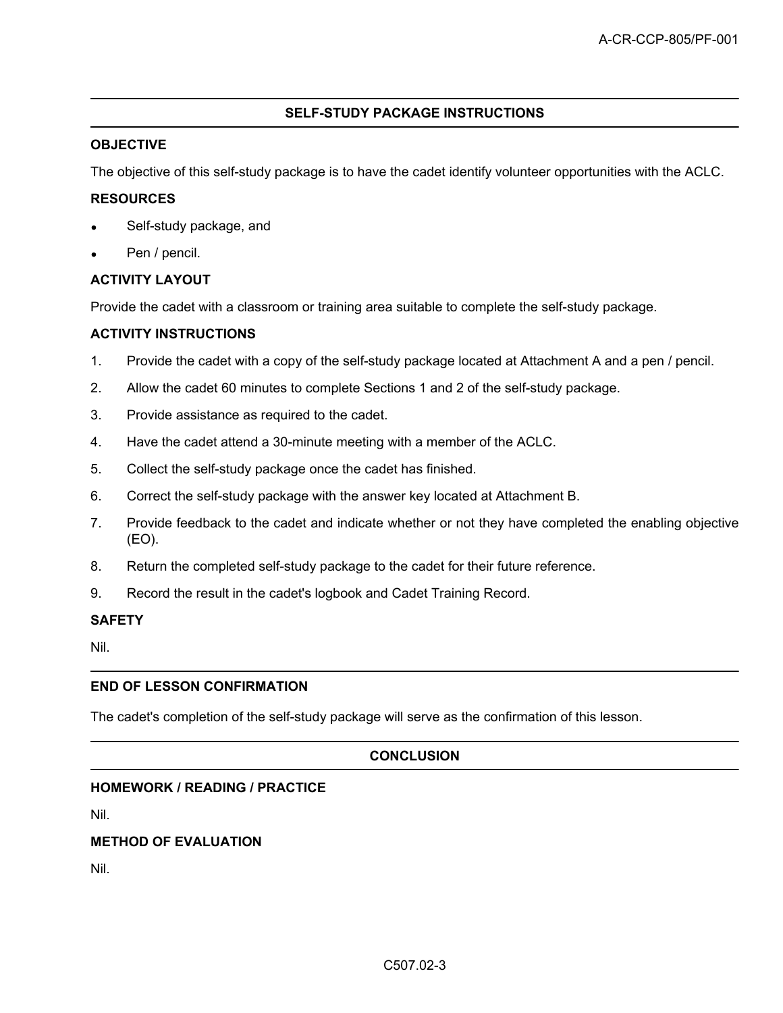## **SELF-STUDY PACKAGE INSTRUCTIONS**

#### **OBJECTIVE**

The objective of this self-study package is to have the cadet identify volunteer opportunities with the ACLC.

#### **RESOURCES**

- Self-study package, and
- Pen / pencil.

## **ACTIVITY LAYOUT**

Provide the cadet with a classroom or training area suitable to complete the self-study package.

## **ACTIVITY INSTRUCTIONS**

- 1. Provide the cadet with a copy of the self-study package located at Attachment A and a pen / pencil.
- 2. Allow the cadet 60 minutes to complete Sections 1 and 2 of the self-study package.
- 3. Provide assistance as required to the cadet.
- 4. Have the cadet attend a 30-minute meeting with a member of the ACLC.
- 5. Collect the self-study package once the cadet has finished.
- 6. Correct the self-study package with the answer key located at Attachment B.
- 7. Provide feedback to the cadet and indicate whether or not they have completed the enabling objective (EO).
- 8. Return the completed self-study package to the cadet for their future reference.
- 9. Record the result in the cadet's logbook and Cadet Training Record.

#### **SAFETY**

Nil.

#### **END OF LESSON CONFIRMATION**

The cadet's completion of the self-study package will serve as the confirmation of this lesson.

## **CONCLUSION**

#### **HOMEWORK / READING / PRACTICE**

Nil.

#### **METHOD OF EVALUATION**

Nil.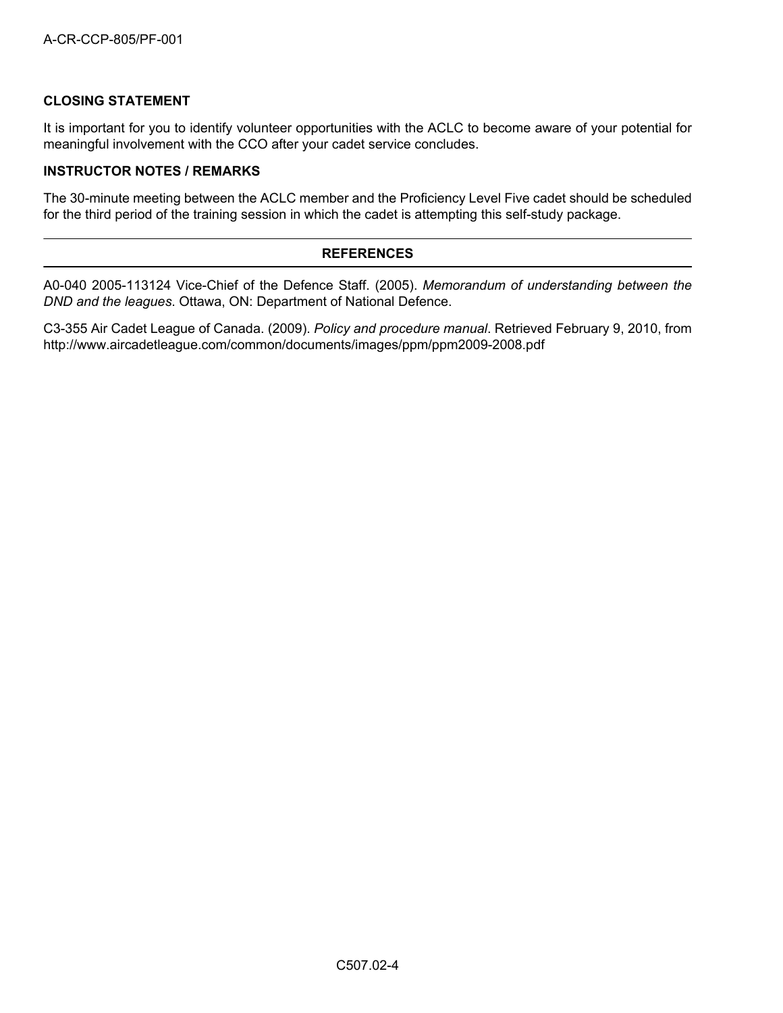## **CLOSING STATEMENT**

It is important for you to identify volunteer opportunities with the ACLC to become aware of your potential for meaningful involvement with the CCO after your cadet service concludes.

## **INSTRUCTOR NOTES / REMARKS**

The 30-minute meeting between the ACLC member and the Proficiency Level Five cadet should be scheduled for the third period of the training session in which the cadet is attempting this self-study package.

## **REFERENCES**

A0-040 2005-113124 Vice-Chief of the Defence Staff. (2005). *Memorandum of understanding between the DND and the leagues*. Ottawa, ON: Department of National Defence.

C3-355 Air Cadet League of Canada. (2009). *Policy and procedure manual*. Retrieved February 9, 2010, from http://www.aircadetleague.com/common/documents/images/ppm/ppm2009-2008.pdf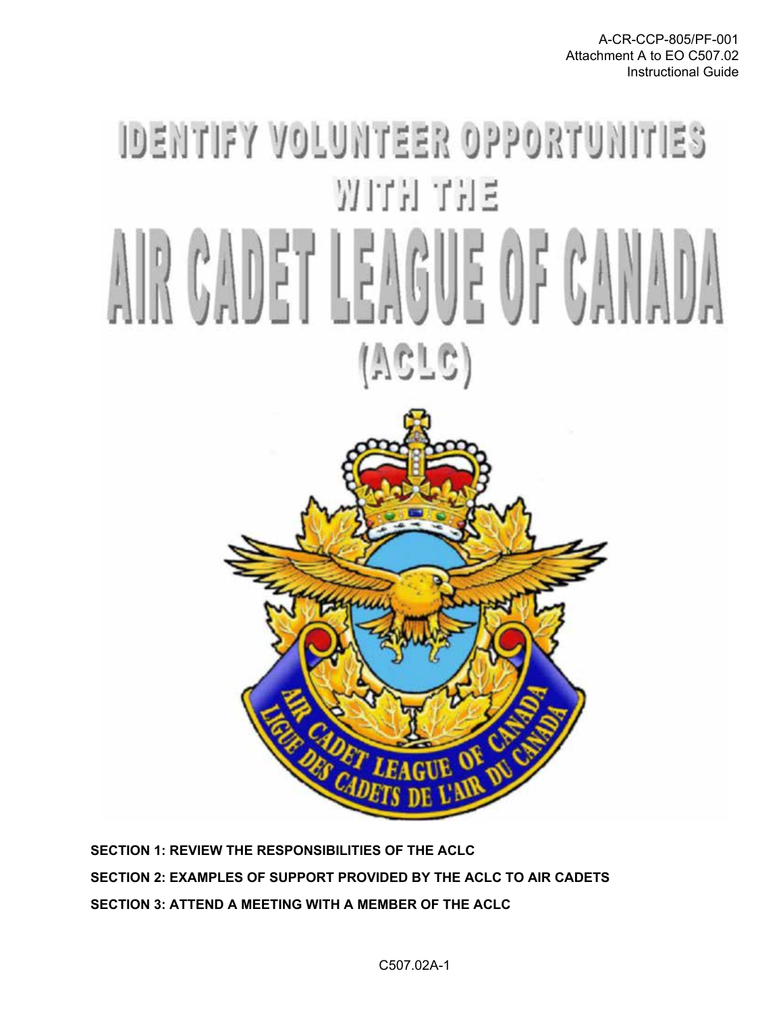# **IDENTIFY VOLUNTEER OPPORTUNITIES** 双封的 半月县 AIR CADET LEAGUE OF CANADA  $(ACEC)$



**SECTION 1: REVIEW THE RESPONSIBILITIES OF THE ACLC SECTION 2: EXAMPLES OF SUPPORT PROVIDED BY THE ACLC TO AIR CADETS SECTION 3: ATTEND A MEETING WITH A MEMBER OF THE ACLC**

C507.02A-1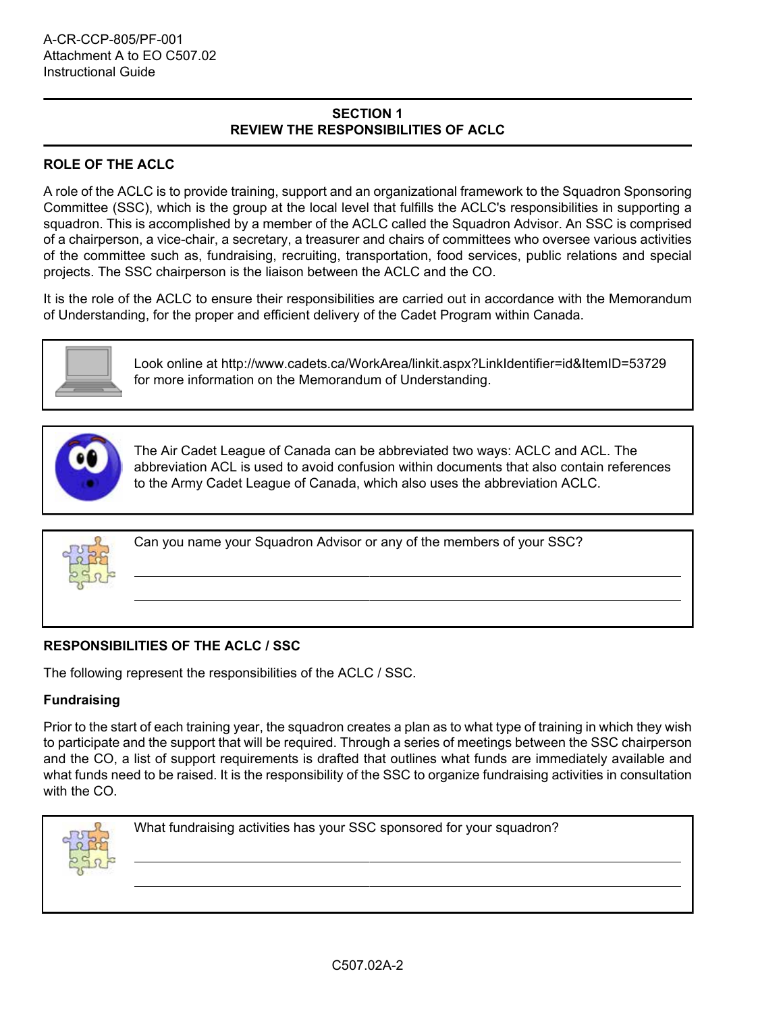## **SECTION 1 REVIEW THE RESPONSIBILITIES OF ACLC**

#### **ROLE OF THE ACLC**

A role of the ACLC is to provide training, support and an organizational framework to the Squadron Sponsoring Committee (SSC), which is the group at the local level that fulfills the ACLC's responsibilities in supporting a squadron. This is accomplished by a member of the ACLC called the Squadron Advisor. An SSC is comprised of a chairperson, a vice-chair, a secretary, a treasurer and chairs of committees who oversee various activities of the committee such as, fundraising, recruiting, transportation, food services, public relations and special projects. The SSC chairperson is the liaison between the ACLC and the CO.

It is the role of the ACLC to ensure their responsibilities are carried out in accordance with the Memorandum of Understanding, for the proper and efficient delivery of the Cadet Program within Canada.



Look online at http://www.cadets.ca/WorkArea/linkit.aspx?LinkIdentifier=id&ItemID=53729 for more information on the Memorandum of Understanding.



The Air Cadet League of Canada can be abbreviated two ways: ACLC and ACL. The abbreviation ACL is used to avoid confusion within documents that also contain references to the Army Cadet League of Canada, which also uses the abbreviation ACLC.



#### **RESPONSIBILITIES OF THE ACLC / SSC**

The following represent the responsibilities of the ACLC / SSC.

#### **Fundraising**

Prior to the start of each training year, the squadron creates a plan as to what type of training in which they wish to participate and the support that will be required. Through a series of meetings between the SSC chairperson and the CO, a list of support requirements is drafted that outlines what funds are immediately available and what funds need to be raised. It is the responsibility of the SSC to organize fundraising activities in consultation with the CO.

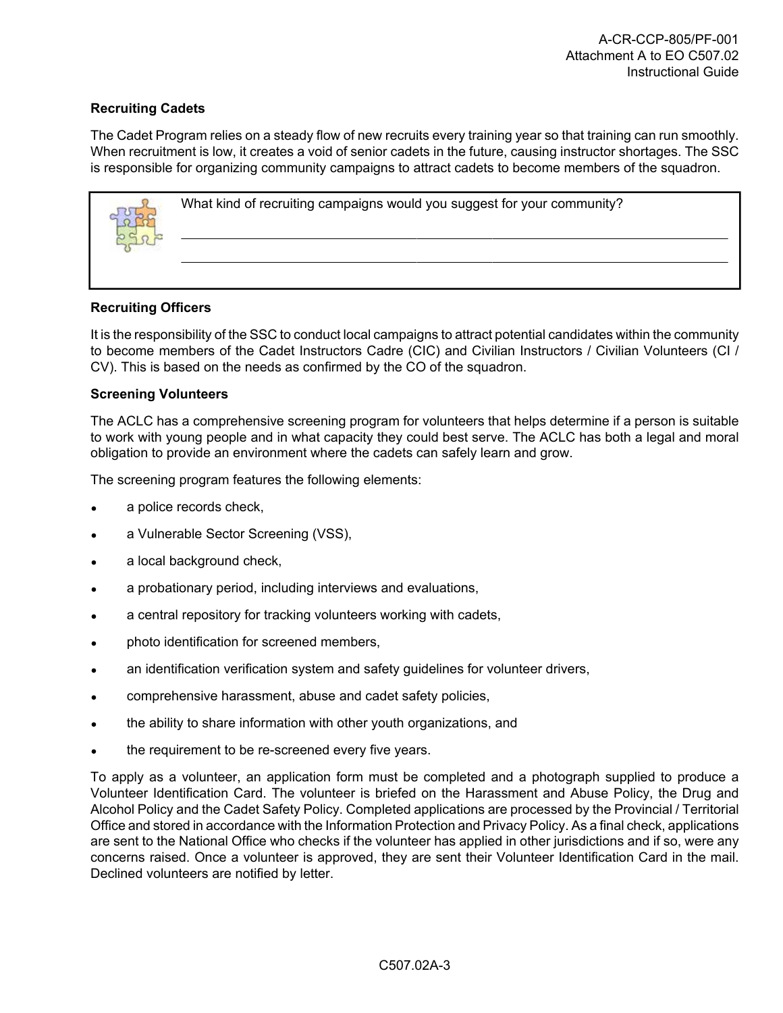## **Recruiting Cadets**

The Cadet Program relies on a steady flow of new recruits every training year so that training can run smoothly. When recruitment is low, it creates a void of senior cadets in the future, causing instructor shortages. The SSC is responsible for organizing community campaigns to attract cadets to become members of the squadron.

|  | What kind of recruiting campaigns would you suggest for your community? |
|--|-------------------------------------------------------------------------|
|  |                                                                         |

#### **Recruiting Officers**

It is the responsibility of the SSC to conduct local campaigns to attract potential candidates within the community to become members of the Cadet Instructors Cadre (CIC) and Civilian Instructors / Civilian Volunteers (CI / CV). This is based on the needs as confirmed by the CO of the squadron.

#### **Screening Volunteers**

The ACLC has a comprehensive screening program for volunteers that helps determine if a person is suitable to work with young people and in what capacity they could best serve. The ACLC has both a legal and moral obligation to provide an environment where the cadets can safely learn and grow.

The screening program features the following elements:

- a police records check,
- a Vulnerable Sector Screening (VSS),
- a local background check,
- a probationary period, including interviews and evaluations,
- a central repository for tracking volunteers working with cadets,
- photo identification for screened members,
- an identification verification system and safety guidelines for volunteer drivers,
- comprehensive harassment, abuse and cadet safety policies,
- the ability to share information with other youth organizations, and
- the requirement to be re-screened every five years.

To apply as a volunteer, an application form must be completed and a photograph supplied to produce a Volunteer Identification Card. The volunteer is briefed on the Harassment and Abuse Policy, the Drug and Alcohol Policy and the Cadet Safety Policy. Completed applications are processed by the Provincial / Territorial Office and stored in accordance with the Information Protection and Privacy Policy. As a final check, applications are sent to the National Office who checks if the volunteer has applied in other jurisdictions and if so, were any concerns raised. Once a volunteer is approved, they are sent their Volunteer Identification Card in the mail. Declined volunteers are notified by letter.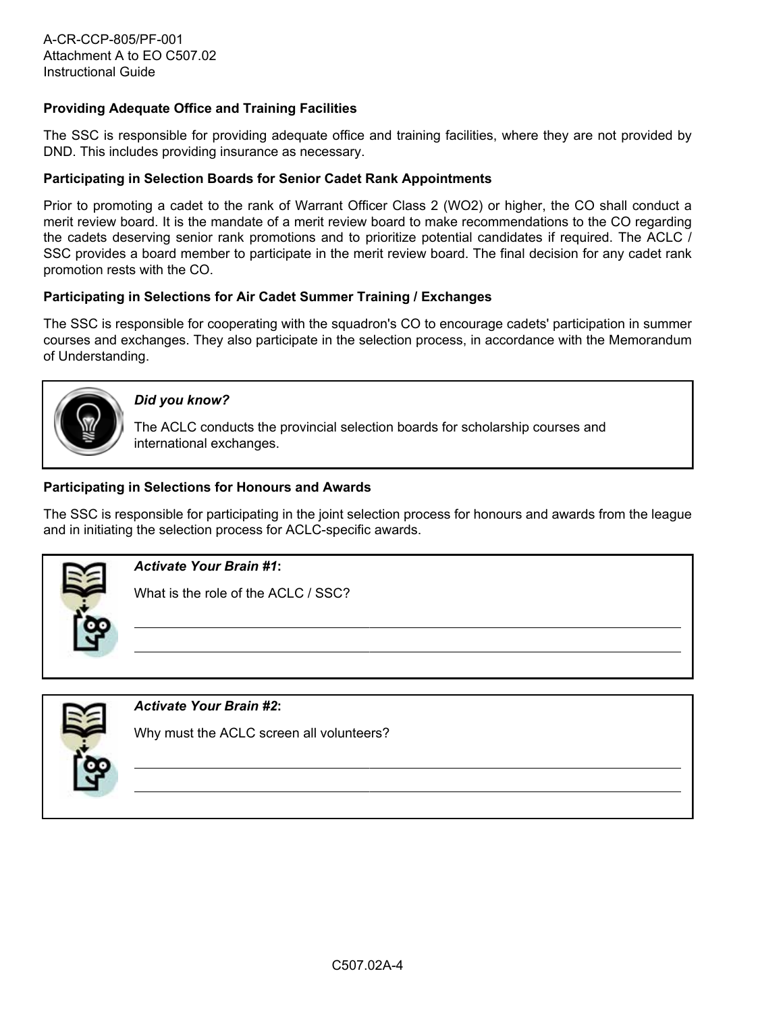## **Providing Adequate Office and Training Facilities**

The SSC is responsible for providing adequate office and training facilities, where they are not provided by DND. This includes providing insurance as necessary.

#### **Participating in Selection Boards for Senior Cadet Rank Appointments**

Prior to promoting a cadet to the rank of Warrant Officer Class 2 (WO2) or higher, the CO shall conduct a merit review board. It is the mandate of a merit review board to make recommendations to the CO regarding the cadets deserving senior rank promotions and to prioritize potential candidates if required. The ACLC / SSC provides a board member to participate in the merit review board. The final decision for any cadet rank promotion rests with the CO.

#### **Participating in Selections for Air Cadet Summer Training / Exchanges**

The SSC is responsible for cooperating with the squadron's CO to encourage cadets' participation in summer courses and exchanges. They also participate in the selection process, in accordance with the Memorandum of Understanding.



## *Did you know?*

The ACLC conducts the provincial selection boards for scholarship courses and international exchanges.

#### **Participating in Selections for Honours and Awards**

The SSC is responsible for participating in the joint selection process for honours and awards from the league and in initiating the selection process for ACLC-specific awards.



# *Activate Your Brain #1***:**

What is the role of the ACLC / SSC?



#### *Activate Your Brain #2***:**

Why must the ACLC screen all volunteers?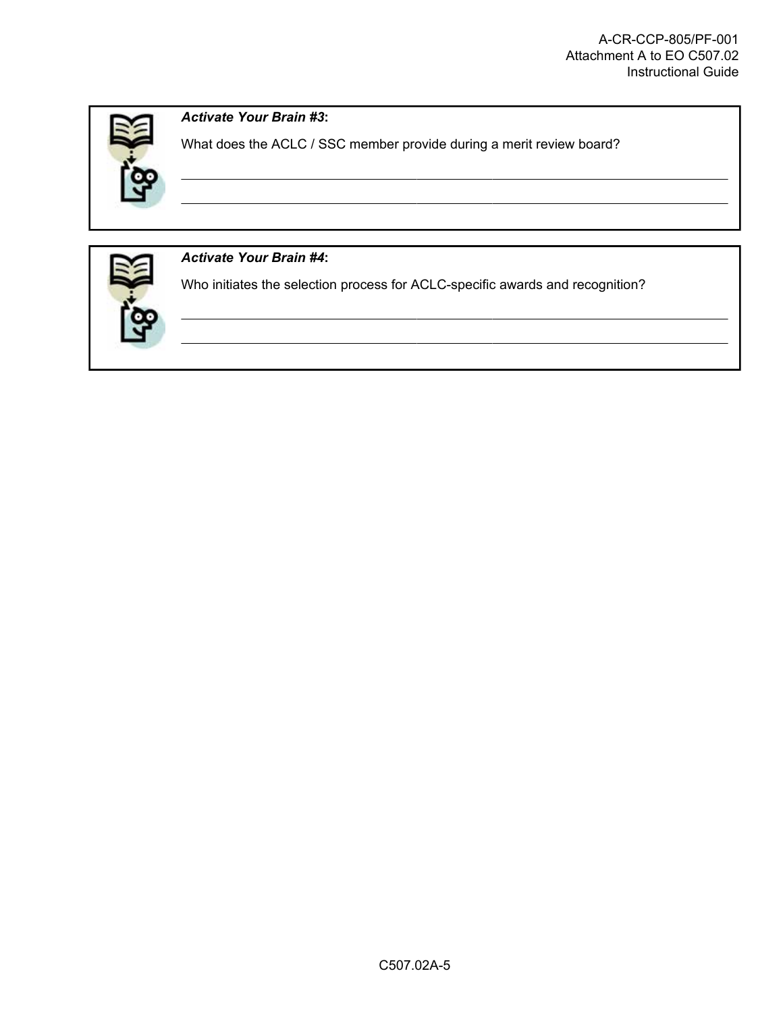

#### *Activate Your Brain #3***:**

What does the ACLC / SSC member provide during a merit review board?



## *Activate Your Brain #4***:**

Who initiates the selection process for ACLC-specific awards and recognition?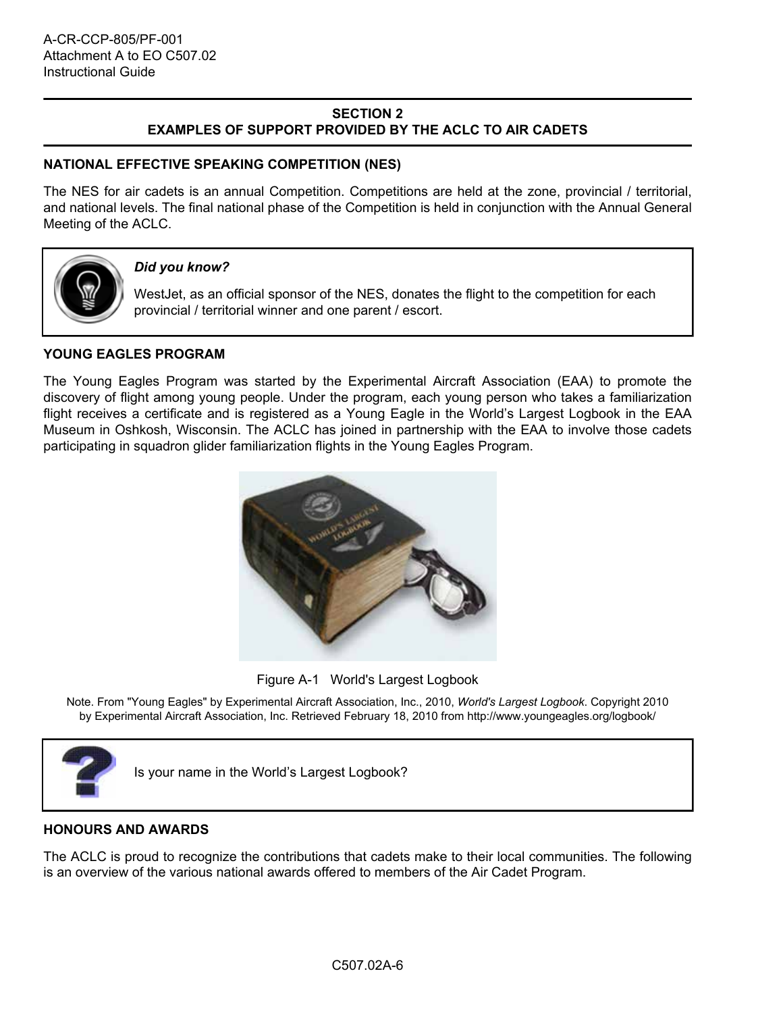#### **SECTION 2 EXAMPLES OF SUPPORT PROVIDED BY THE ACLC TO AIR CADETS**

#### **NATIONAL EFFECTIVE SPEAKING COMPETITION (NES)**

The NES for air cadets is an annual Competition. Competitions are held at the zone, provincial / territorial, and national levels. The final national phase of the Competition is held in conjunction with the Annual General Meeting of the ACLC.



#### *Did you know?*

WestJet, as an official sponsor of the NES, donates the flight to the competition for each provincial / territorial winner and one parent / escort.

## **YOUNG EAGLES PROGRAM**

The Young Eagles Program was started by the Experimental Aircraft Association (EAA) to promote the discovery of flight among young people. Under the program, each young person who takes a familiarization flight receives a certificate and is registered as a Young Eagle in the World's Largest Logbook in the EAA Museum in Oshkosh, Wisconsin. The ACLC has joined in partnership with the EAA to involve those cadets participating in squadron glider familiarization flights in the Young Eagles Program.



Figure A-1 World's Largest Logbook

Note. From "Young Eagles" by Experimental Aircraft Association, Inc., 2010, *World's Largest Logbook*. Copyright 2010 by Experimental Aircraft Association, Inc. Retrieved February 18, 2010 from http://www.youngeagles.org/logbook/



Is your name in the World's Largest Logbook?

#### **HONOURS AND AWARDS**

The ACLC is proud to recognize the contributions that cadets make to their local communities. The following is an overview of the various national awards offered to members of the Air Cadet Program.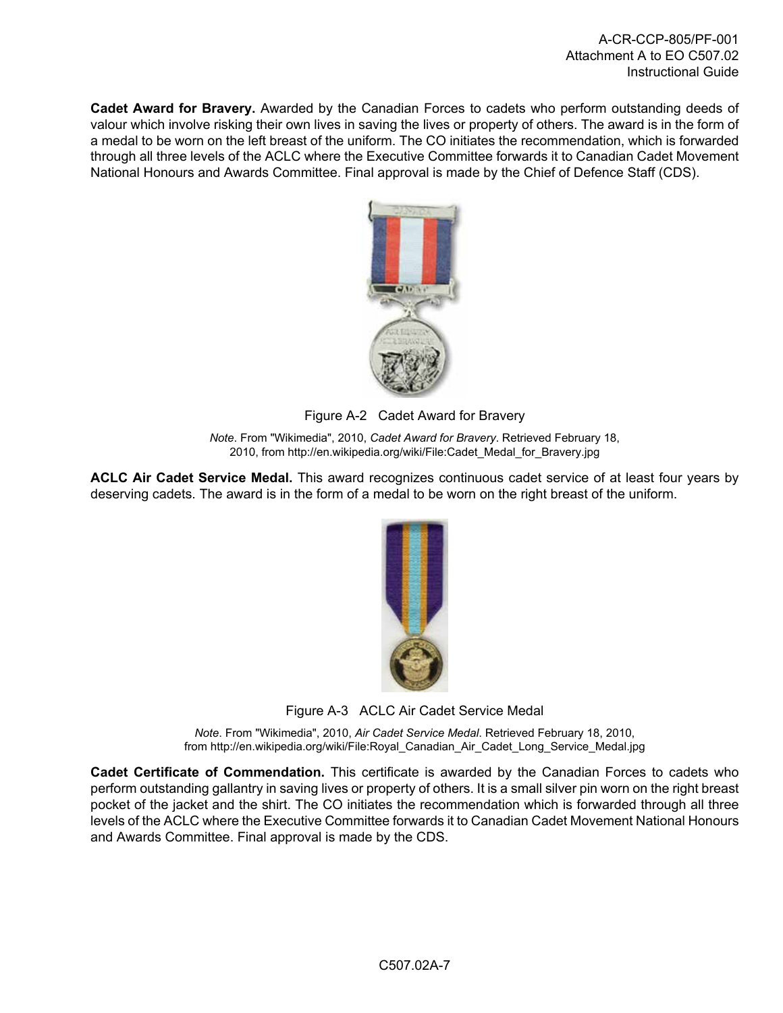A-CR-CCP-805/PF-001 Attachment A to EO C507.02 Instructional Guide

**Cadet Award for Bravery.** Awarded by the Canadian Forces to cadets who perform outstanding deeds of valour which involve risking their own lives in saving the lives or property of others. The award is in the form of a medal to be worn on the left breast of the uniform. The CO initiates the recommendation, which is forwarded through all three levels of the ACLC where the Executive Committee forwards it to Canadian Cadet Movement National Honours and Awards Committee. Final approval is made by the Chief of Defence Staff (CDS).



Figure A-2 Cadet Award for Bravery

*Note*. From "Wikimedia", 2010, *Cadet Award for Bravery*. Retrieved February 18, 2010, from http://en.wikipedia.org/wiki/File:Cadet\_Medal\_for\_Bravery.jpg

**ACLC Air Cadet Service Medal.** This award recognizes continuous cadet service of at least four years by deserving cadets. The award is in the form of a medal to be worn on the right breast of the uniform.



Figure A-3 ACLC Air Cadet Service Medal

*Note*. From "Wikimedia", 2010, *Air Cadet Service Medal*. Retrieved February 18, 2010, from http://en.wikipedia.org/wiki/File:Royal\_Canadian\_Air\_Cadet\_Long\_Service\_Medal.jpg

**Cadet Certificate of Commendation.** This certificate is awarded by the Canadian Forces to cadets who perform outstanding gallantry in saving lives or property of others. It is a small silver pin worn on the right breast pocket of the jacket and the shirt. The CO initiates the recommendation which is forwarded through all three levels of the ACLC where the Executive Committee forwards it to Canadian Cadet Movement National Honours and Awards Committee. Final approval is made by the CDS.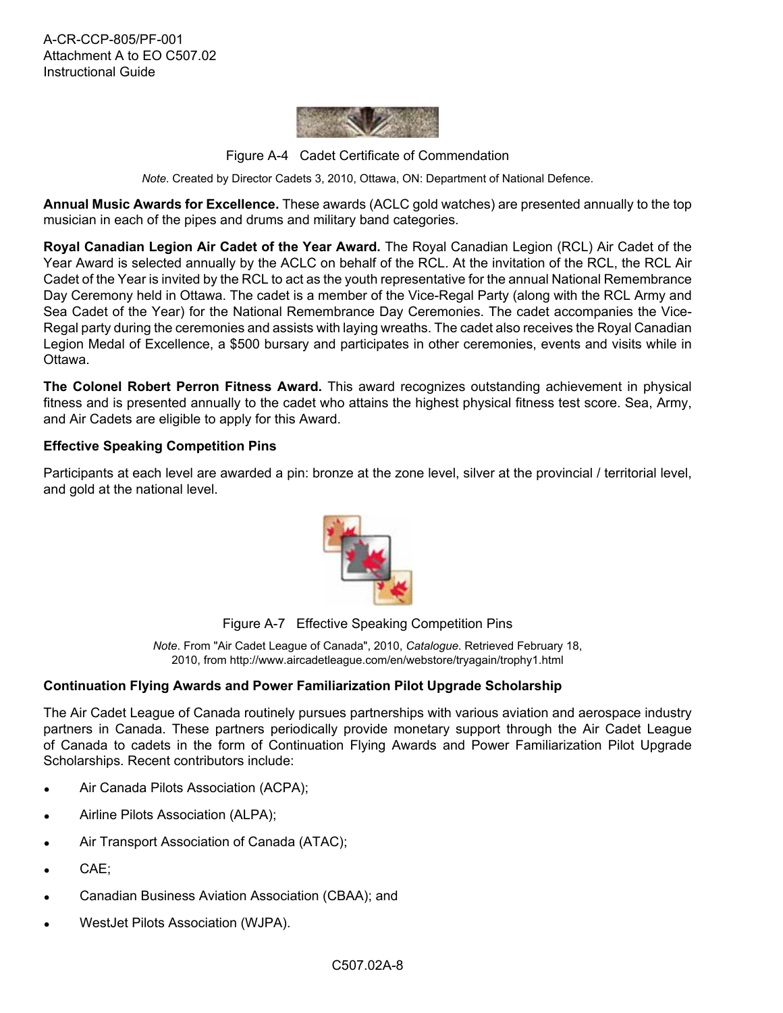

Figure A-4 Cadet Certificate of Commendation

*Note*. Created by Director Cadets 3, 2010, Ottawa, ON: Department of National Defence.

**Annual Music Awards for Excellence.** These awards (ACLC gold watches) are presented annually to the top musician in each of the pipes and drums and military band categories.

**Royal Canadian Legion Air Cadet of the Year Award.** The Royal Canadian Legion (RCL) Air Cadet of the Year Award is selected annually by the ACLC on behalf of the RCL. At the invitation of the RCL, the RCL Air Cadet of the Year is invited by the RCL to act as the youth representative for the annual National Remembrance Day Ceremony held in Ottawa. The cadet is a member of the Vice-Regal Party (along with the RCL Army and Sea Cadet of the Year) for the National Remembrance Day Ceremonies. The cadet accompanies the Vice-Regal party during the ceremonies and assists with laying wreaths. The cadet also receives the Royal Canadian Legion Medal of Excellence, a \$500 bursary and participates in other ceremonies, events and visits while in Ottawa.

**The Colonel Robert Perron Fitness Award.** This award recognizes outstanding achievement in physical fitness and is presented annually to the cadet who attains the highest physical fitness test score. Sea, Army, and Air Cadets are eligible to apply for this Award.

#### **Effective Speaking Competition Pins**

Participants at each level are awarded a pin: bronze at the zone level, silver at the provincial / territorial level, and gold at the national level.



Figure A-7 Effective Speaking Competition Pins

*Note*. From "Air Cadet League of Canada", 2010, *Catalogue*. Retrieved February 18, 2010, from http://www.aircadetleague.com/en/webstore/tryagain/trophy1.html

#### **Continuation Flying Awards and Power Familiarization Pilot Upgrade Scholarship**

The Air Cadet League of Canada routinely pursues partnerships with various aviation and aerospace industry partners in Canada. These partners periodically provide monetary support through the Air Cadet League of Canada to cadets in the form of Continuation Flying Awards and Power Familiarization Pilot Upgrade Scholarships. Recent contributors include:

- Air Canada Pilots Association (ACPA);
- Airline Pilots Association (ALPA);
- Air Transport Association of Canada (ATAC);
- CAE;
- Canadian Business Aviation Association (CBAA); and
- WestJet Pilots Association (WJPA).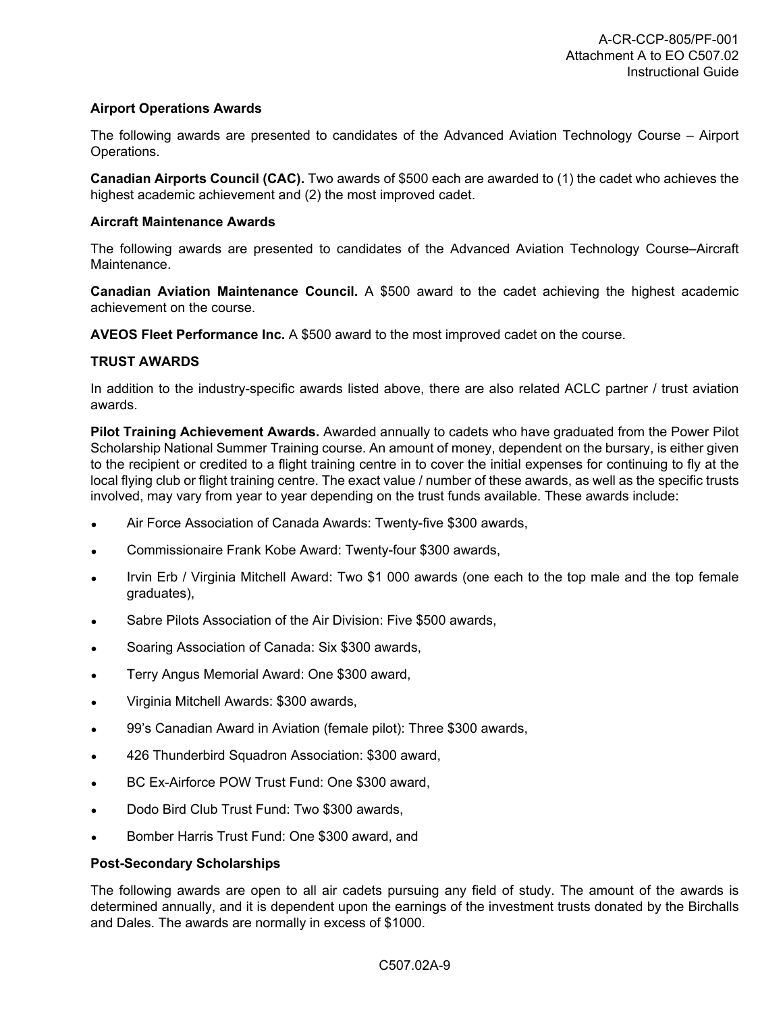#### **Airport Operations Awards**

The following awards are presented to candidates of the Advanced Aviation Technology Course – Airport Operations.

**Canadian Airports Council (CAC).** Two awards of \$500 each are awarded to (1) the cadet who achieves the highest academic achievement and (2) the most improved cadet.

#### **Aircraft Maintenance Awards**

The following awards are presented to candidates of the Advanced Aviation Technology Course–Aircraft Maintenance.

**Canadian Aviation Maintenance Council.** A \$500 award to the cadet achieving the highest academic achievement on the course.

**AVEOS Fleet Performance Inc.** A \$500 award to the most improved cadet on the course.

#### **TRUST AWARDS**

In addition to the industry-specific awards listed above, there are also related ACLC partner / trust aviation awards.

**Pilot Training Achievement Awards.** Awarded annually to cadets who have graduated from the Power Pilot Scholarship National Summer Training course. An amount of money, dependent on the bursary, is either given to the recipient or credited to a flight training centre in to cover the initial expenses for continuing to fly at the local flying club or flight training centre. The exact value / number of these awards, as well as the specific trusts involved, may vary from year to year depending on the trust funds available. These awards include:

- Air Force Association of Canada Awards: Twenty-five \$300 awards,
- Commissionaire Frank Kobe Award: Twenty-four \$300 awards,
- Irvin Erb / Virginia Mitchell Award: Two \$1 000 awards (one each to the top male and the top female graduates),
- Sabre Pilots Association of the Air Division: Five \$500 awards,
- Soaring Association of Canada: Six \$300 awards,
- Terry Angus Memorial Award: One \$300 award,
- Virginia Mitchell Awards: \$300 awards,
- 99's Canadian Award in Aviation (female pilot): Three \$300 awards,
- 426 Thunderbird Squadron Association: \$300 award,
- BC Ex-Airforce POW Trust Fund: One \$300 award,
- Dodo Bird Club Trust Fund: Two \$300 awards,
- Bomber Harris Trust Fund: One \$300 award, and

#### **Post-Secondary Scholarships**

The following awards are open to all air cadets pursuing any field of study. The amount of the awards is determined annually, and it is dependent upon the earnings of the investment trusts donated by the Birchalls and Dales. The awards are normally in excess of \$1000.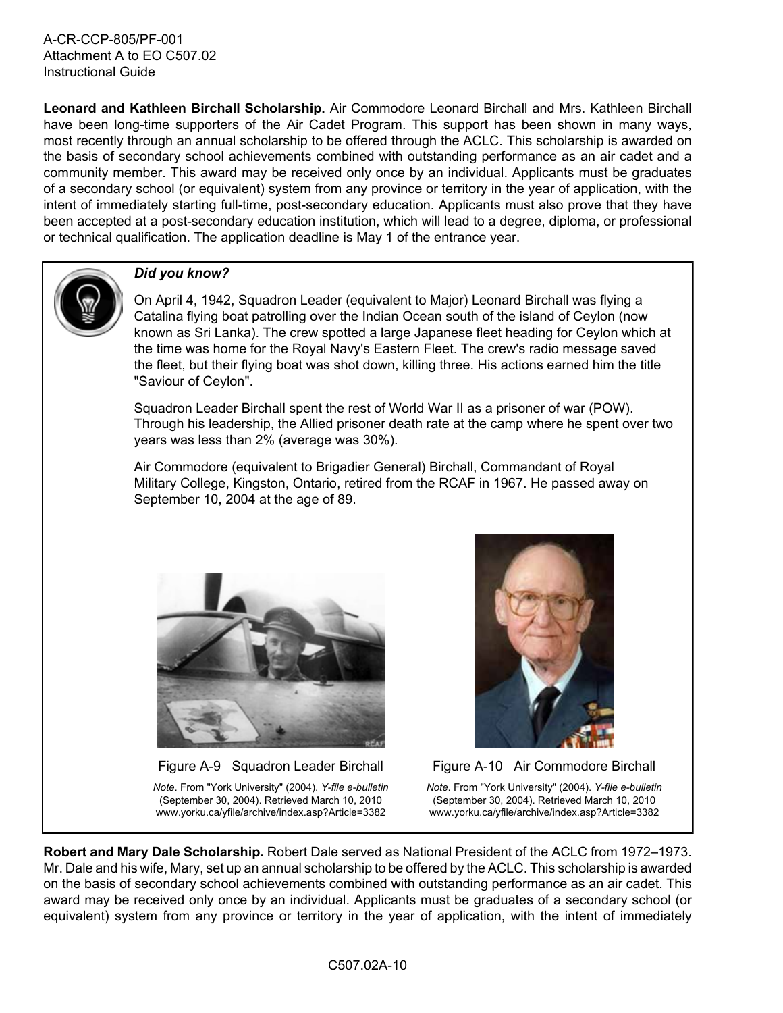## A-CR-CCP-805/PF-001 Attachment A to EO C507.02 Instructional Guide

**Leonard and Kathleen Birchall Scholarship.** Air Commodore Leonard Birchall and Mrs. Kathleen Birchall have been long-time supporters of the Air Cadet Program. This support has been shown in many ways, most recently through an annual scholarship to be offered through the ACLC. This scholarship is awarded on the basis of secondary school achievements combined with outstanding performance as an air cadet and a community member. This award may be received only once by an individual. Applicants must be graduates of a secondary school (or equivalent) system from any province or territory in the year of application, with the intent of immediately starting full-time, post-secondary education. Applicants must also prove that they have been accepted at a post-secondary education institution, which will lead to a degree, diploma, or professional or technical qualification. The application deadline is May 1 of the entrance year.



## *Did you know?*

On April 4, 1942, Squadron Leader (equivalent to Major) Leonard Birchall was flying a Catalina flying boat patrolling over the Indian Ocean south of the island of Ceylon (now known as Sri Lanka). The crew spotted a large Japanese fleet heading for Ceylon which at the time was home for the Royal Navy's Eastern Fleet. The crew's radio message saved the fleet, but their flying boat was shot down, killing three. His actions earned him the title "Saviour of Ceylon".

Squadron Leader Birchall spent the rest of World War II as a prisoner of war (POW). Through his leadership, the Allied prisoner death rate at the camp where he spent over two years was less than 2% (average was 30%).

Air Commodore (equivalent to Brigadier General) Birchall, Commandant of Royal Military College, Kingston, Ontario, retired from the RCAF in 1967. He passed away on September 10, 2004 at the age of 89.



Figure A-9 Squadron Leader Birchall

*Note*. From "York University" (2004). *Y-file e-bulletin* (September 30, 2004). Retrieved March 10, 2010 www.yorku.ca/yfile/archive/index.asp?Article=3382



Figure A-10 Air Commodore Birchall

*Note*. From "York University" (2004). *Y-file e-bulletin* (September 30, 2004). Retrieved March 10, 2010 www.yorku.ca/yfile/archive/index.asp?Article=3382

**Robert and Mary Dale Scholarship.** Robert Dale served as National President of the ACLC from 1972–1973. Mr. Dale and his wife, Mary, set up an annual scholarship to be offered by the ACLC. This scholarship is awarded on the basis of secondary school achievements combined with outstanding performance as an air cadet. This award may be received only once by an individual. Applicants must be graduates of a secondary school (or equivalent) system from any province or territory in the year of application, with the intent of immediately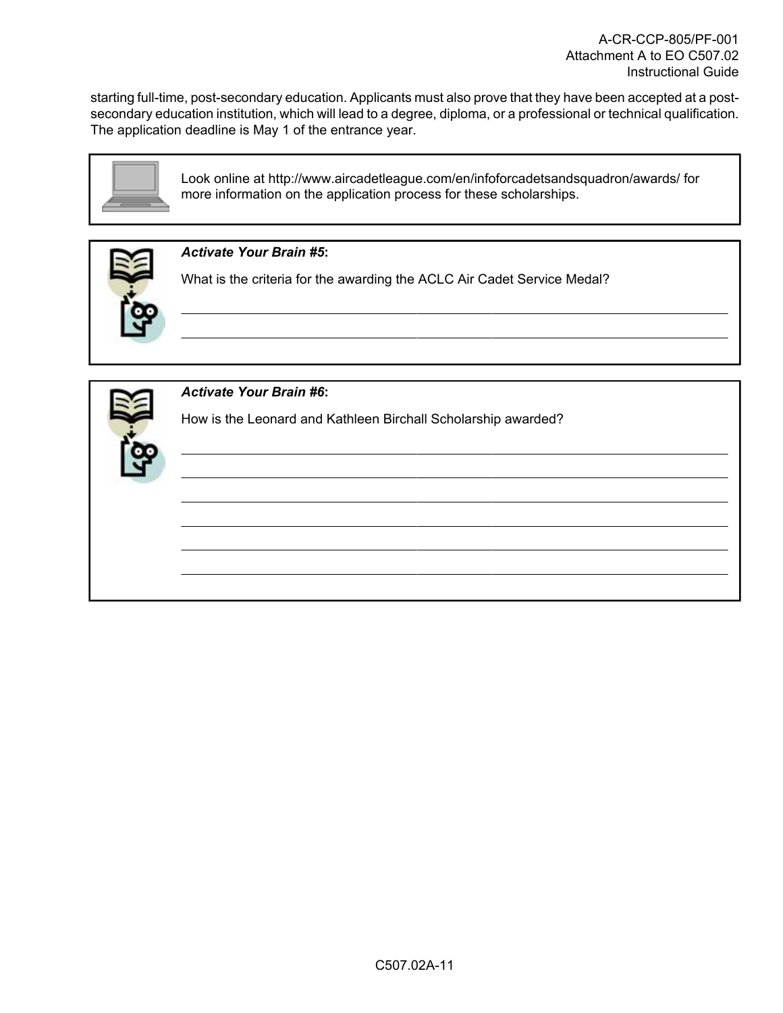starting full-time, post-secondary education. Applicants must also prove that they have been accepted at a postsecondary education institution, which will lead to a degree, diploma, or a professional or technical qualification. The application deadline is May 1 of the entrance year.



Look online at http://www.aircadetleague.com/en/infoforcadetsandsquadron/awards/ for more information on the application process for these scholarships.



*Activate Your Brain #5***:**

What is the criteria for the awarding the ACLC Air Cadet Service Medal?



*Activate Your Brain #6***:**

How is the Leonard and Kathleen Birchall Scholarship awarded?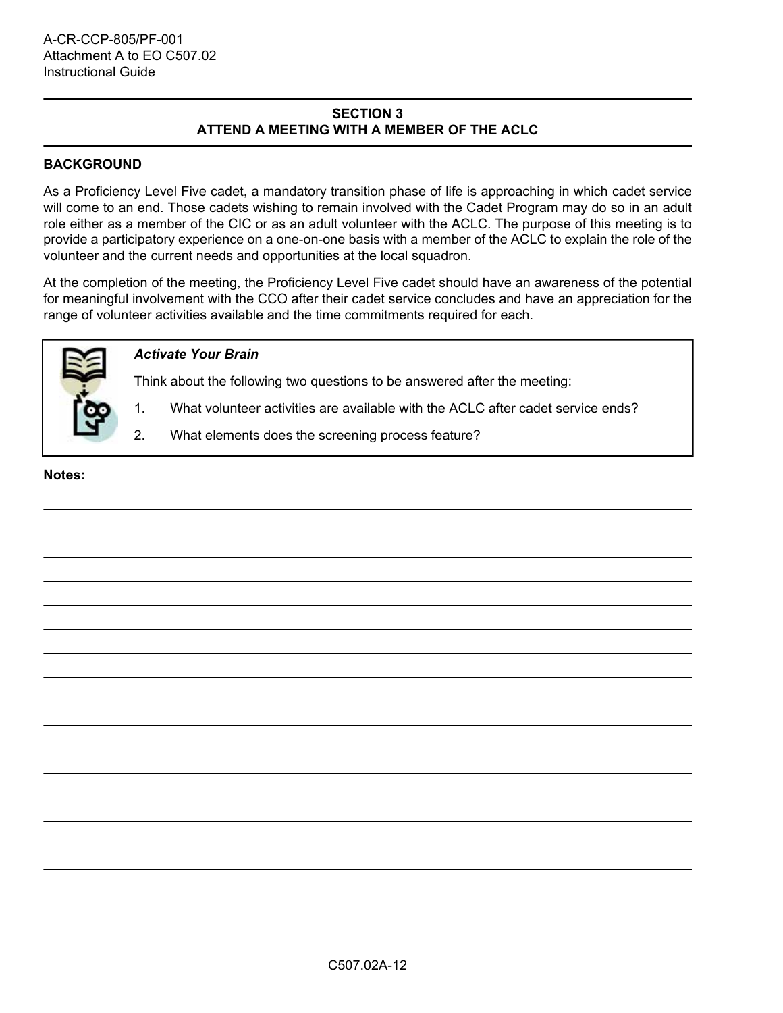## **SECTION 3 ATTEND A MEETING WITH A MEMBER OF THE ACLC**

#### **BACKGROUND**

As a Proficiency Level Five cadet, a mandatory transition phase of life is approaching in which cadet service will come to an end. Those cadets wishing to remain involved with the Cadet Program may do so in an adult role either as a member of the CIC or as an adult volunteer with the ACLC. The purpose of this meeting is to provide a participatory experience on a one-on-one basis with a member of the ACLC to explain the role of the volunteer and the current needs and opportunities at the local squadron.

At the completion of the meeting, the Proficiency Level Five cadet should have an awareness of the potential for meaningful involvement with the CCO after their cadet service concludes and have an appreciation for the range of volunteer activities available and the time commitments required for each.



#### *Activate Your Brain*

Think about the following two questions to be answered after the meeting:

- 1. What volunteer activities are available with the ACLC after cadet service ends?
- 2. What elements does the screening process feature?

#### **Notes:**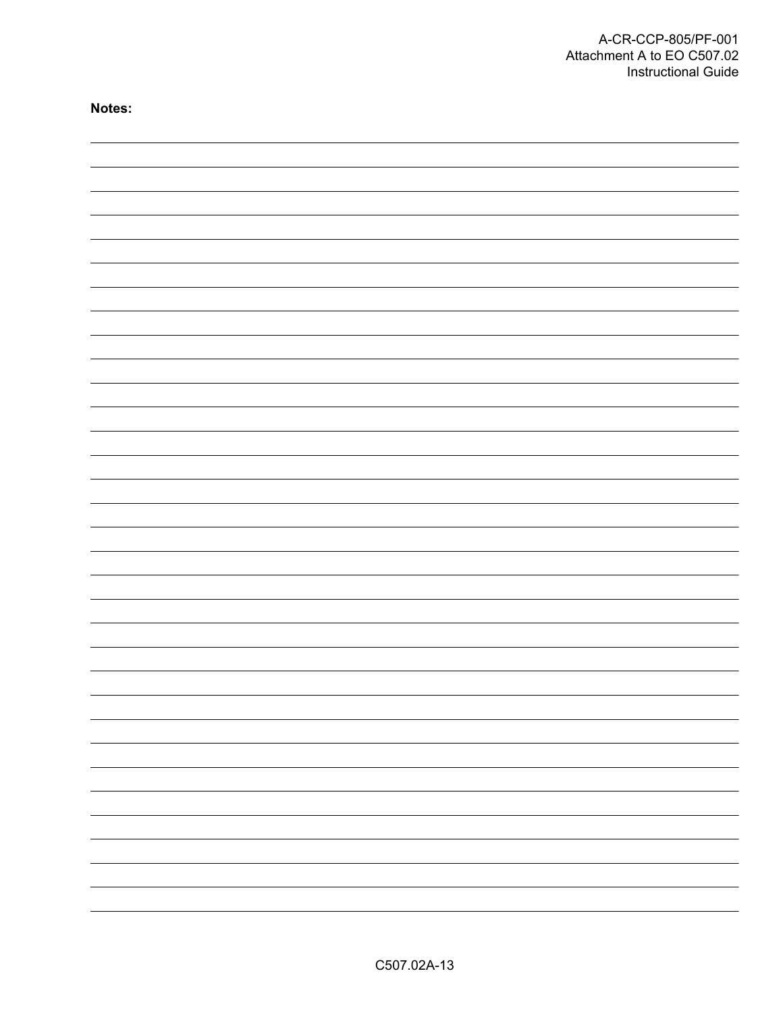**Notes:**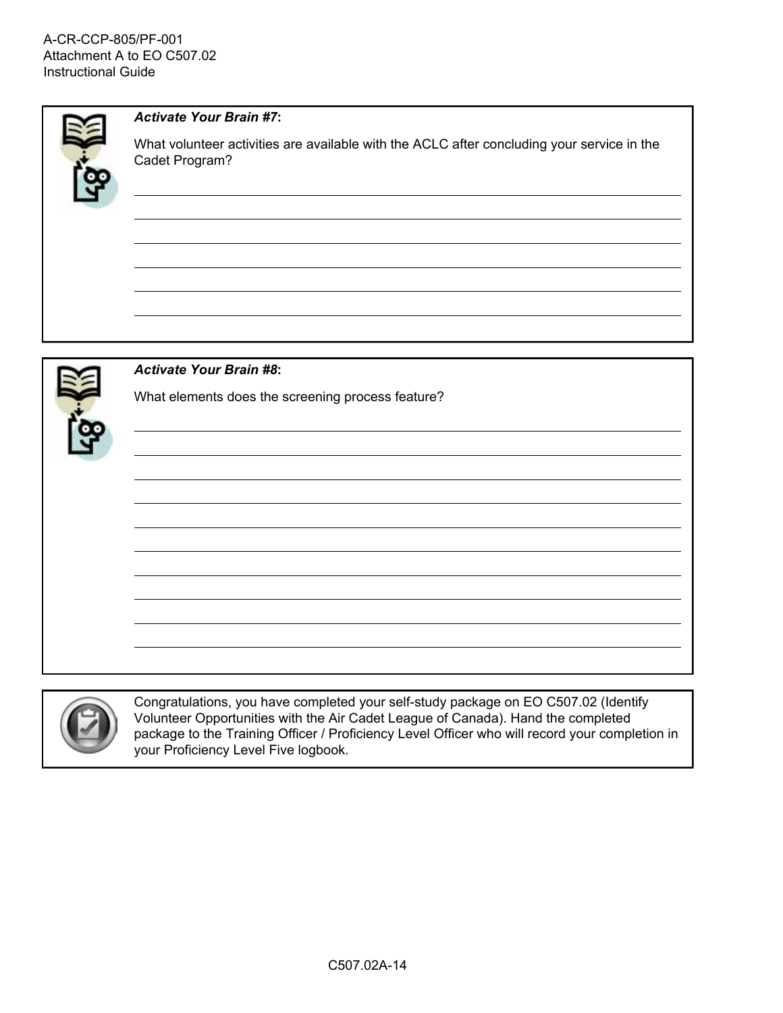

## *Activate Your Brain #7***:**

What volunteer activities are available with the ACLC after concluding your service in the Cadet Program?



*Activate Your Brain #8***:**

What elements does the screening process feature?



Congratulations, you have completed your self-study package on EO C507.02 (Identify Volunteer Opportunities with the Air Cadet League of Canada). Hand the completed package to the Training Officer / Proficiency Level Officer who will record your completion in your Proficiency Level Five logbook.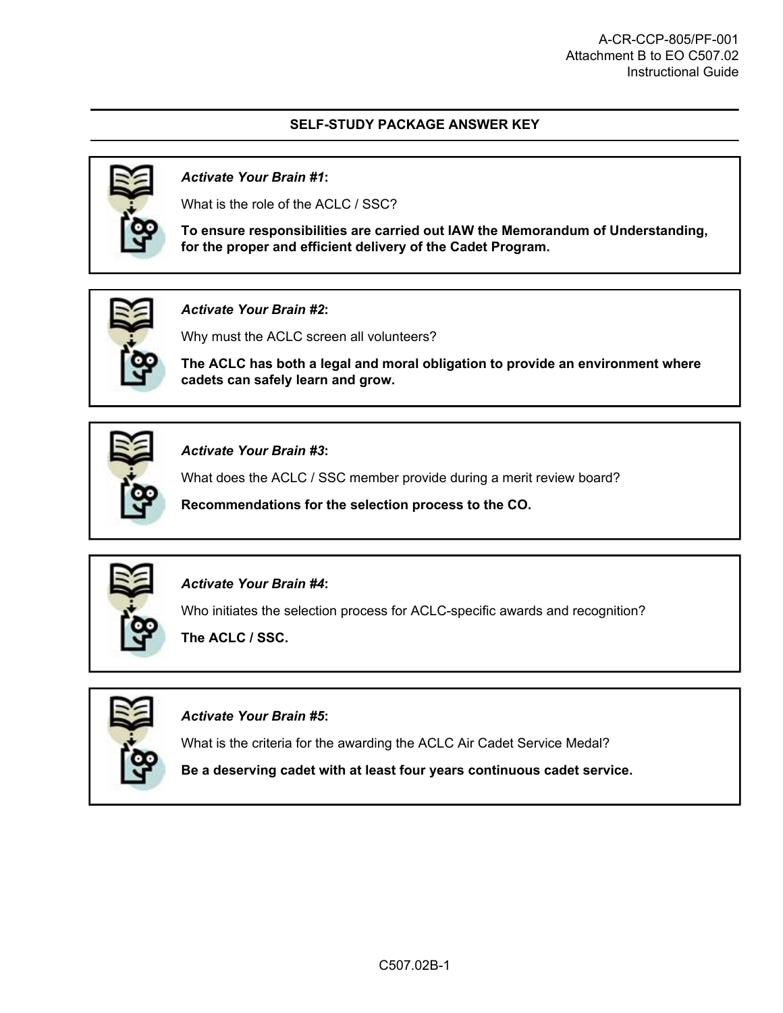## **SELF-STUDY PACKAGE ANSWER KEY**



## *Activate Your Brain #1***:**

What is the role of the ACLC / SSC?

**To ensure responsibilities are carried out IAW the Memorandum of Understanding, for the proper and efficient delivery of the Cadet Program.**



# *Activate Your Brain #2***:**

Why must the ACLC screen all volunteers?

**The ACLC has both a legal and moral obligation to provide an environment where cadets can safely learn and grow.**



# *Activate Your Brain #3***:**

What does the ACLC / SSC member provide during a merit review board?

**Recommendations for the selection process to the CO.**



# *Activate Your Brain #4***:**

Who initiates the selection process for ACLC-specific awards and recognition?

**The ACLC / SSC.**



#### *Activate Your Brain #5***:**

What is the criteria for the awarding the ACLC Air Cadet Service Medal?

**Be a deserving cadet with at least four years continuous cadet service.**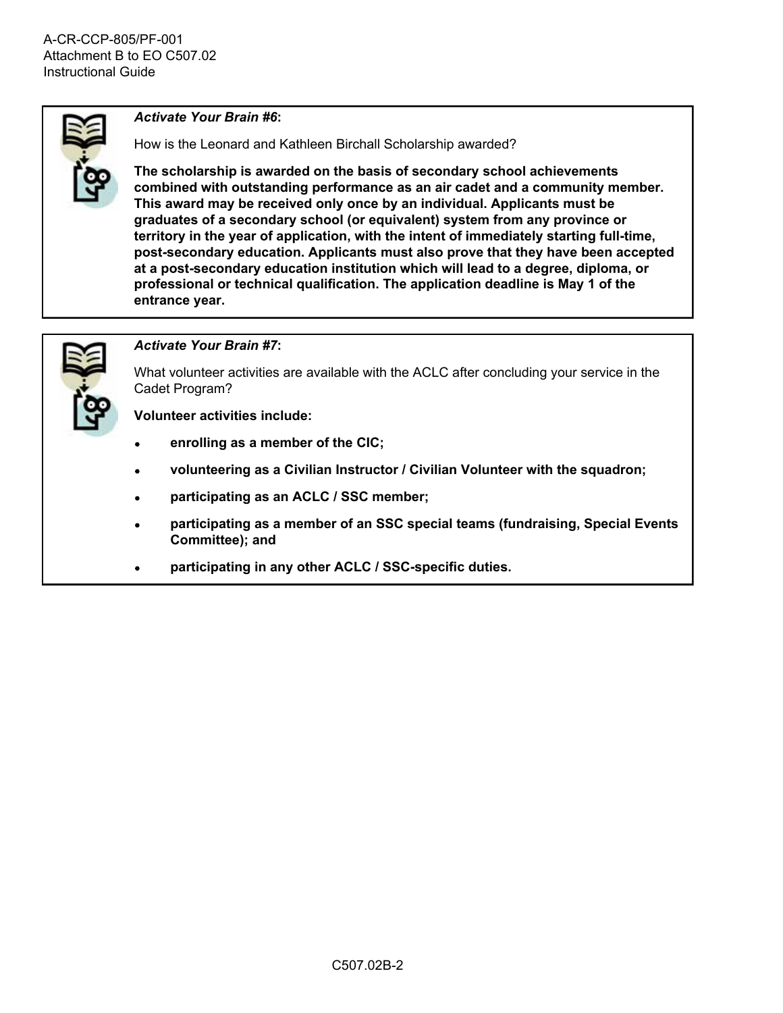

## *Activate Your Brain #6***:**

How is the Leonard and Kathleen Birchall Scholarship awarded?

**The scholarship is awarded on the basis of secondary school achievements combined with outstanding performance as an air cadet and a community member. This award may be received only once by an individual. Applicants must be graduates of a secondary school (or equivalent) system from any province or territory in the year of application, with the intent of immediately starting full-time, post-secondary education. Applicants must also prove that they have been accepted at a post-secondary education institution which will lead to a degree, diploma, or professional or technical qualification. The application deadline is May 1 of the entrance year.**



#### *Activate Your Brain #7***:**

What volunteer activities are available with the ACLC after concluding your service in the Cadet Program?

**Volunteer activities include:**

- **enrolling as a member of the CIC;**  $\bullet$
- **volunteering as a Civilian Instructor / Civilian Volunteer with the squadron;**  $\bullet$
- **participating as an ACLC / SSC member;** ٠
- **participating as a member of an SSC special teams (fundraising, Special Events**  $\bullet$ **Committee); and**
- **participating in any other ACLC / SSC-specific duties.** $\bullet$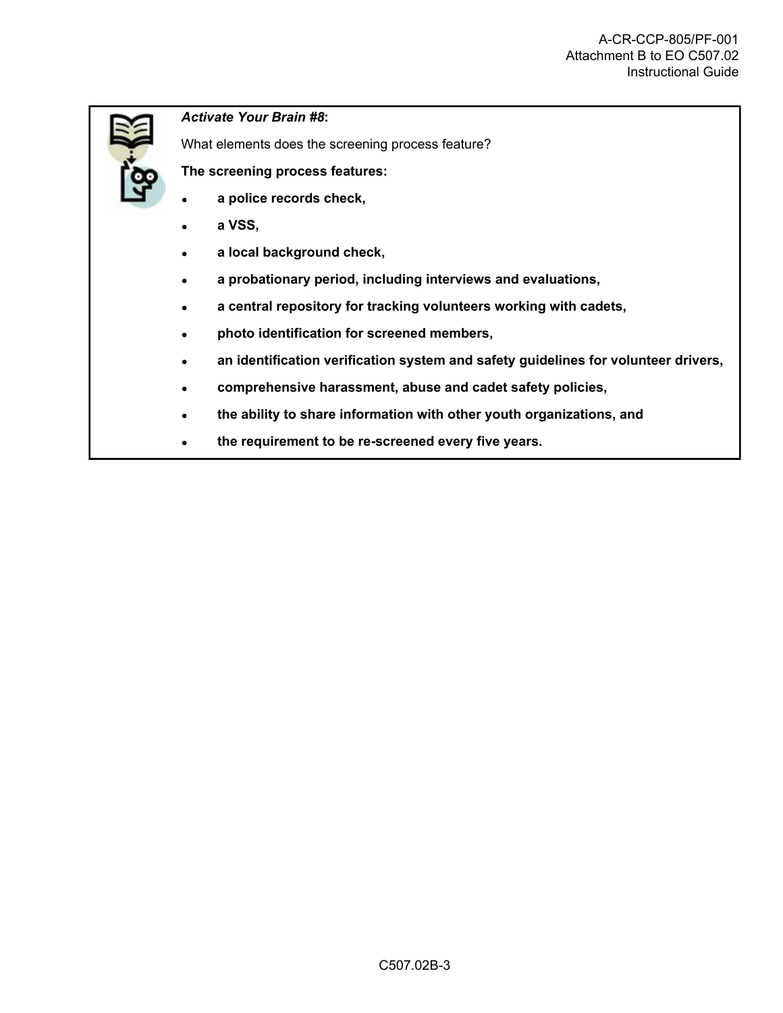

#### *Activate Your Brain #8***:**

What elements does the screening process feature?

**The screening process features:**

- **a police records check,**
- **a VSS,**  $\bullet$
- **a local background check,**  $\bullet$
- **a probationary period, including interviews and evaluations,**
- **a central repository for tracking volunteers working with cadets,**
- **photo identification for screened members,**
- **an identification verification system and safety guidelines for volunteer drivers,**
- **comprehensive harassment, abuse and cadet safety policies,**
- **the ability to share information with other youth organizations, and**
- **the requirement to be re-screened every five years.** $\bullet$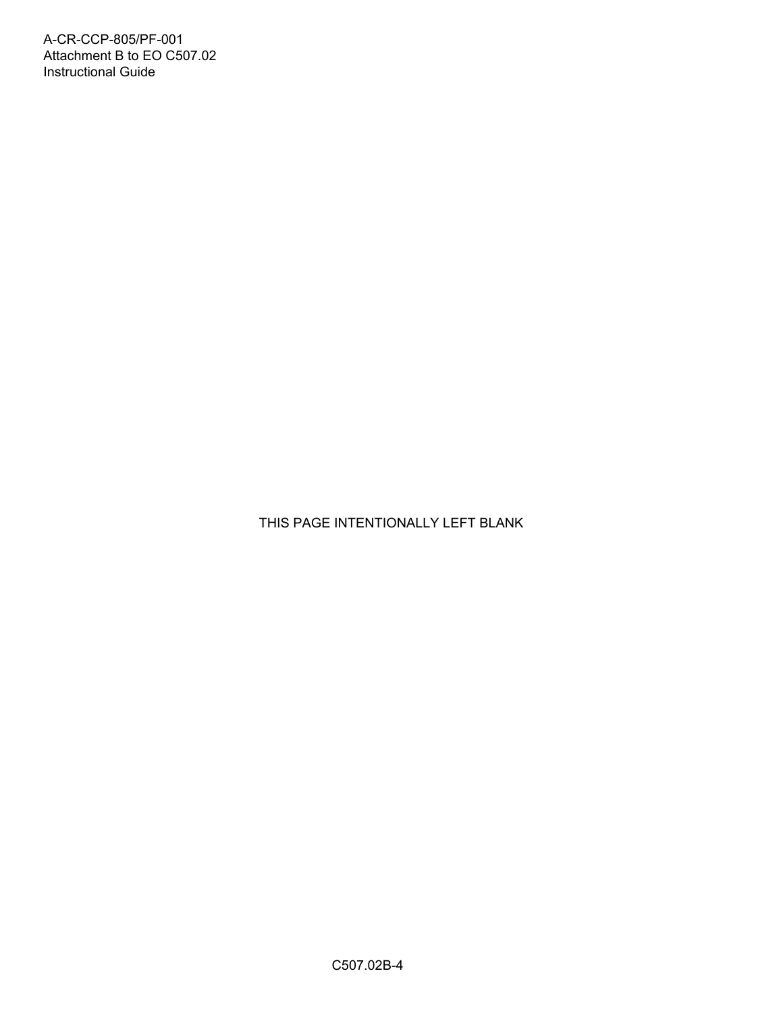A-CR-CCP-805/PF-001 Attachment B to EO C507.02 Instructional Guide

THIS PAGE INTENTIONALLY LEFT BLANK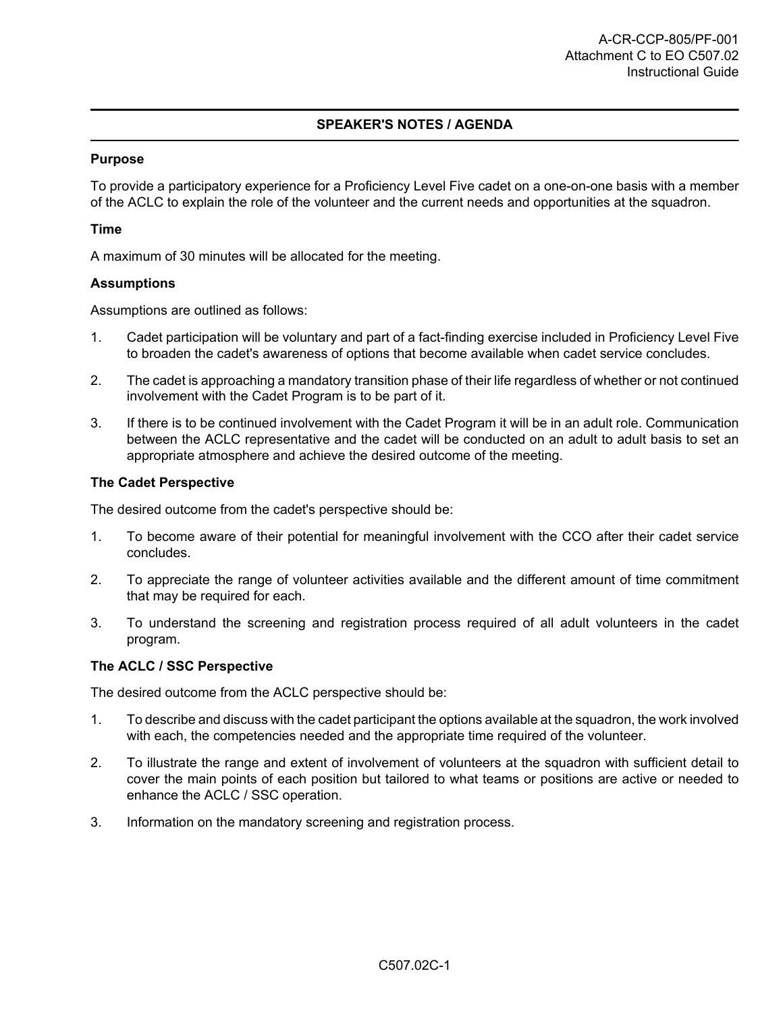#### **SPEAKER'S NOTES / AGENDA**

#### **Purpose**

To provide a participatory experience for a Proficiency Level Five cadet on a one-on-one basis with a member of the ACLC to explain the role of the volunteer and the current needs and opportunities at the squadron.

#### **Time**

A maximum of 30 minutes will be allocated for the meeting.

#### **Assumptions**

Assumptions are outlined as follows:

- 1. Cadet participation will be voluntary and part of a fact-finding exercise included in Proficiency Level Five to broaden the cadet's awareness of options that become available when cadet service concludes.
- 2. The cadet is approaching a mandatory transition phase of their life regardless of whether or not continued involvement with the Cadet Program is to be part of it.
- 3. If there is to be continued involvement with the Cadet Program it will be in an adult role. Communication between the ACLC representative and the cadet will be conducted on an adult to adult basis to set an appropriate atmosphere and achieve the desired outcome of the meeting.

#### **The Cadet Perspective**

The desired outcome from the cadet's perspective should be:

- 1. To become aware of their potential for meaningful involvement with the CCO after their cadet service concludes.
- 2. To appreciate the range of volunteer activities available and the different amount of time commitment that may be required for each.
- 3. To understand the screening and registration process required of all adult volunteers in the cadet program.

#### **The ACLC / SSC Perspective**

The desired outcome from the ACLC perspective should be:

- 1. To describe and discuss with the cadet participant the options available at the squadron, the work involved with each, the competencies needed and the appropriate time required of the volunteer.
- 2. To illustrate the range and extent of involvement of volunteers at the squadron with sufficient detail to cover the main points of each position but tailored to what teams or positions are active or needed to enhance the ACLC / SSC operation.
- 3. Information on the mandatory screening and registration process.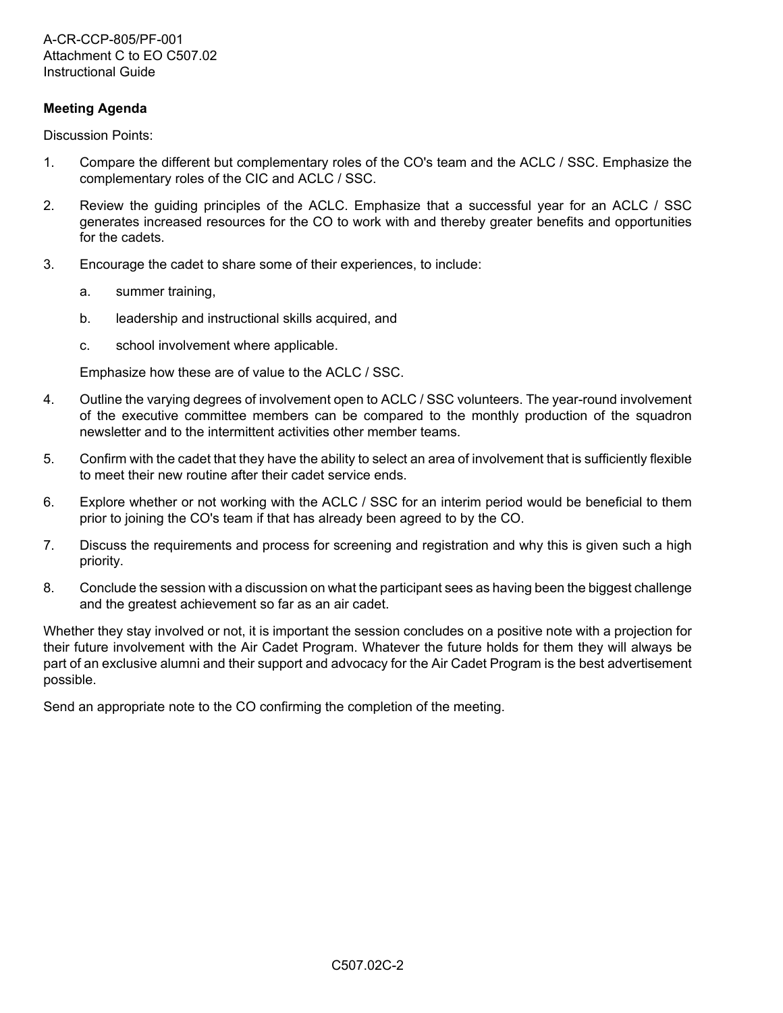A-CR-CCP-805/PF-001 Attachment C to EO C507.02 Instructional Guide

## **Meeting Agenda**

Discussion Points:

- 1. Compare the different but complementary roles of the CO's team and the ACLC / SSC. Emphasize the complementary roles of the CIC and ACLC / SSC.
- 2. Review the guiding principles of the ACLC. Emphasize that a successful year for an ACLC / SSC generates increased resources for the CO to work with and thereby greater benefits and opportunities for the cadets.
- 3. Encourage the cadet to share some of their experiences, to include:
	- a. summer training,
	- b. leadership and instructional skills acquired, and
	- c. school involvement where applicable.

Emphasize how these are of value to the ACLC / SSC.

- 4. Outline the varying degrees of involvement open to ACLC / SSC volunteers. The year-round involvement of the executive committee members can be compared to the monthly production of the squadron newsletter and to the intermittent activities other member teams.
- 5. Confirm with the cadet that they have the ability to select an area of involvement that is sufficiently flexible to meet their new routine after their cadet service ends.
- 6. Explore whether or not working with the ACLC / SSC for an interim period would be beneficial to them prior to joining the CO's team if that has already been agreed to by the CO.
- 7. Discuss the requirements and process for screening and registration and why this is given such a high priority.
- 8. Conclude the session with a discussion on what the participant sees as having been the biggest challenge and the greatest achievement so far as an air cadet.

Whether they stay involved or not, it is important the session concludes on a positive note with a projection for their future involvement with the Air Cadet Program. Whatever the future holds for them they will always be part of an exclusive alumni and their support and advocacy for the Air Cadet Program is the best advertisement possible.

Send an appropriate note to the CO confirming the completion of the meeting.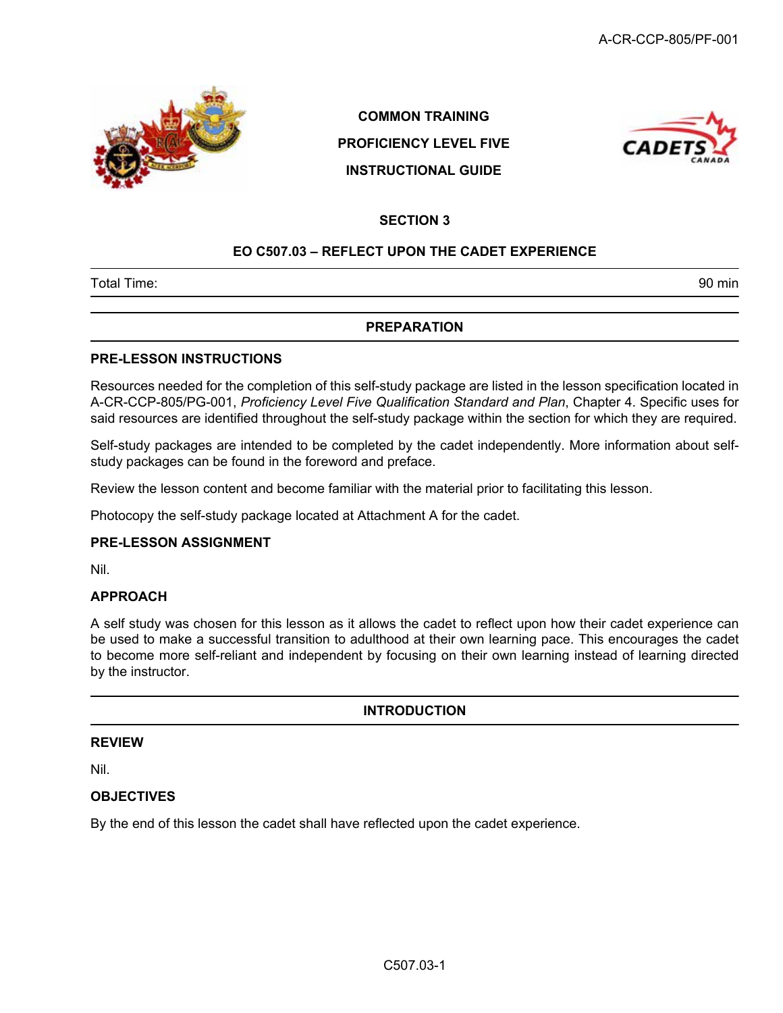

**COMMON TRAINING PROFICIENCY LEVEL FIVE INSTRUCTIONAL GUIDE**



# **SECTION 3**

### **EO C507.03 – REFLECT UPON THE CADET EXPERIENCE**

Total Time: 90 min

# **PREPARATION**

### **PRE-LESSON INSTRUCTIONS**

Resources needed for the completion of this self-study package are listed in the lesson specification located in A-CR-CCP-805/PG-001, *Proficiency Level Five Qualification Standard and Plan*, Chapter 4. Specific uses for said resources are identified throughout the self-study package within the section for which they are required.

Self-study packages are intended to be completed by the cadet independently. More information about selfstudy packages can be found in the foreword and preface.

Review the lesson content and become familiar with the material prior to facilitating this lesson.

Photocopy the self-study package located at Attachment A for the cadet.

### **PRE-LESSON ASSIGNMENT**

Nil.

### **APPROACH**

A self study was chosen for this lesson as it allows the cadet to reflect upon how their cadet experience can be used to make a successful transition to adulthood at their own learning pace. This encourages the cadet to become more self-reliant and independent by focusing on their own learning instead of learning directed by the instructor.

**INTRODUCTION**

### **REVIEW**

Nil.

### **OBJECTIVES**

By the end of this lesson the cadet shall have reflected upon the cadet experience.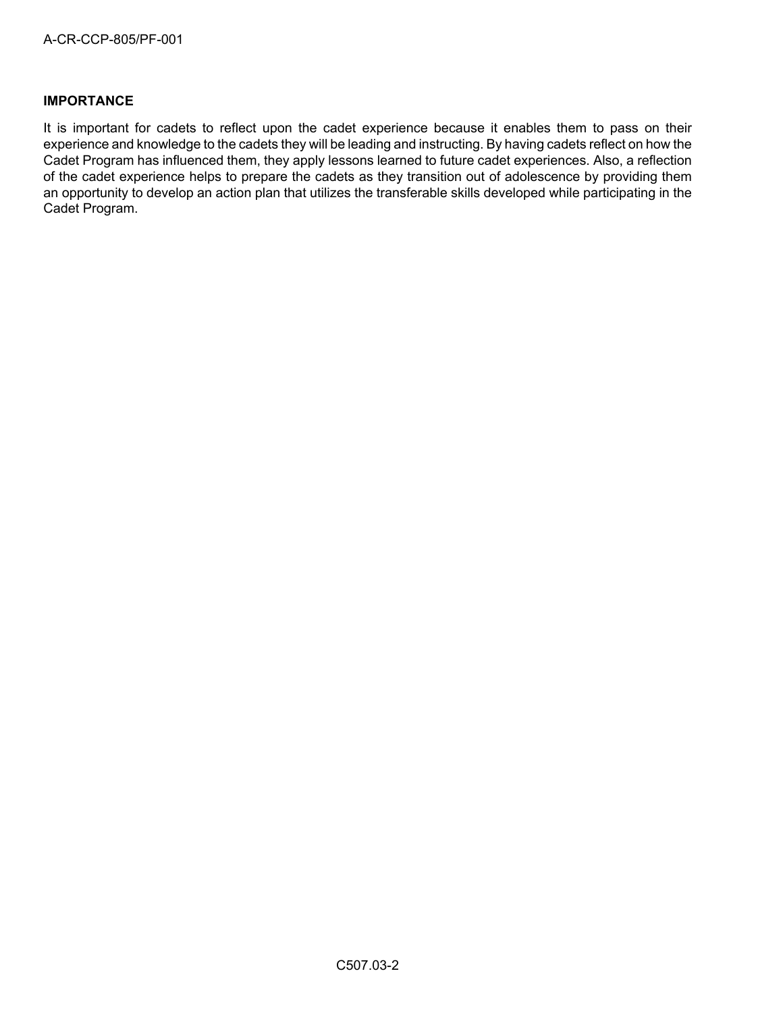### **IMPORTANCE**

It is important for cadets to reflect upon the cadet experience because it enables them to pass on their experience and knowledge to the cadets they will be leading and instructing. By having cadets reflect on how the Cadet Program has influenced them, they apply lessons learned to future cadet experiences. Also, a reflection of the cadet experience helps to prepare the cadets as they transition out of adolescence by providing them an opportunity to develop an action plan that utilizes the transferable skills developed while participating in the Cadet Program.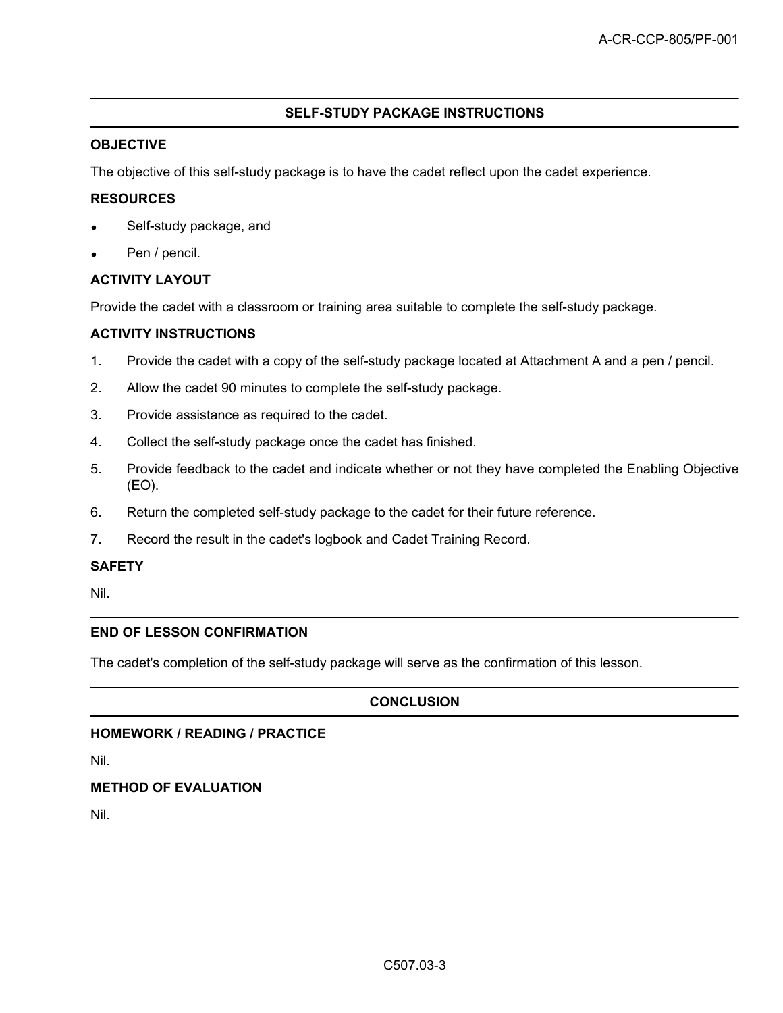# **SELF-STUDY PACKAGE INSTRUCTIONS**

### **OBJECTIVE**

The objective of this self-study package is to have the cadet reflect upon the cadet experience.

### **RESOURCES**

- Self-study package, and
- Pen / pencil.

# **ACTIVITY LAYOUT**

Provide the cadet with a classroom or training area suitable to complete the self-study package.

### **ACTIVITY INSTRUCTIONS**

- 1. Provide the cadet with a copy of the self-study package located at Attachment A and a pen / pencil.
- 2. Allow the cadet 90 minutes to complete the self-study package.
- 3. Provide assistance as required to the cadet.
- 4. Collect the self-study package once the cadet has finished.
- 5. Provide feedback to the cadet and indicate whether or not they have completed the Enabling Objective (EO).
- 6. Return the completed self-study package to the cadet for their future reference.
- 7. Record the result in the cadet's logbook and Cadet Training Record.

### **SAFETY**

Nil.

### **END OF LESSON CONFIRMATION**

The cadet's completion of the self-study package will serve as the confirmation of this lesson.

### **CONCLUSION**

### **HOMEWORK / READING / PRACTICE**

Nil.

### **METHOD OF EVALUATION**

Nil.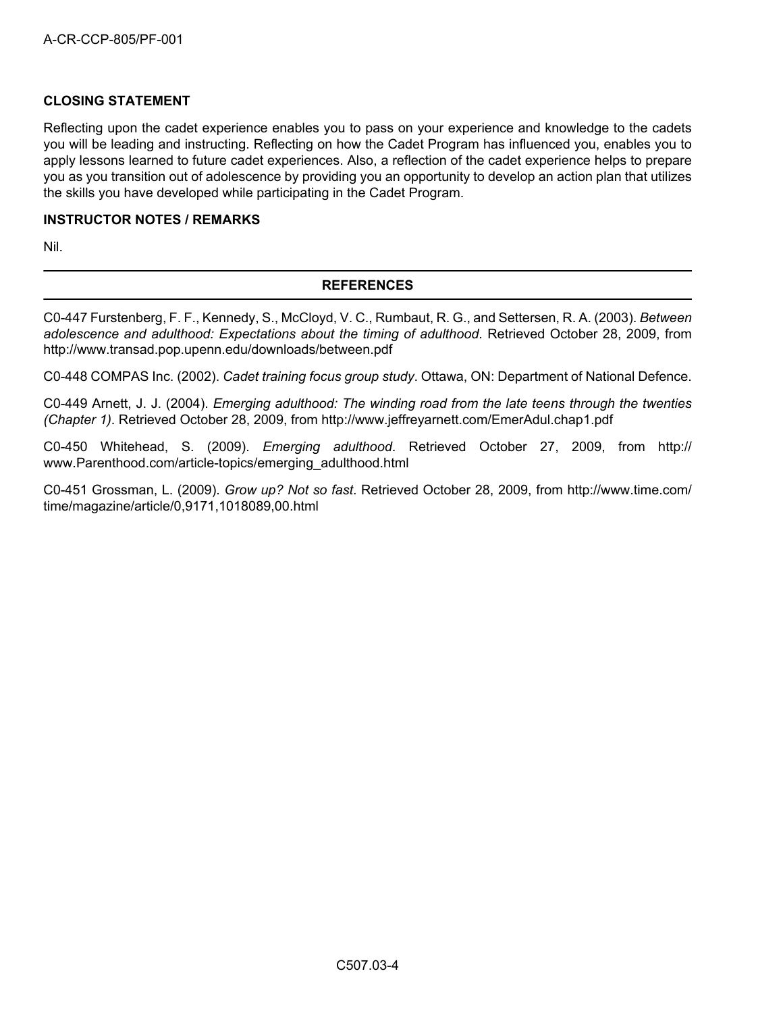# **CLOSING STATEMENT**

Reflecting upon the cadet experience enables you to pass on your experience and knowledge to the cadets you will be leading and instructing. Reflecting on how the Cadet Program has influenced you, enables you to apply lessons learned to future cadet experiences. Also, a reflection of the cadet experience helps to prepare you as you transition out of adolescence by providing you an opportunity to develop an action plan that utilizes the skills you have developed while participating in the Cadet Program.

### **INSTRUCTOR NOTES / REMARKS**

Nil.

# **REFERENCES**

C0-447 Furstenberg, F. F., Kennedy, S., McCloyd, V. C., Rumbaut, R. G., and Settersen, R. A. (2003). *Between adolescence and adulthood: Expectations about the timing of adulthood*. Retrieved October 28, 2009, from http://www.transad.pop.upenn.edu/downloads/between.pdf

C0-448 COMPAS Inc. (2002). *Cadet training focus group study*. Ottawa, ON: Department of National Defence.

C0-449 Arnett, J. J. (2004). *Emerging adulthood: The winding road from the late teens through the twenties (Chapter 1)*. Retrieved October 28, 2009, from http://www.jeffreyarnett.com/EmerAdul.chap1.pdf

C0-450 Whitehead, S. (2009). *Emerging adulthood*. Retrieved October 27, 2009, from http:// www.Parenthood.com/article-topics/emerging\_adulthood.html

C0-451 Grossman, L. (2009). *Grow up? Not so fast*. Retrieved October 28, 2009, from http://www.time.com/ time/magazine/article/0,9171,1018089,00.html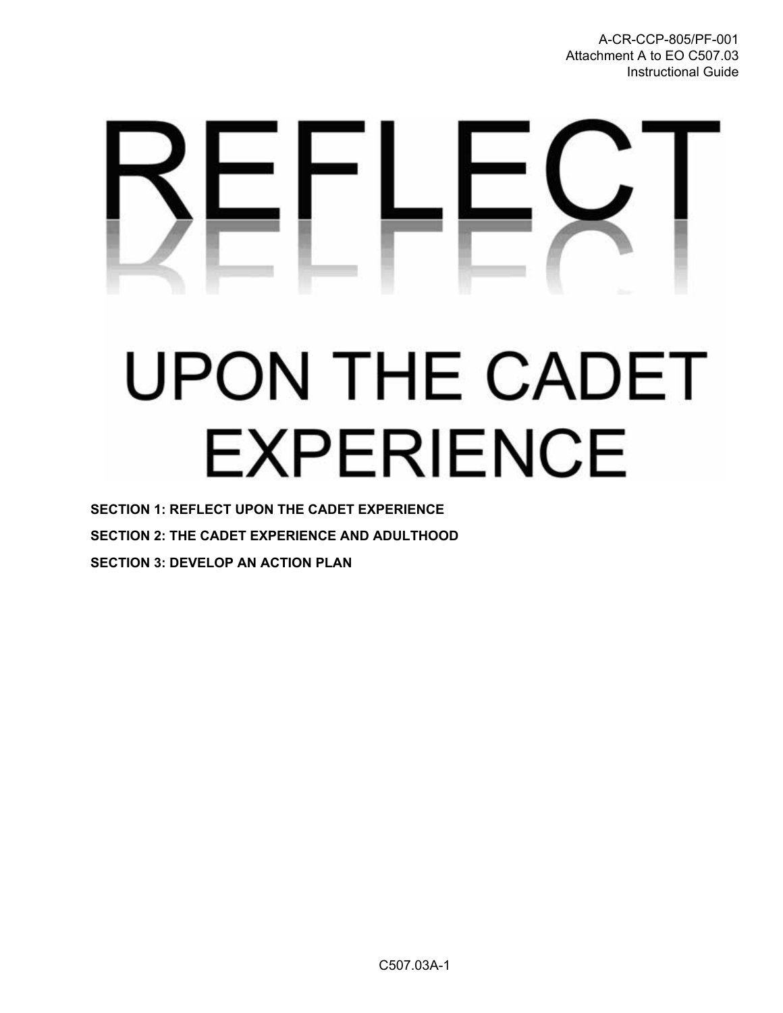# **UPON THE CADET EXPERIENCE**

**SECTION 1: REFLECT UPON THE CADET EXPERIENCE SECTION 2: THE CADET EXPERIENCE AND ADULTHOOD SECTION 3: DEVELOP AN ACTION PLAN**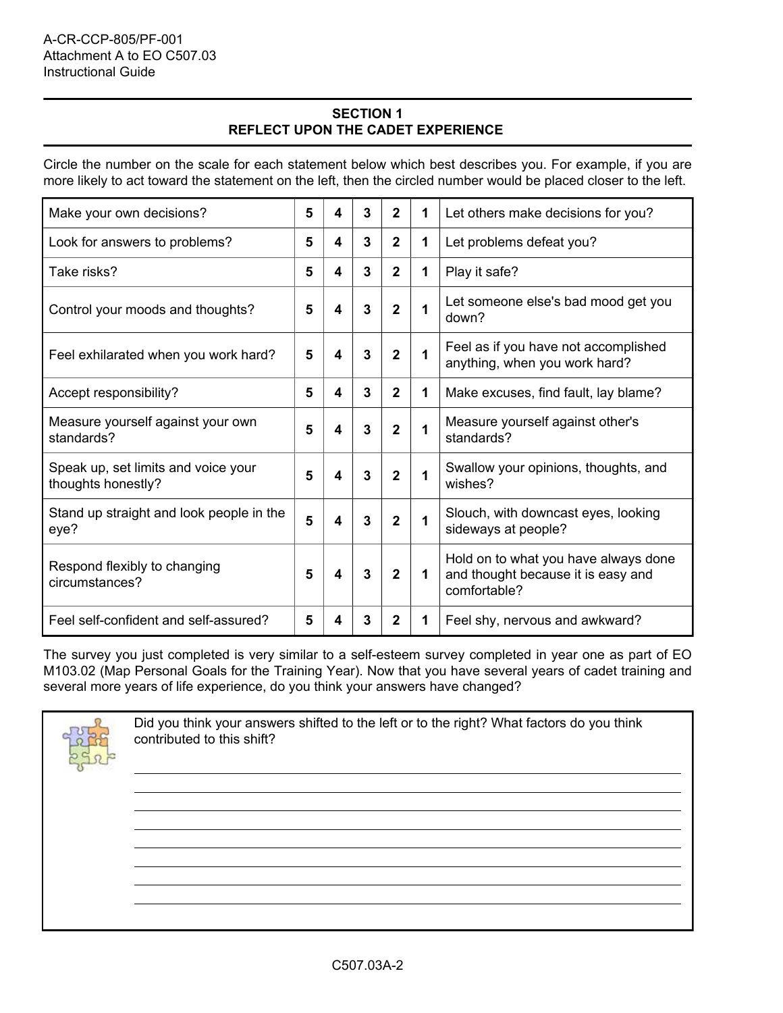# **SECTION 1 REFLECT UPON THE CADET EXPERIENCE**

Circle the number on the scale for each statement below which best describes you. For example, if you are more likely to act toward the statement on the left, then the circled number would be placed closer to the left.

| Make your own decisions?                                  | 5 | 4 | 3 | $\mathbf{2}$   |   | Let others make decisions for you?                                                         |
|-----------------------------------------------------------|---|---|---|----------------|---|--------------------------------------------------------------------------------------------|
| Look for answers to problems?                             | 5 | 4 | 3 | $\mathbf{2}$   | 1 | Let problems defeat you?                                                                   |
| Take risks?                                               | 5 | 4 | 3 | $\overline{2}$ | 1 | Play it safe?                                                                              |
| Control your moods and thoughts?                          | 5 | 4 | 3 | $\mathbf{2}$   |   | Let someone else's bad mood get you<br>down?                                               |
| Feel exhilarated when you work hard?                      | 5 | 4 | 3 | $\overline{2}$ | 1 | Feel as if you have not accomplished<br>anything, when you work hard?                      |
| Accept responsibility?                                    | 5 | 4 | 3 | $\mathbf{2}$   | 1 | Make excuses, find fault, lay blame?                                                       |
| Measure yourself against your own<br>standards?           | 5 | 4 | 3 | $\mathbf{2}$   |   | Measure yourself against other's<br>standards?                                             |
| Speak up, set limits and voice your<br>thoughts honestly? | 5 | 4 | 3 | $\overline{2}$ | 1 | Swallow your opinions, thoughts, and<br>wishes?                                            |
| Stand up straight and look people in the<br>eye?          | 5 | 4 | 3 | $\mathbf{2}$   |   | Slouch, with downcast eyes, looking<br>sideways at people?                                 |
| Respond flexibly to changing<br>circumstances?            | 5 | 4 | 3 | $\overline{2}$ | 1 | Hold on to what you have always done<br>and thought because it is easy and<br>comfortable? |
| Feel self-confident and self-assured?                     | 5 | 4 | 3 | 2              |   | Feel shy, nervous and awkward?                                                             |

The survey you just completed is very similar to a self-esteem survey completed in year one as part of EO M103.02 (Map Personal Goals for the Training Year). Now that you have several years of cadet training and several more years of life experience, do you think your answers have changed?



Did you think your answers shifted to the left or to the right? What factors do you think contributed to this shift?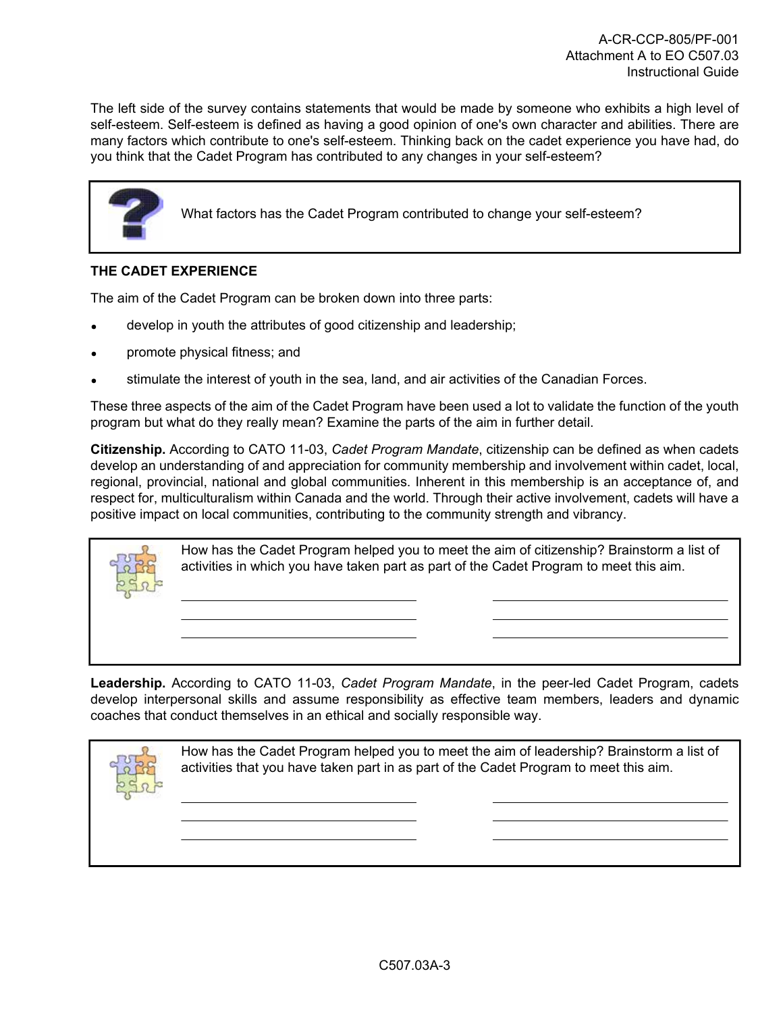The left side of the survey contains statements that would be made by someone who exhibits a high level of self-esteem. Self-esteem is defined as having a good opinion of one's own character and abilities. There are many factors which contribute to one's self-esteem. Thinking back on the cadet experience you have had, do you think that the Cadet Program has contributed to any changes in your self-esteem?



What factors has the Cadet Program contributed to change your self-esteem?

# **THE CADET EXPERIENCE**

The aim of the Cadet Program can be broken down into three parts:

- develop in youth the attributes of good citizenship and leadership;
- promote physical fitness; and
- stimulate the interest of youth in the sea, land, and air activities of the Canadian Forces.

These three aspects of the aim of the Cadet Program have been used a lot to validate the function of the youth program but what do they really mean? Examine the parts of the aim in further detail.

**Citizenship.** According to CATO 11-03, *Cadet Program Mandate*, citizenship can be defined as when cadets develop an understanding of and appreciation for community membership and involvement within cadet, local, regional, provincial, national and global communities. Inherent in this membership is an acceptance of, and respect for, multiculturalism within Canada and the world. Through their active involvement, cadets will have a positive impact on local communities, contributing to the community strength and vibrancy.

How has the Cadet Program helped you to meet the aim of citizenship? Brainstorm a list of activities in which you have taken part as part of the Cadet Program to meet this aim.

**Leadership.** According to CATO 11-03, *Cadet Program Mandate*, in the peer-led Cadet Program, cadets develop interpersonal skills and assume responsibility as effective team members, leaders and dynamic coaches that conduct themselves in an ethical and socially responsible way.



How has the Cadet Program helped you to meet the aim of leadership? Brainstorm a list of activities that you have taken part in as part of the Cadet Program to meet this aim.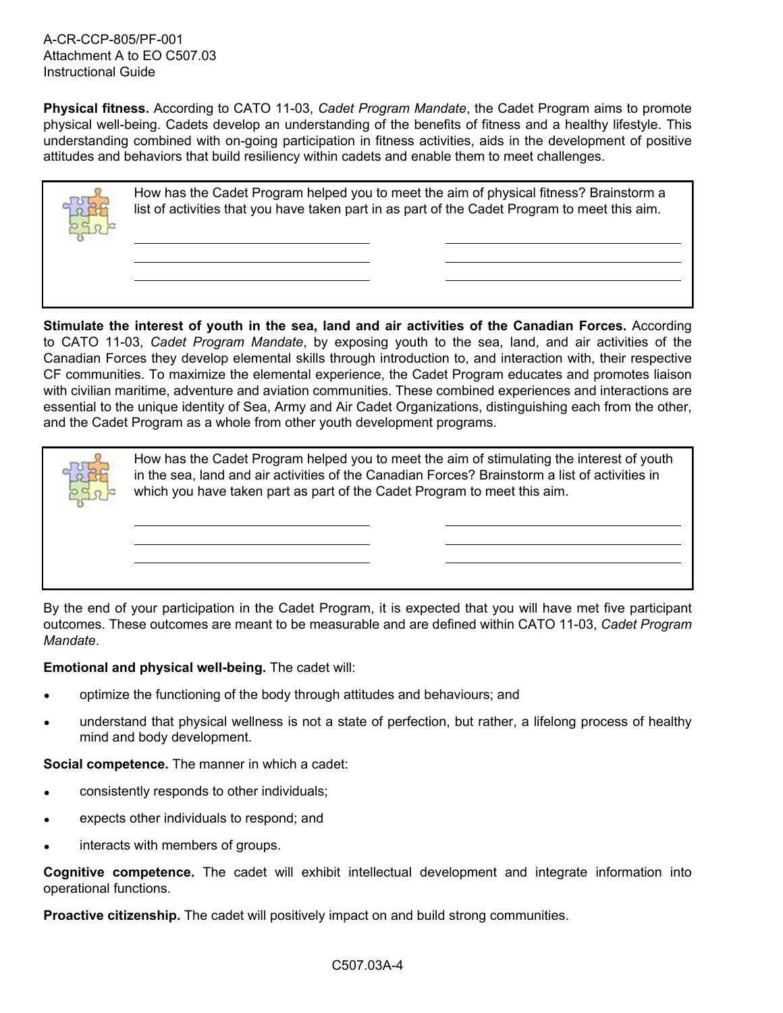**Physical fitness.** According to CATO 11-03, *Cadet Program Mandate*, the Cadet Program aims to promote physical well-being. Cadets develop an understanding of the benefits of fitness and a healthy lifestyle. This understanding combined with on-going participation in fitness activities, aids in the development of positive attitudes and behaviors that build resiliency within cadets and enable them to meet challenges.

|  | How has the Cadet Program helped you to meet the aim of physical fitness? Brainstorm a<br>list of activities that you have taken part in as part of the Cadet Program to meet this aim. |  |
|--|-----------------------------------------------------------------------------------------------------------------------------------------------------------------------------------------|--|
|  |                                                                                                                                                                                         |  |

**Stimulate the interest of youth in the sea, land and air activities of the Canadian Forces.** According to CATO 11-03, *Cadet Program Mandate*, by exposing youth to the sea, land, and air activities of the Canadian Forces they develop elemental skills through introduction to, and interaction with, their respective CF communities. To maximize the elemental experience, the Cadet Program educates and promotes liaison with civilian maritime, adventure and aviation communities. These combined experiences and interactions are essential to the unique identity of Sea, Army and Air Cadet Organizations, distinguishing each from the other, and the Cadet Program as a whole from other youth development programs.

| How has the Cadet Program helped you to meet the aim of stimulating the interest of youth<br>in the sea, land and air activities of the Canadian Forces? Brainstorm a list of activities in<br>which you have taken part as part of the Cadet Program to meet this aim. |
|-------------------------------------------------------------------------------------------------------------------------------------------------------------------------------------------------------------------------------------------------------------------------|
|                                                                                                                                                                                                                                                                         |

By the end of your participation in the Cadet Program, it is expected that you will have met five participant outcomes. These outcomes are meant to be measurable and are defined within CATO 11-03, *Cadet Program Mandate*.

### **Emotional and physical well-being.** The cadet will:

- optimize the functioning of the body through attitudes and behaviours; and
- understand that physical wellness is not a state of perfection, but rather, a lifelong process of healthy mind and body development.

**Social competence.** The manner in which a cadet:

- consistently responds to other individuals;
- expects other individuals to respond; and
- interacts with members of groups.

**Cognitive competence.** The cadet will exhibit intellectual development and integrate information into operational functions.

**Proactive citizenship.** The cadet will positively impact on and build strong communities.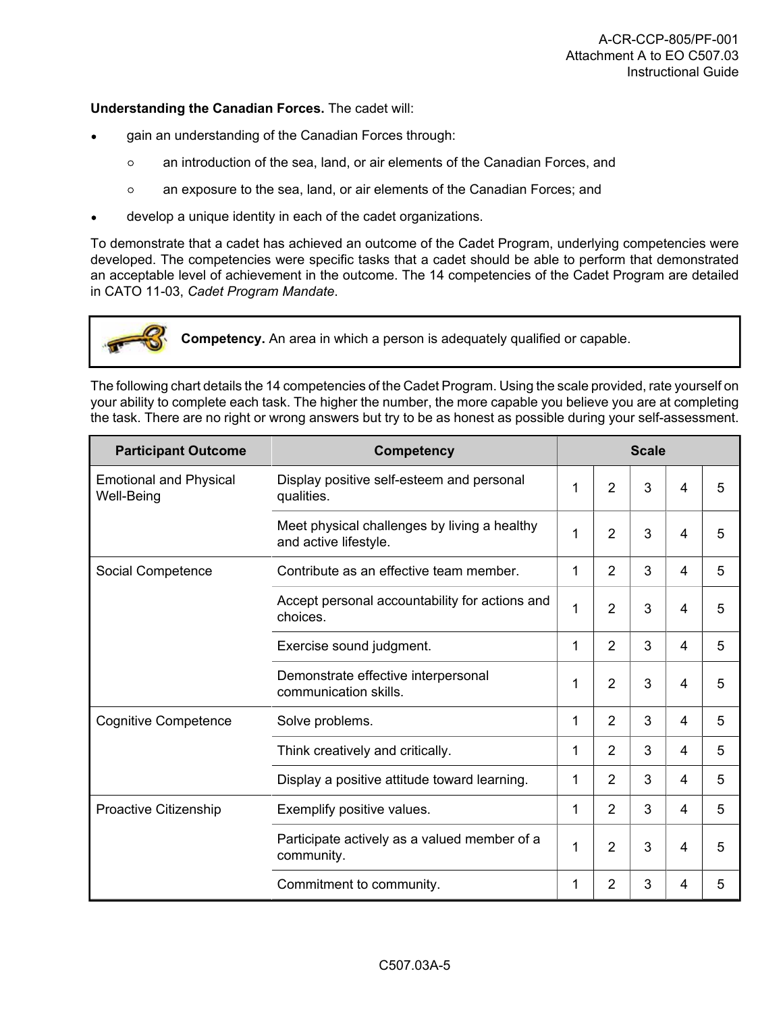### **Understanding the Canadian Forces.** The cadet will:

- gain an understanding of the Canadian Forces through:
	- $\circ$ an introduction of the sea, land, or air elements of the Canadian Forces, and
	- an exposure to the sea, land, or air elements of the Canadian Forces; and  $\circ$
- develop a unique identity in each of the cadet organizations.

To demonstrate that a cadet has achieved an outcome of the Cadet Program, underlying competencies were developed. The competencies were specific tasks that a cadet should be able to perform that demonstrated an acceptable level of achievement in the outcome. The 14 competencies of the Cadet Program are detailed in CATO 11-03, *Cadet Program Mandate*.



**Competency.** An area in which a person is adequately qualified or capable.

The following chart details the 14 competencies of the Cadet Program. Using the scale provided, rate yourself on your ability to complete each task. The higher the number, the more capable you believe you are at completing the task. There are no right or wrong answers but try to be as honest as possible during your self-assessment.

| <b>Participant Outcome</b>                  | <b>Competency</b>                                                     |   |                | <b>Scale</b> |                         |   |
|---------------------------------------------|-----------------------------------------------------------------------|---|----------------|--------------|-------------------------|---|
| <b>Emotional and Physical</b><br>Well-Being | Display positive self-esteem and personal<br>qualities.               | 1 | $\overline{2}$ | 3            | $\overline{4}$          | 5 |
|                                             | Meet physical challenges by living a healthy<br>and active lifestyle. | 1 | $\overline{2}$ | 3            | 4                       | 5 |
| Social Competence                           | Contribute as an effective team member.                               | 1 | $\overline{2}$ | 3            | $\overline{\mathbf{4}}$ | 5 |
|                                             | Accept personal accountability for actions and<br>choices.            | 1 | $\overline{2}$ | 3            | 4                       | 5 |
|                                             | Exercise sound judgment.                                              | 1 | $\overline{2}$ | 3            | 4                       | 5 |
|                                             | Demonstrate effective interpersonal<br>communication skills.          | 1 | $\overline{2}$ | 3            | 4                       | 5 |
| <b>Cognitive Competence</b>                 | Solve problems.                                                       | 1 | $\overline{2}$ | 3            | 4                       | 5 |
|                                             | Think creatively and critically.                                      | 1 | 2              | 3            | 4                       | 5 |
|                                             | Display a positive attitude toward learning.                          | 1 | $\overline{2}$ | 3            | 4                       | 5 |
| Proactive Citizenship                       | Exemplify positive values.                                            | 1 | $\overline{2}$ | 3            | 4                       | 5 |
|                                             | Participate actively as a valued member of a<br>community.            | 1 | $\overline{2}$ | 3            | $\overline{4}$          | 5 |
|                                             | Commitment to community.                                              | 1 | $\overline{2}$ | 3            | 4                       | 5 |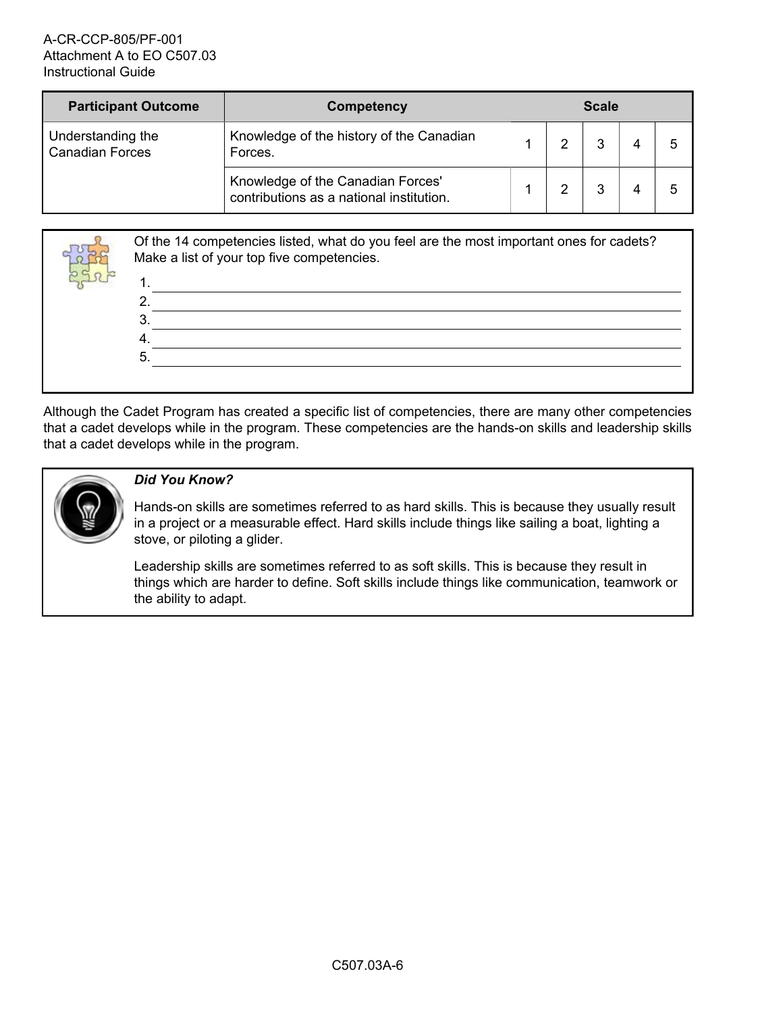| <b>Participant Outcome</b>                  | <b>Competency</b>                                                             |  | <b>Scale</b> |   |
|---------------------------------------------|-------------------------------------------------------------------------------|--|--------------|---|
| Understanding the<br><b>Canadian Forces</b> | Knowledge of the history of the Canadian<br>Forces.                           |  |              | 5 |
|                                             | Knowledge of the Canadian Forces'<br>contributions as a national institution. |  |              | 5 |

| Of the 14 competencies listed, what do you feel are the most important ones for cadets?<br>Make a list of your top five competencies. |
|---------------------------------------------------------------------------------------------------------------------------------------|
|                                                                                                                                       |
|                                                                                                                                       |
|                                                                                                                                       |
|                                                                                                                                       |
| 5                                                                                                                                     |
|                                                                                                                                       |

Although the Cadet Program has created a specific list of competencies, there are many other competencies that a cadet develops while in the program. These competencies are the hands-on skills and leadership skills that a cadet develops while in the program.



# *Did You Know?*

Hands-on skills are sometimes referred to as hard skills. This is because they usually result in a project or a measurable effect. Hard skills include things like sailing a boat, lighting a stove, or piloting a glider.

Leadership skills are sometimes referred to as soft skills. This is because they result in things which are harder to define. Soft skills include things like communication, teamwork or the ability to adapt.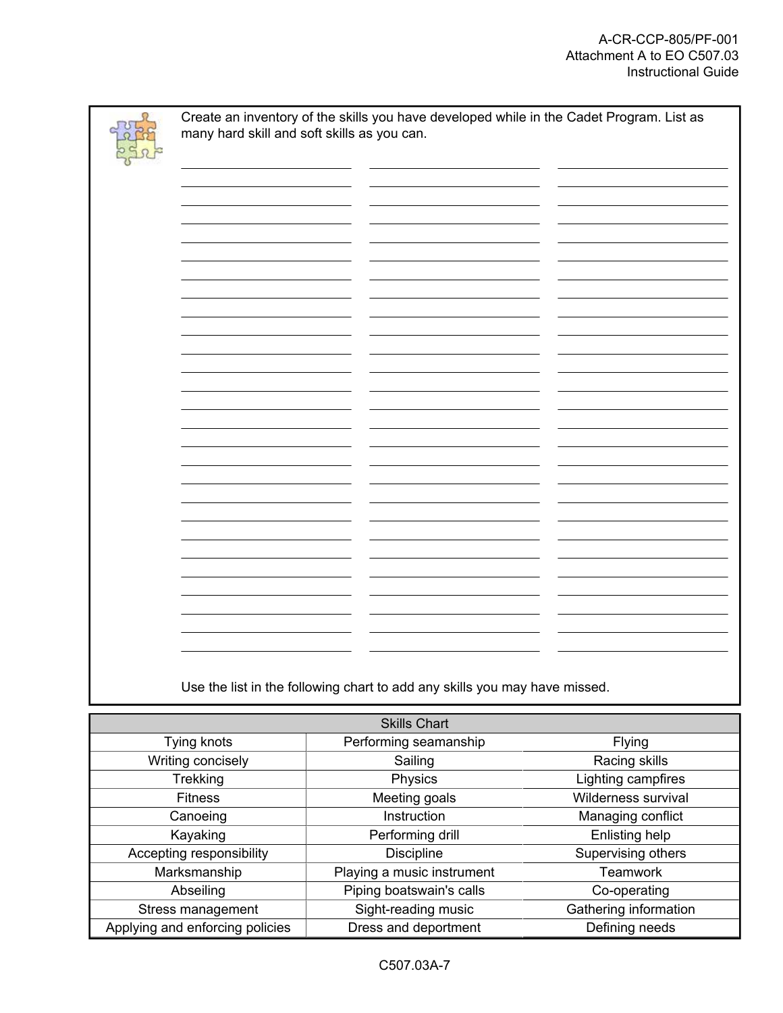| many hard skill and soft skills as you can. | Create an inventory of the skills you have developed while in the Cadet Program. List as |  |
|---------------------------------------------|------------------------------------------------------------------------------------------|--|
|                                             |                                                                                          |  |
|                                             |                                                                                          |  |
|                                             |                                                                                          |  |
|                                             |                                                                                          |  |
|                                             |                                                                                          |  |
|                                             |                                                                                          |  |
|                                             |                                                                                          |  |
|                                             |                                                                                          |  |
|                                             |                                                                                          |  |
|                                             |                                                                                          |  |
|                                             |                                                                                          |  |
|                                             |                                                                                          |  |
|                                             |                                                                                          |  |
|                                             |                                                                                          |  |
|                                             |                                                                                          |  |
|                                             |                                                                                          |  |
|                                             |                                                                                          |  |
|                                             |                                                                                          |  |

Use the list in the following chart to add any skills you may have missed.

| <b>Skills Chart</b>             |                            |                       |  |  |
|---------------------------------|----------------------------|-----------------------|--|--|
| Tying knots                     | Performing seamanship      | <b>Flying</b>         |  |  |
| Writing concisely               | Sailing                    | Racing skills         |  |  |
| <b>Trekking</b>                 | Physics                    | Lighting campfires    |  |  |
| <b>Fitness</b>                  | Meeting goals              | Wilderness survival   |  |  |
| Canoeing                        | Instruction                | Managing conflict     |  |  |
| Kayaking                        | Performing drill           | Enlisting help        |  |  |
| Accepting responsibility        | <b>Discipline</b>          | Supervising others    |  |  |
| Marksmanship                    | Playing a music instrument | <b>Teamwork</b>       |  |  |
| Abseiling                       | Piping boatswain's calls   | Co-operating          |  |  |
| Stress management               | Sight-reading music        | Gathering information |  |  |
| Applying and enforcing policies | Dress and deportment       | Defining needs        |  |  |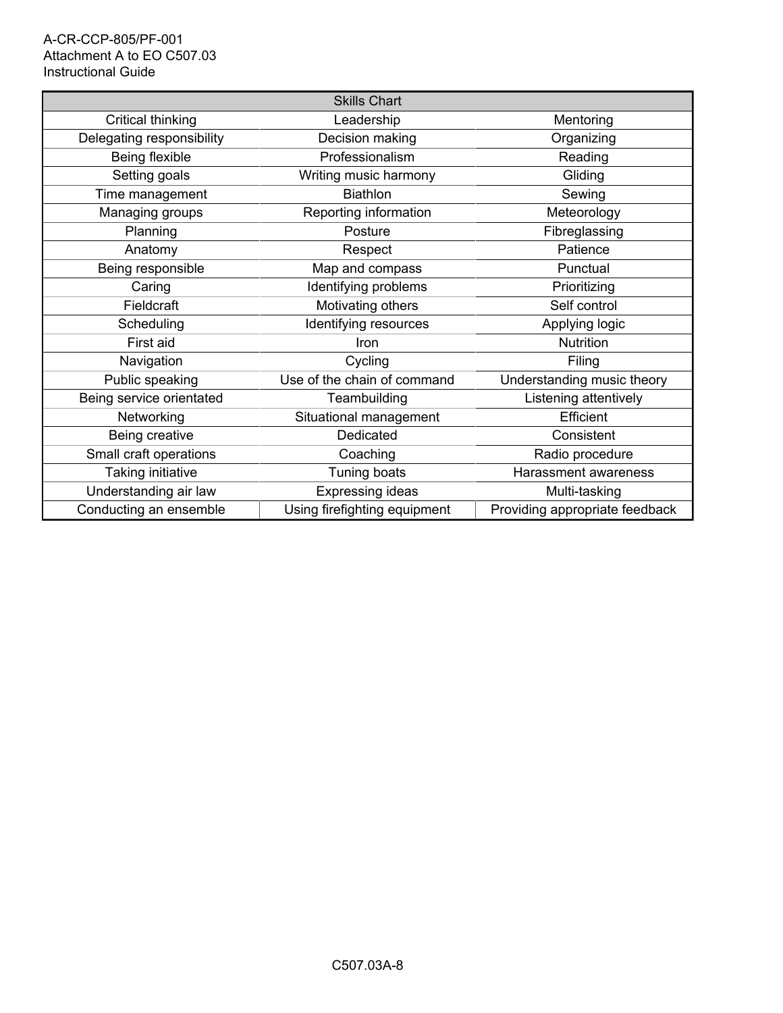| <b>Skills Chart</b>       |                              |                                |  |
|---------------------------|------------------------------|--------------------------------|--|
| Critical thinking         | Leadership                   | Mentoring                      |  |
| Delegating responsibility | Decision making              | Organizing                     |  |
| Being flexible            | Professionalism              | Reading                        |  |
| Setting goals             | Writing music harmony        | Gliding                        |  |
| Time management           | <b>Biathlon</b>              | Sewing                         |  |
| Managing groups           | Reporting information        | Meteorology                    |  |
| Planning                  | Posture                      | Fibreglassing                  |  |
| Anatomy                   | Respect                      | Patience                       |  |
| Being responsible         | Map and compass              | Punctual                       |  |
| Caring                    | Identifying problems         | Prioritizing                   |  |
| Fieldcraft                | Motivating others            | Self control                   |  |
| Scheduling                | Identifying resources        | Applying logic                 |  |
| First aid                 | Iron                         | <b>Nutrition</b>               |  |
| Navigation                | Cycling                      | Filing                         |  |
| Public speaking           | Use of the chain of command  | Understanding music theory     |  |
| Being service orientated  | Teambuilding                 | Listening attentively          |  |
| Networking                | Situational management       | Efficient                      |  |
| Being creative            | Dedicated                    | Consistent                     |  |
| Small craft operations    | Coaching                     | Radio procedure                |  |
| Taking initiative         | Tuning boats                 | Harassment awareness           |  |
| Understanding air law     | <b>Expressing ideas</b>      | Multi-tasking                  |  |
| Conducting an ensemble    | Using firefighting equipment | Providing appropriate feedback |  |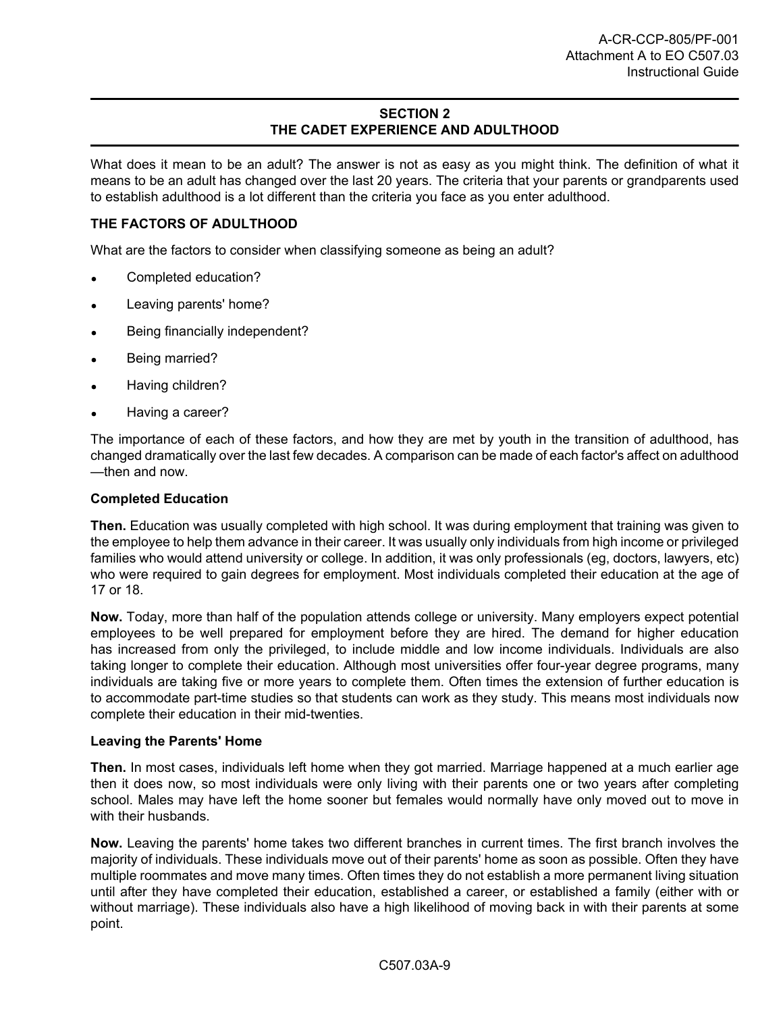# **SECTION 2 THE CADET EXPERIENCE AND ADULTHOOD**

What does it mean to be an adult? The answer is not as easy as you might think. The definition of what it means to be an adult has changed over the last 20 years. The criteria that your parents or grandparents used to establish adulthood is a lot different than the criteria you face as you enter adulthood.

### **THE FACTORS OF ADULTHOOD**

What are the factors to consider when classifying someone as being an adult?

- Completed education?
- Leaving parents' home?
- Being financially independent?
- Being married?
- Having children?
- Having a career?

The importance of each of these factors, and how they are met by youth in the transition of adulthood, has changed dramatically over the last few decades. A comparison can be made of each factor's affect on adulthood —then and now.

### **Completed Education**

**Then.** Education was usually completed with high school. It was during employment that training was given to the employee to help them advance in their career. It was usually only individuals from high income or privileged families who would attend university or college. In addition, it was only professionals (eg, doctors, lawyers, etc) who were required to gain degrees for employment. Most individuals completed their education at the age of 17 or 18.

**Now.** Today, more than half of the population attends college or university. Many employers expect potential employees to be well prepared for employment before they are hired. The demand for higher education has increased from only the privileged, to include middle and low income individuals. Individuals are also taking longer to complete their education. Although most universities offer four-year degree programs, many individuals are taking five or more years to complete them. Often times the extension of further education is to accommodate part-time studies so that students can work as they study. This means most individuals now complete their education in their mid-twenties.

### **Leaving the Parents' Home**

**Then.** In most cases, individuals left home when they got married. Marriage happened at a much earlier age then it does now, so most individuals were only living with their parents one or two years after completing school. Males may have left the home sooner but females would normally have only moved out to move in with their husbands.

**Now.** Leaving the parents' home takes two different branches in current times. The first branch involves the majority of individuals. These individuals move out of their parents' home as soon as possible. Often they have multiple roommates and move many times. Often times they do not establish a more permanent living situation until after they have completed their education, established a career, or established a family (either with or without marriage). These individuals also have a high likelihood of moving back in with their parents at some point.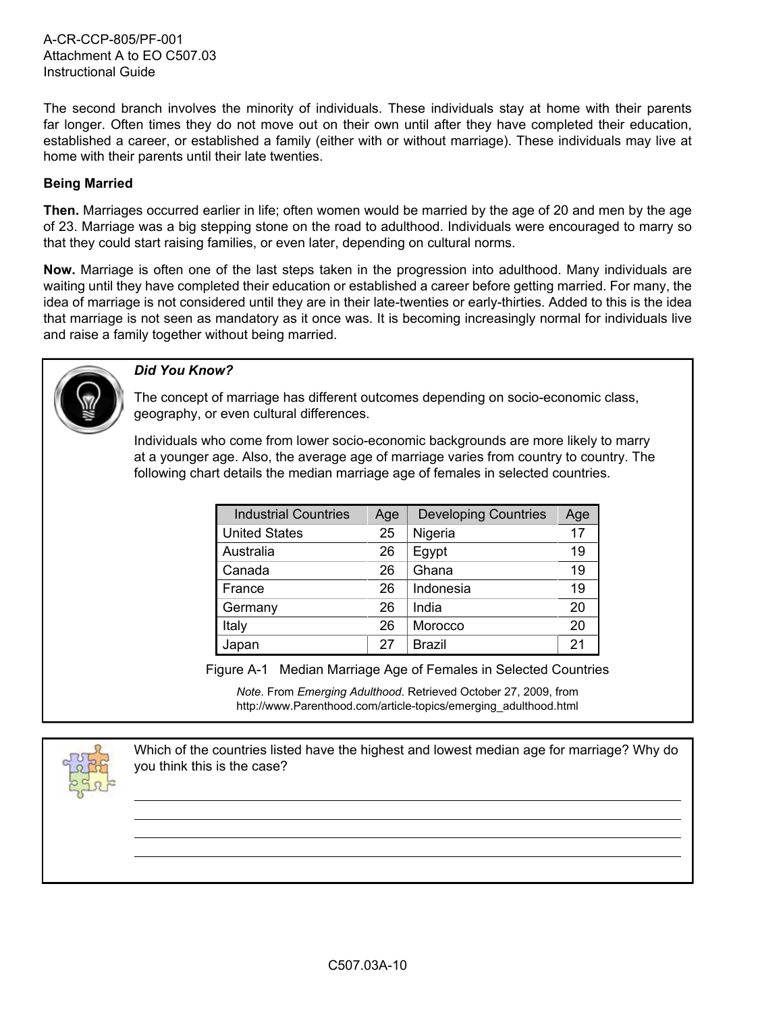The second branch involves the minority of individuals. These individuals stay at home with their parents far longer. Often times they do not move out on their own until after they have completed their education, established a career, or established a family (either with or without marriage). These individuals may live at home with their parents until their late twenties.

### **Being Married**

**Then.** Marriages occurred earlier in life; often women would be married by the age of 20 and men by the age of 23. Marriage was a big stepping stone on the road to adulthood. Individuals were encouraged to marry so that they could start raising families, or even later, depending on cultural norms.

**Now.** Marriage is often one of the last steps taken in the progression into adulthood. Many individuals are waiting until they have completed their education or established a career before getting married. For many, the idea of marriage is not considered until they are in their late-twenties or early-thirties. Added to this is the idea that marriage is not seen as mandatory as it once was. It is becoming increasingly normal for individuals live and raise a family together without being married.



### *Did You Know?*

The concept of marriage has different outcomes depending on socio-economic class, geography, or even cultural differences.

Individuals who come from lower socio-economic backgrounds are more likely to marry at a younger age. Also, the average age of marriage varies from country to country. The following chart details the median marriage age of females in selected countries.

| <b>Industrial Countries</b> | Age | <b>Developing Countries</b> | Age |
|-----------------------------|-----|-----------------------------|-----|
| <b>United States</b>        | 25  | Nigeria                     | 17  |
| Australia                   | 26  | Egypt                       | 19  |
| Canada                      | 26  | Ghana                       | 19  |
| France                      | 26  | Indonesia                   | 19  |
| Germany                     | 26  | India                       | 20  |
| Italy                       | 26  | Morocco                     | 20  |
| Japan                       | 27  | <b>Brazil</b>               | 21  |

Figure A-1 Median Marriage Age of Females in Selected Countries

*Note*. From *Emerging Adulthood*. Retrieved October 27, 2009, from http://www.Parenthood.com/article-topics/emerging\_adulthood.html



Which of the countries listed have the highest and lowest median age for marriage? Why do you think this is the case?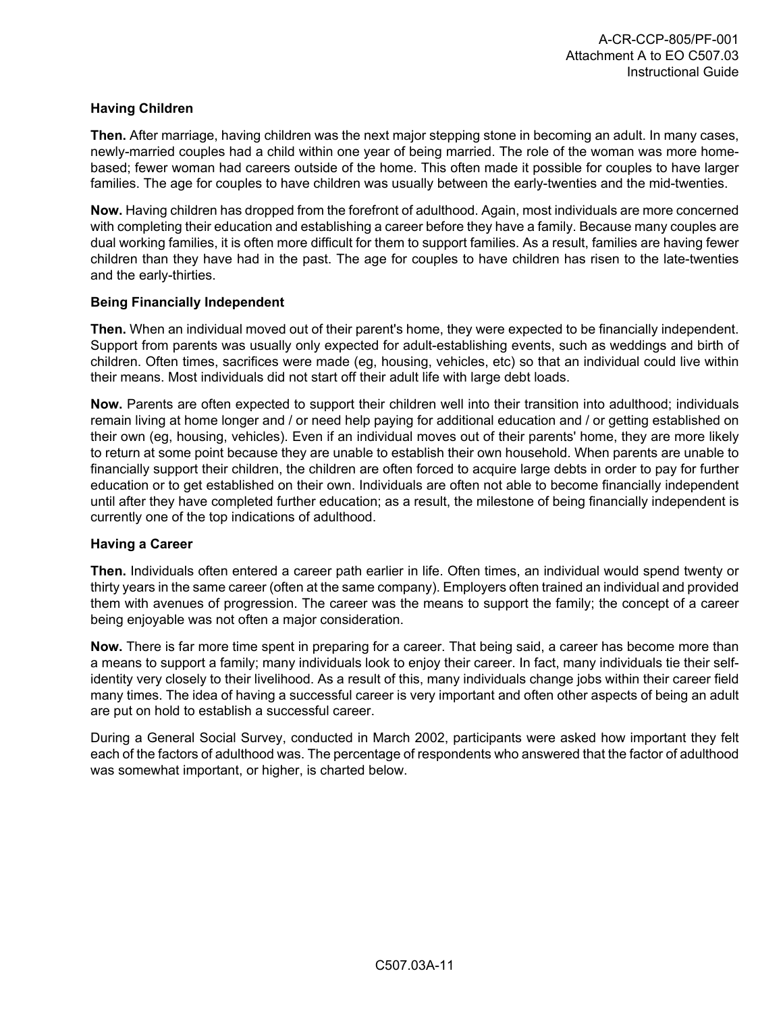# **Having Children**

**Then.** After marriage, having children was the next major stepping stone in becoming an adult. In many cases, newly-married couples had a child within one year of being married. The role of the woman was more homebased; fewer woman had careers outside of the home. This often made it possible for couples to have larger families. The age for couples to have children was usually between the early-twenties and the mid-twenties.

**Now.** Having children has dropped from the forefront of adulthood. Again, most individuals are more concerned with completing their education and establishing a career before they have a family. Because many couples are dual working families, it is often more difficult for them to support families. As a result, families are having fewer children than they have had in the past. The age for couples to have children has risen to the late-twenties and the early-thirties.

### **Being Financially Independent**

**Then.** When an individual moved out of their parent's home, they were expected to be financially independent. Support from parents was usually only expected for adult-establishing events, such as weddings and birth of children. Often times, sacrifices were made (eg, housing, vehicles, etc) so that an individual could live within their means. Most individuals did not start off their adult life with large debt loads.

**Now.** Parents are often expected to support their children well into their transition into adulthood; individuals remain living at home longer and / or need help paying for additional education and / or getting established on their own (eg, housing, vehicles). Even if an individual moves out of their parents' home, they are more likely to return at some point because they are unable to establish their own household. When parents are unable to financially support their children, the children are often forced to acquire large debts in order to pay for further education or to get established on their own. Individuals are often not able to become financially independent until after they have completed further education; as a result, the milestone of being financially independent is currently one of the top indications of adulthood.

### **Having a Career**

**Then.** Individuals often entered a career path earlier in life. Often times, an individual would spend twenty or thirty years in the same career (often at the same company). Employers often trained an individual and provided them with avenues of progression. The career was the means to support the family; the concept of a career being enjoyable was not often a major consideration.

**Now.** There is far more time spent in preparing for a career. That being said, a career has become more than a means to support a family; many individuals look to enjoy their career. In fact, many individuals tie their selfidentity very closely to their livelihood. As a result of this, many individuals change jobs within their career field many times. The idea of having a successful career is very important and often other aspects of being an adult are put on hold to establish a successful career.

During a General Social Survey, conducted in March 2002, participants were asked how important they felt each of the factors of adulthood was. The percentage of respondents who answered that the factor of adulthood was somewhat important, or higher, is charted below.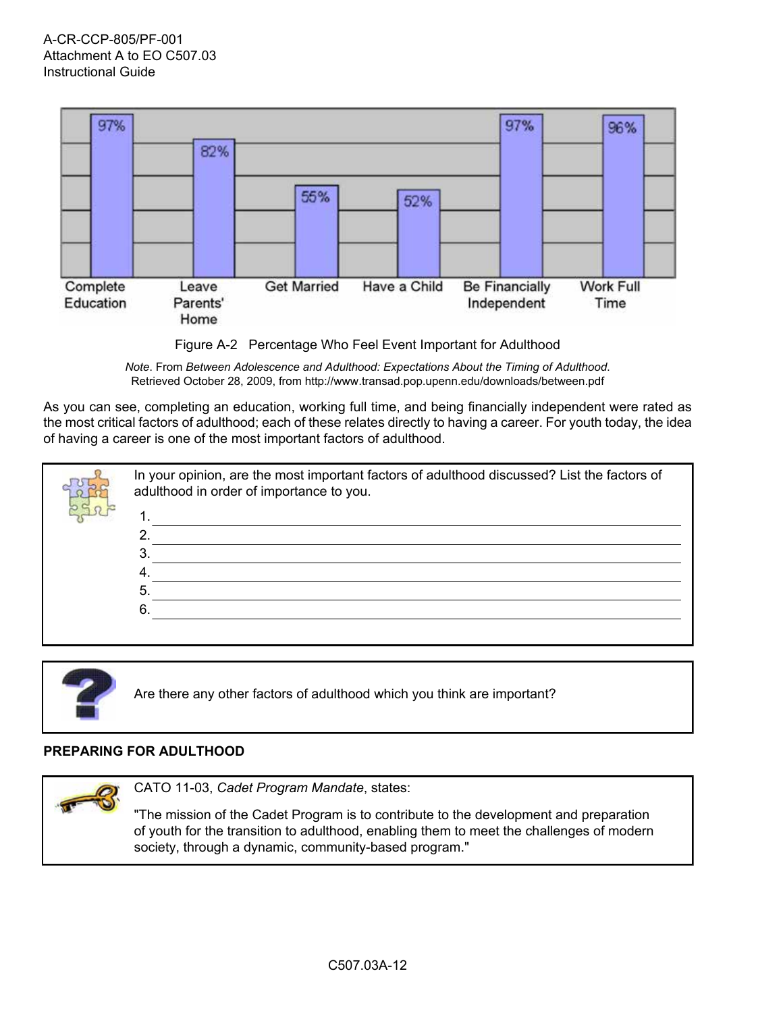

Figure A-2 Percentage Who Feel Event Important for Adulthood

*Note*. From *Between Adolescence and Adulthood: Expectations About the Timing of Adulthood*. Retrieved October 28, 2009, from http://www.transad.pop.upenn.edu/downloads/between.pdf

As you can see, completing an education, working full time, and being financially independent were rated as the most critical factors of adulthood; each of these relates directly to having a career. For youth today, the idea of having a career is one of the most important factors of adulthood.

| In your opinion, are the most important factors of adulthood discussed? List the factors of<br>adulthood in order of importance to you. |
|-----------------------------------------------------------------------------------------------------------------------------------------|
|                                                                                                                                         |
|                                                                                                                                         |
|                                                                                                                                         |
|                                                                                                                                         |
| 5                                                                                                                                       |
|                                                                                                                                         |
|                                                                                                                                         |



Are there any other factors of adulthood which you think are important?

### **PREPARING FOR ADULTHOOD**



CATO 11-03, *Cadet Program Mandate*, states:

"The mission of the Cadet Program is to contribute to the development and preparation of youth for the transition to adulthood, enabling them to meet the challenges of modern society, through a dynamic, community-based program."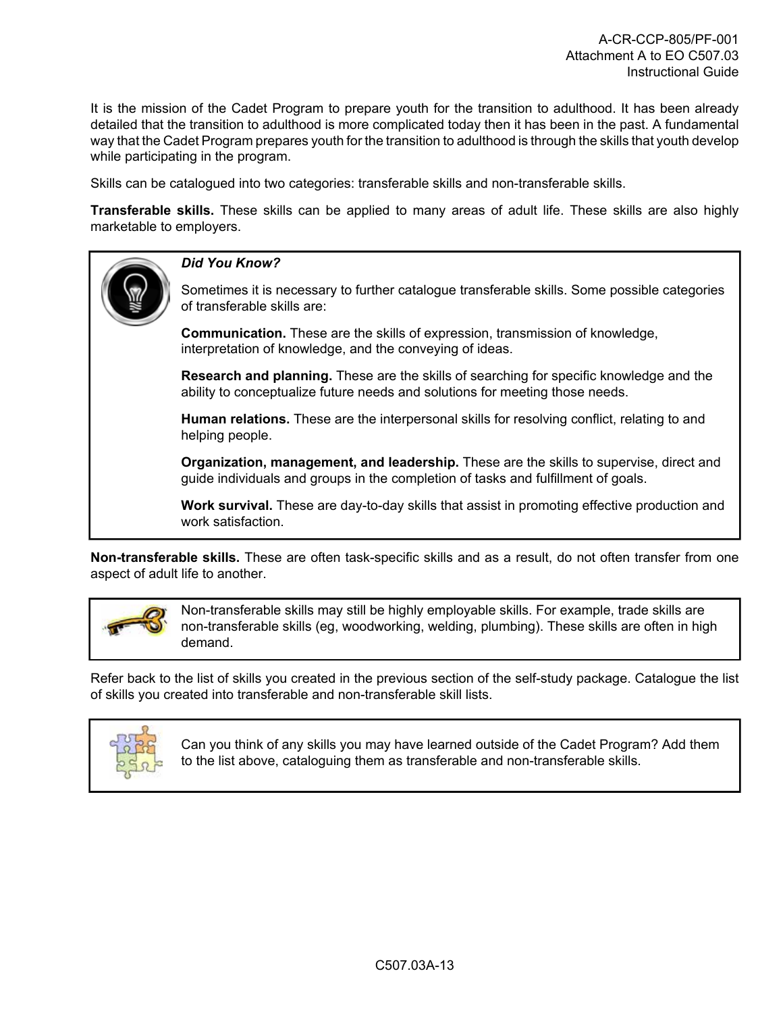It is the mission of the Cadet Program to prepare youth for the transition to adulthood. It has been already detailed that the transition to adulthood is more complicated today then it has been in the past. A fundamental way that the Cadet Program prepares youth for the transition to adulthood is through the skills that youth develop while participating in the program.

Skills can be catalogued into two categories: transferable skills and non-transferable skills.

**Transferable skills.** These skills can be applied to many areas of adult life. These skills are also highly marketable to employers.



### *Did You Know?*

Sometimes it is necessary to further catalogue transferable skills. Some possible categories of transferable skills are:

**Communication.** These are the skills of expression, transmission of knowledge, interpretation of knowledge, and the conveying of ideas.

**Research and planning.** These are the skills of searching for specific knowledge and the ability to conceptualize future needs and solutions for meeting those needs.

**Human relations.** These are the interpersonal skills for resolving conflict, relating to and helping people.

**Organization, management, and leadership.** These are the skills to supervise, direct and guide individuals and groups in the completion of tasks and fulfillment of goals.

**Work survival.** These are day-to-day skills that assist in promoting effective production and work satisfaction.

**Non-transferable skills.** These are often task-specific skills and as a result, do not often transfer from one aspect of adult life to another.



Non-transferable skills may still be highly employable skills. For example, trade skills are non-transferable skills (eg, woodworking, welding, plumbing). These skills are often in high demand.

Refer back to the list of skills you created in the previous section of the self-study package. Catalogue the list of skills you created into transferable and non-transferable skill lists.



Can you think of any skills you may have learned outside of the Cadet Program? Add them to the list above, cataloguing them as transferable and non-transferable skills.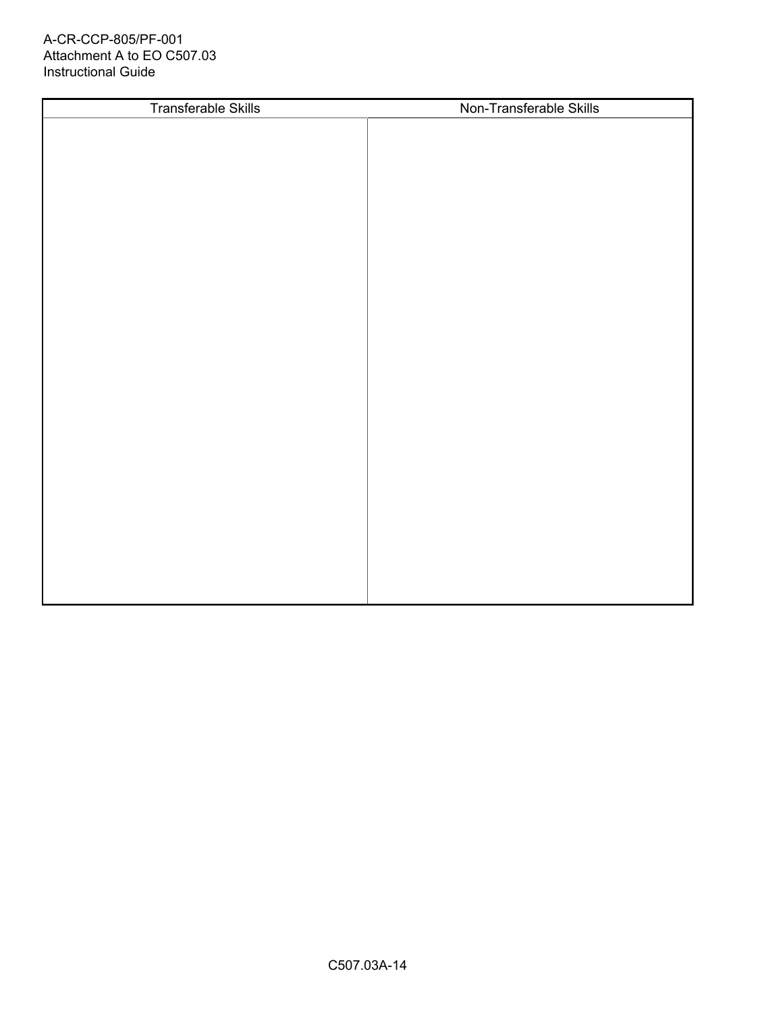| Transferable Skills | Non-Transferable Skills |
|---------------------|-------------------------|
|                     |                         |
|                     |                         |
|                     |                         |
|                     |                         |
|                     |                         |
|                     |                         |
|                     |                         |
|                     |                         |
|                     |                         |
|                     |                         |
|                     |                         |
|                     |                         |
|                     |                         |
|                     |                         |
|                     |                         |
|                     |                         |
|                     |                         |
|                     |                         |
|                     |                         |
|                     |                         |
|                     |                         |
|                     |                         |
|                     |                         |
|                     |                         |
|                     |                         |
|                     |                         |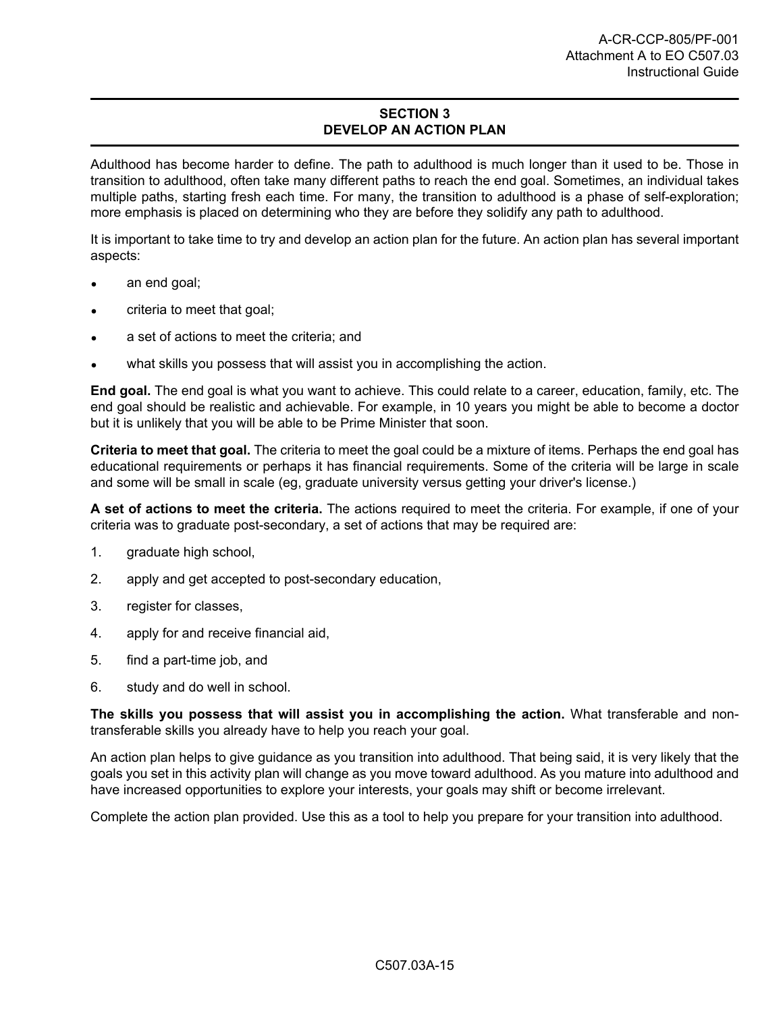# **SECTION 3 DEVELOP AN ACTION PLAN**

Adulthood has become harder to define. The path to adulthood is much longer than it used to be. Those in transition to adulthood, often take many different paths to reach the end goal. Sometimes, an individual takes multiple paths, starting fresh each time. For many, the transition to adulthood is a phase of self-exploration; more emphasis is placed on determining who they are before they solidify any path to adulthood.

It is important to take time to try and develop an action plan for the future. An action plan has several important aspects:

- an end goal;
- criteria to meet that goal;
- a set of actions to meet the criteria; and
- what skills you possess that will assist you in accomplishing the action.

**End goal.** The end goal is what you want to achieve. This could relate to a career, education, family, etc. The end goal should be realistic and achievable. For example, in 10 years you might be able to become a doctor but it is unlikely that you will be able to be Prime Minister that soon.

**Criteria to meet that goal.** The criteria to meet the goal could be a mixture of items. Perhaps the end goal has educational requirements or perhaps it has financial requirements. Some of the criteria will be large in scale and some will be small in scale (eg, graduate university versus getting your driver's license.)

**A set of actions to meet the criteria.** The actions required to meet the criteria. For example, if one of your criteria was to graduate post-secondary, a set of actions that may be required are:

- 1. graduate high school,
- 2. apply and get accepted to post-secondary education,
- 3. register for classes,
- 4. apply for and receive financial aid,
- 5. find a part-time job, and
- 6. study and do well in school.

**The skills you possess that will assist you in accomplishing the action.** What transferable and nontransferable skills you already have to help you reach your goal.

An action plan helps to give guidance as you transition into adulthood. That being said, it is very likely that the goals you set in this activity plan will change as you move toward adulthood. As you mature into adulthood and have increased opportunities to explore your interests, your goals may shift or become irrelevant.

Complete the action plan provided. Use this as a tool to help you prepare for your transition into adulthood.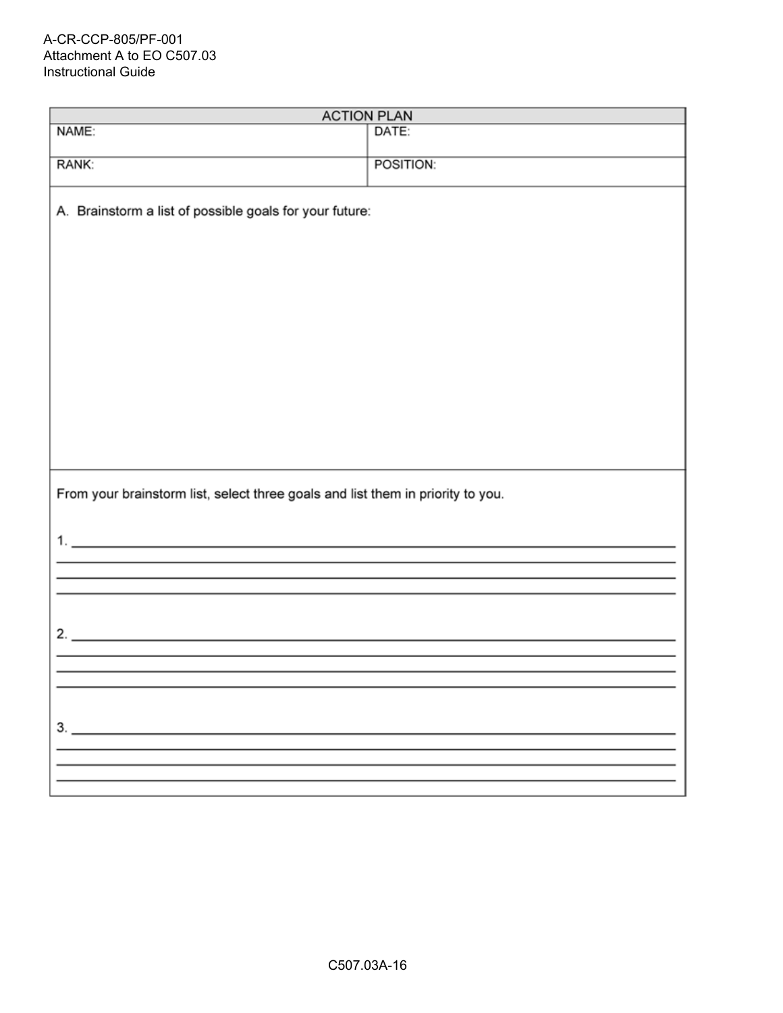| <b>ACTION PLAN</b>                                                               |           |  |
|----------------------------------------------------------------------------------|-----------|--|
| NAME:                                                                            | DATE:     |  |
| RANK:                                                                            | POSITION: |  |
| A. Brainstorm a list of possible goals for your future:                          |           |  |
|                                                                                  |           |  |
|                                                                                  |           |  |
|                                                                                  |           |  |
|                                                                                  |           |  |
|                                                                                  |           |  |
|                                                                                  |           |  |
| From your brainstorm list, select three goals and list them in priority to you.  |           |  |
|                                                                                  |           |  |
| ,我们也不能会在这里,我们的人们就会不能会在这里,我们也不能会不能会不能会不能会不能会不能会不能会不能会。""我们的人们就会不能会不能会不能会不能会不能会不能会 |           |  |
|                                                                                  |           |  |
| $2.$ $\overline{\phantom{a}}$                                                    |           |  |
|                                                                                  |           |  |
| 3.                                                                               |           |  |
|                                                                                  |           |  |
|                                                                                  |           |  |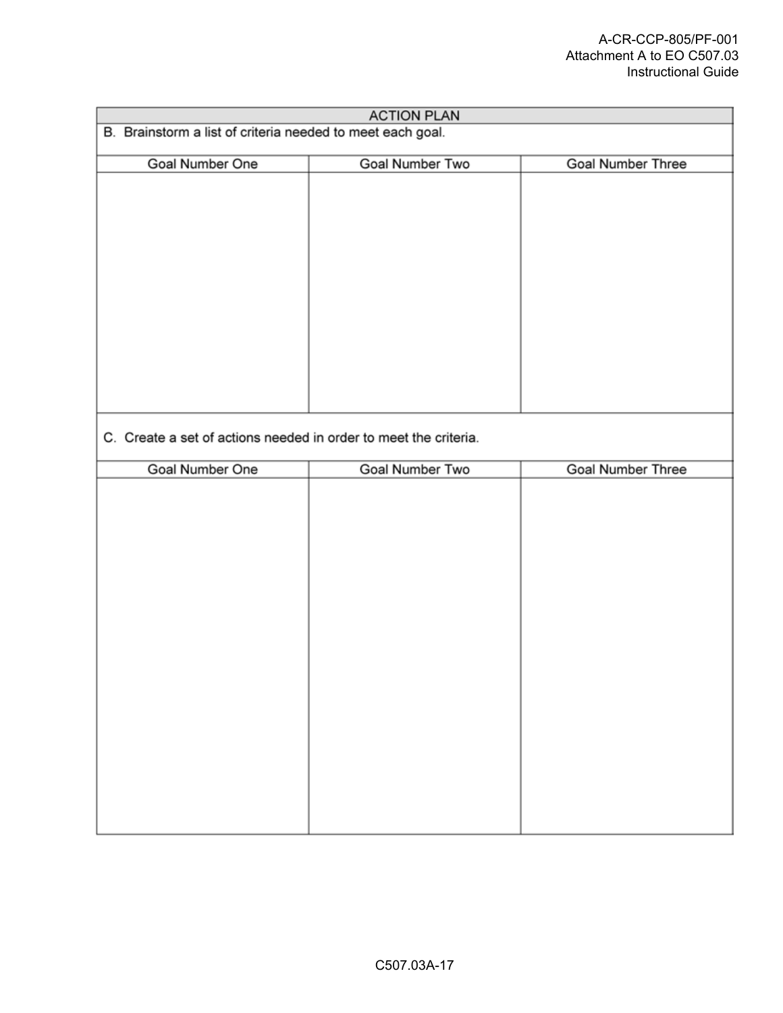| <b>ACTION PLAN</b>                                               |                 |                   |  |
|------------------------------------------------------------------|-----------------|-------------------|--|
| B. Brainstorm a list of criteria needed to meet each goal.       |                 |                   |  |
| Goal Number One                                                  | Goal Number Two | Goal Number Three |  |
|                                                                  |                 |                   |  |
| C. Create a set of actions needed in order to meet the criteria. |                 |                   |  |
| Goal Number Two<br><b>Goal Number Three</b><br>Goal Number One   |                 |                   |  |
|                                                                  |                 |                   |  |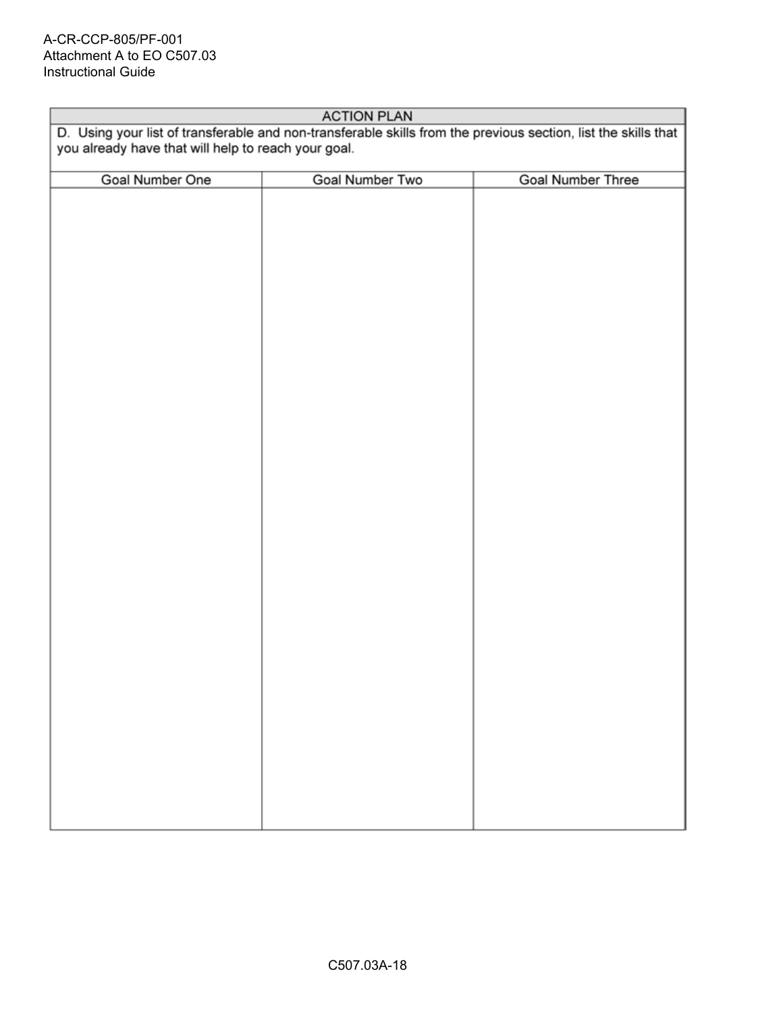| D. Using your list of transferable and non-transferable skills from the previous section, list the skills that<br>you already have that will help to reach your goal. |                 |                          |
|-----------------------------------------------------------------------------------------------------------------------------------------------------------------------|-----------------|--------------------------|
|                                                                                                                                                                       |                 |                          |
| Goal Number One                                                                                                                                                       | Goal Number Two | <b>Goal Number Three</b> |
|                                                                                                                                                                       |                 |                          |